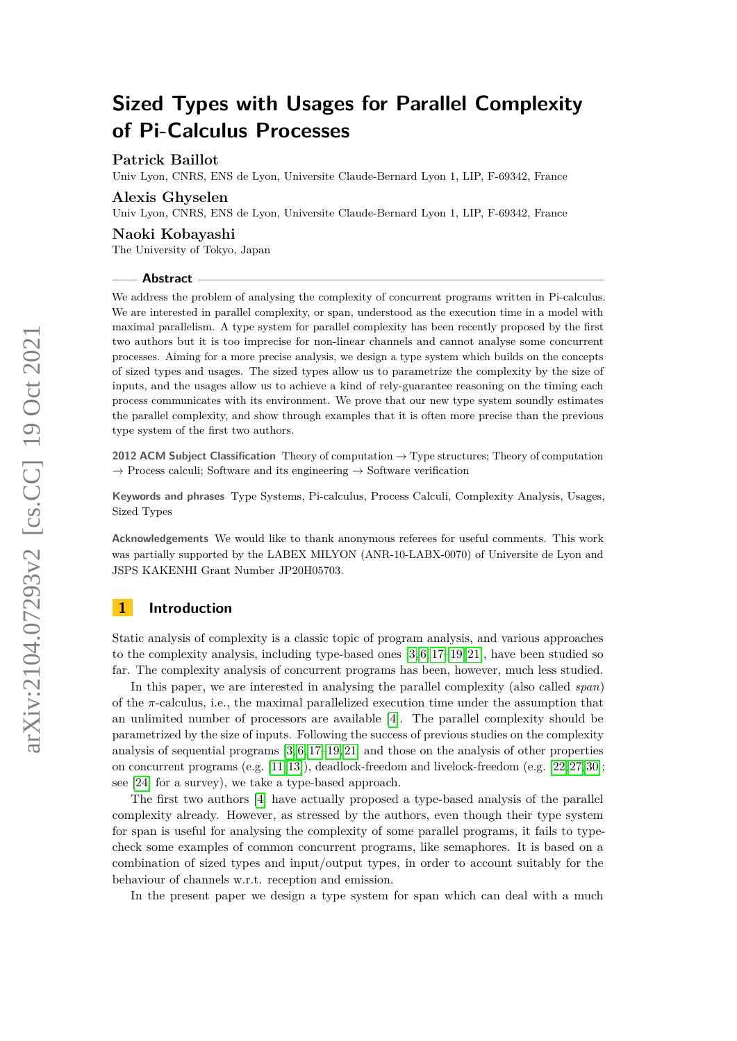# **Patrick Baillot**

Univ Lyon, CNRS, ENS de Lyon, Universite Claude-Bernard Lyon 1, LIP, F-69342, France

# **Alexis Ghyselen**

Univ Lyon, CNRS, ENS de Lyon, Universite Claude-Bernard Lyon 1, LIP, F-69342, France

#### **Naoki Kobayashi**

The University of Tokyo, Japan

#### **Abstract**

We address the problem of analysing the complexity of concurrent programs written in Pi-calculus. We are interested in parallel complexity, or span, understood as the execution time in a model with maximal parallelism. A type system for parallel complexity has been recently proposed by the first two authors but it is too imprecise for non-linear channels and cannot analyse some concurrent processes. Aiming for a more precise analysis, we design a type system which builds on the concepts of sized types and usages. The sized types allow us to parametrize the complexity by the size of inputs, and the usages allow us to achieve a kind of rely-guarantee reasoning on the timing each process communicates with its environment. We prove that our new type system soundly estimates the parallel complexity, and show through examples that it is often more precise than the previous type system of the first two authors.

**2012 ACM Subject Classification** Theory of computation → Type structures; Theory of computation  $\rightarrow$  Process calculi; Software and its engineering  $\rightarrow$  Software verification

**Keywords and phrases** Type Systems, Pi-calculus, Process Calculi, Complexity Analysis, Usages, Sized Types

**Acknowledgements** We would like to thank anonymous referees for useful comments. This work was partially supported by the LABEX MILYON (ANR-10-LABX-0070) of Universite de Lyon and JSPS KAKENHI Grant Number JP20H05703.

# **1 Introduction**

Static analysis of complexity is a classic topic of program analysis, and various approaches to the complexity analysis, including type-based ones  $[3, 6, 17-19, 21]$  $[3, 6, 17-19, 21]$  $[3, 6, 17-19, 21]$  $[3, 6, 17-19, 21]$  $[3, 6, 17-19, 21]$ , have been studied so far. The complexity analysis of concurrent programs has been, however, much less studied.

In this paper, we are interested in analysing the parallel complexity (also called *span*) of the  $\pi$ -calculus, i.e., the maximal parallelized execution time under the assumption that an unlimited number of processors are available [\[4\]](#page-15-3). The parallel complexity should be parametrized by the size of inputs. Following the success of previous studies on the complexity analysis of sequential programs  $[3, 6, 17-19, 21]$  $[3, 6, 17-19, 21]$  $[3, 6, 17-19, 21]$  $[3, 6, 17-19, 21]$  $[3, 6, 17-19, 21]$  and those on the analysis of other properties on concurrent programs (e.g. [\[11,](#page-15-4) [13\]](#page-15-5)), deadlock-freedom and livelock-freedom (e.g. [\[22,](#page-16-2) [27,](#page-16-3) [30\]](#page-16-4); see [\[24\]](#page-16-5) for a survey), we take a type-based approach.

The first two authors [\[4\]](#page-15-3) have actually proposed a type-based analysis of the parallel complexity already. However, as stressed by the authors, even though their type system for span is useful for analysing the complexity of some parallel programs, it fails to typecheck some examples of common concurrent programs, like semaphores. It is based on a combination of sized types and input/output types, in order to account suitably for the behaviour of channels w.r.t. reception and emission.

In the present paper we design a type system for span which can deal with a much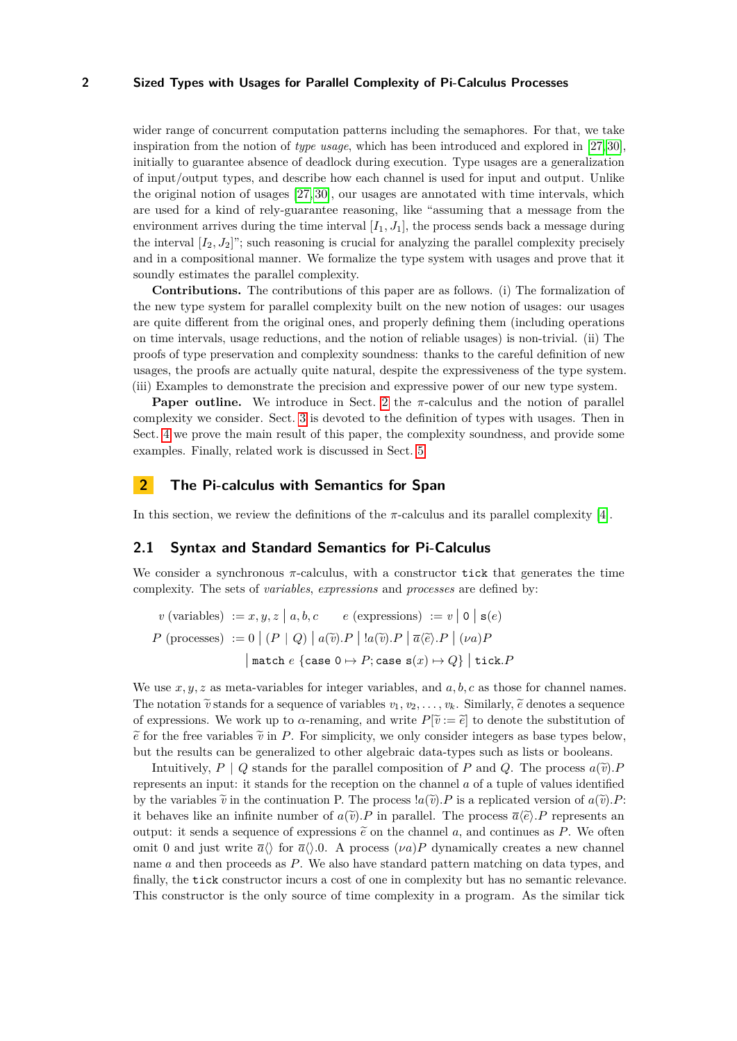wider range of concurrent computation patterns including the semaphores. For that, we take inspiration from the notion of *type usage*, which has been introduced and explored in [\[27,](#page-16-3) [30\]](#page-16-4), initially to guarantee absence of deadlock during execution. Type usages are a generalization of input/output types, and describe how each channel is used for input and output. Unlike the original notion of usages [\[27,](#page-16-3) [30\]](#page-16-4), our usages are annotated with time intervals, which are used for a kind of rely-guarantee reasoning, like "assuming that a message from the environment arrives during the time interval  $[I_1, J_1]$ , the process sends back a message during the interval  $[I_2, J_2]$ "; such reasoning is crucial for analyzing the parallel complexity precisely and in a compositional manner. We formalize the type system with usages and prove that it soundly estimates the parallel complexity.

**Contributions.** The contributions of this paper are as follows. (i) The formalization of the new type system for parallel complexity built on the new notion of usages: our usages are quite different from the original ones, and properly defining them (including operations on time intervals, usage reductions, and the notion of reliable usages) is non-trivial. (ii) The proofs of type preservation and complexity soundness: thanks to the careful definition of new usages, the proofs are actually quite natural, despite the expressiveness of the type system. (iii) Examples to demonstrate the precision and expressive power of our new type system.

**Paper outline.** We introduce in Sect. [2](#page-1-0) the  $\pi$ -calculus and the notion of parallel complexity we consider. Sect. [3](#page-3-0) is devoted to the definition of types with usages. Then in Sect. [4](#page-10-0) we prove the main result of this paper, the complexity soundness, and provide some examples. Finally, related work is discussed in Sect. [5.](#page-13-0)

# <span id="page-1-0"></span>**2 The Pi-calculus with Semantics for Span**

In this section, we review the definitions of the  $\pi$ -calculus and its parallel complexity [\[4\]](#page-15-3).

# **2.1 Syntax and Standard Semantics for Pi-Calculus**

We consider a synchronous  $\pi$ -calculus, with a constructor tick that generates the time complexity. The sets of *variables*, *expressions* and *processes* are defined by:

$$
v \text{ (variables)} := x, y, z \mid a, b, c \quad e \text{ (expressions)} := v \mid 0 \mid s(e)
$$
\n
$$
P \text{ (processes)} := 0 \mid (P \mid Q) \mid a(\widetilde{v}).P \mid !a(\widetilde{v}).P \mid \overline{a} \langle \widetilde{e} \rangle.P \mid (\nu a)P
$$
\n
$$
\mid \text{match } e \text{ \{case } 0 \mapsto P; \text{case } s(x) \mapsto Q\} \mid \text{tick.} P
$$

We use *x, y, z* as meta-variables for integer variables, and *a, b, c* as those for channel names. The notation  $\tilde{v}$  stands for a sequence of variables  $v_1, v_2, \ldots, v_k$ . Similarly,  $\tilde{e}$  denotes a sequence of expressions. We work up to  $\alpha$ -renaming, and write  $P[\tilde{v} := \tilde{e}]$  to denote the substitution of  $\tilde{e}$  for the free variables  $\tilde{v}$  in *P*. For simplicity, we only consider integers as base types below, but the results can be generalized to other algebraic data-types such as lists or booleans.

Intuitively,  $P \mid Q$  stands for the parallel composition of *P* and *Q*. The process  $a(\tilde{v})$ . represents an input: it stands for the reception on the channel *a* of a tuple of values identified by the variables  $\tilde{v}$  in the continuation P. The process  $a(\tilde{v})$ . P is a replicated version of  $a(\tilde{v})$ . P: it behaves like an infinite number of  $a(\tilde{v})$ . P in parallel. The process  $\overline{a}(\tilde{e})$ . P represents an output: it sends a sequence of expressions  $\tilde{e}$  on the channel a, and continues as P. We often omit 0 and just write  $\bar{a}\langle \rangle$  for  $\bar{a}\langle \rangle$ . A process  $(\nu a)P$  dynamically creates a new channel name *a* and then proceeds as *P*. We also have standard pattern matching on data types, and finally, the tick constructor incurs a cost of one in complexity but has no semantic relevance. This constructor is the only source of time complexity in a program. As the similar tick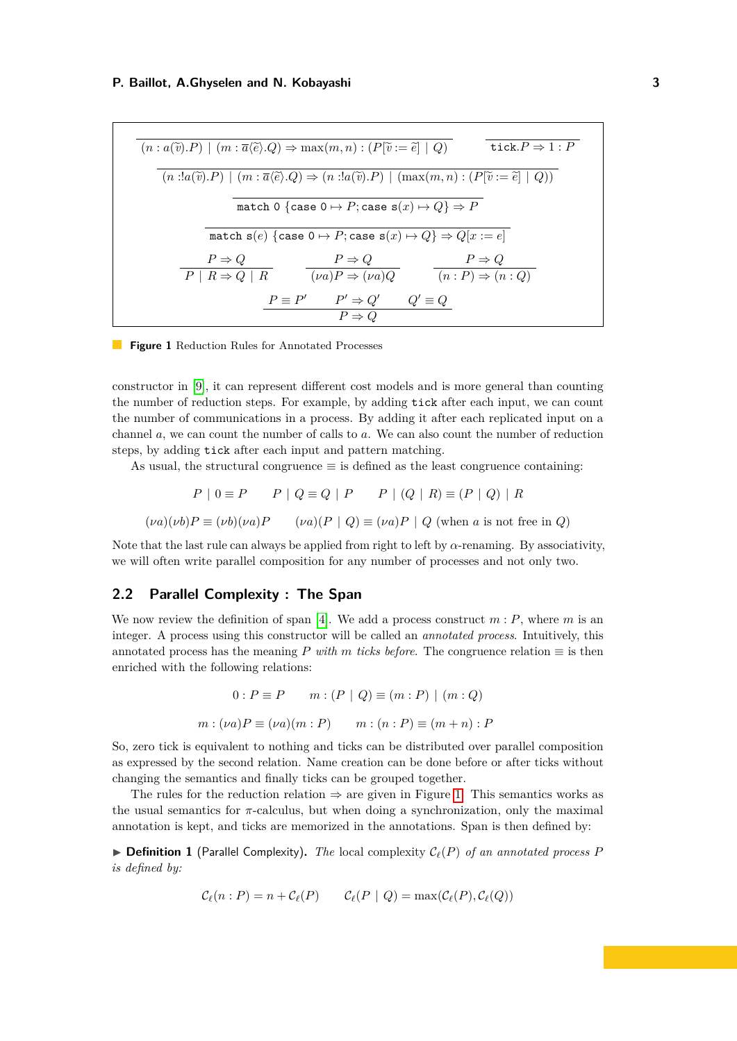<span id="page-2-0"></span>
$$
(n : a(\tilde{v}).P) \mid (m : \overline{a} \langle \tilde{e} \rangle .Q) \Rightarrow \max(m, n) : (P[\tilde{v} := \tilde{e}] \mid Q) \qquad \text{tick.} P \Rightarrow 1 : P
$$
\n
$$
(n : !a(\tilde{v}).P) \mid (m : \overline{a} \langle \tilde{e} \rangle .Q) \Rightarrow (n : !a(\tilde{v}).P) \mid (\max(m, n) : (P[\tilde{v} := \tilde{e}] \mid Q))
$$
\n
$$
\text{match } 0 \text{ {case } 0 \mapsto P; \text{case } s(x) \mapsto Q} \Rightarrow P
$$
\n
$$
\text{match } s(e) \text{ {case } 0 \mapsto P; \text{case } s(x) \mapsto Q} \Rightarrow Q[x := e]
$$
\n
$$
\frac{P \Rightarrow Q}{P \mid R \Rightarrow Q \mid R} \qquad \frac{P \Rightarrow Q}{(\nu a)P \Rightarrow (\nu a)Q} \qquad \frac{P \Rightarrow Q}{(n : P) \Rightarrow (n : Q)}
$$
\n
$$
\frac{P \equiv P'}{P \Rightarrow Q} \qquad \frac{P' \Rightarrow Q'}{P \Rightarrow Q}
$$

**Figure 1** Reduction Rules for Annotated Processes

constructor in [\[9\]](#page-15-6), it can represent different cost models and is more general than counting the number of reduction steps. For example, by adding tick after each input, we can count the number of communications in a process. By adding it after each replicated input on a channel *a*, we can count the number of calls to *a*. We can also count the number of reduction steps, by adding tick after each input and pattern matching.

As usual, the structural congruence  $\equiv$  is defined as the least congruence containing:

$$
P | 0 \equiv P \qquad P | Q \equiv Q | P \qquad P | (Q | R) \equiv (P | Q) | R
$$
  

$$
(\nu a)(\nu b)P \equiv (\nu b)(\nu a)P \qquad (\nu a)(P | Q) \equiv (\nu a)P | Q \text{ (when } a \text{ is not free in } Q)
$$

Note that the last rule can always be applied from right to left by *α*-renaming. By associativity,

we will often write parallel composition for any number of processes and not only two.

# **2.2 Parallel Complexity : The Span**

We now review the definition of span [\[4\]](#page-15-3). We add a process construct  $m : P$ , where  $m$  is an integer. A process using this constructor will be called an *annotated process*. Intuitively, this annotated process has the meaning *P with m* ticks before. The congruence relation  $\equiv$  is then enriched with the following relations:

$$
0: P \equiv P \qquad m: (P \mid Q) \equiv (m:P) \mid (m:Q)
$$

$$
m: (\nu a)P \equiv (\nu a)(m:P) \qquad m: (n:P) \equiv (m+n): P
$$

So, zero tick is equivalent to nothing and ticks can be distributed over parallel composition as expressed by the second relation. Name creation can be done before or after ticks without changing the semantics and finally ticks can be grouped together.

The rules for the reduction relation  $\Rightarrow$  are given in Figure [1.](#page-2-0) This semantics works as the usual semantics for *π*-calculus, but when doing a synchronization, only the maximal annotation is kept, and ticks are memorized in the annotations. Span is then defined by:

▶ **Definition 1** (Parallel Complexity)**.** *The* local complexity C*ℓ*(*P*) *of an annotated process P is defined by:*

$$
\mathcal{C}_{\ell}(n : P) = n + \mathcal{C}_{\ell}(P) \qquad \mathcal{C}_{\ell}(P \mid Q) = \max(\mathcal{C}_{\ell}(P), \mathcal{C}_{\ell}(Q))
$$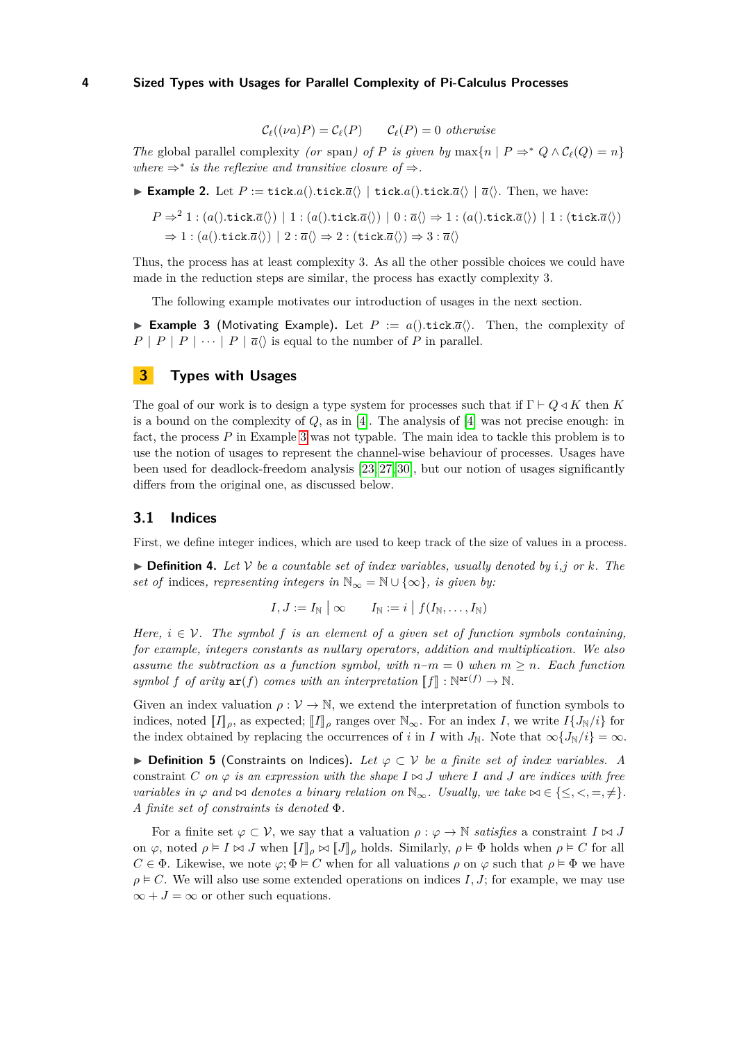$$
\mathcal{C}_{\ell}((\nu a)P) = \mathcal{C}_{\ell}(P) \qquad \mathcal{C}_{\ell}(P) = 0 \ \ otherwise
$$

*The* global parallel complexity *(or* span*)* of *P* is given by max $\{n \mid P \Rightarrow^* Q \land C_\ell(Q) = n\}$ where  $\Rightarrow^*$  *is the reflexive and transitive closure of*  $\Rightarrow$ *.* 

<span id="page-3-2"></span>▶ **Example 2.** Let  $P := \text{tick}.a() \cdot \text{tick}.a() \perp \text{tick}.a() \cdot \text{tick}.a() \mid \overline{a}()$ . Then, we have:

$$
P \Rightarrow^2 1 : (a().tick.\overline{a}\langle) | 1 : (a().tick.\overline{a}\langle) | 0 : \overline{a}\langle \rangle \Rightarrow 1 : (a().tick.\overline{a}\langle) | 1 : (tick.\overline{a}\langle)
$$

$$
\Rightarrow 1 : (a().tick.\overline{a}\langle) | 2 : \overline{a}\langle \rangle \Rightarrow 2 : (tick.\overline{a}\langle) \Rightarrow 3 : \overline{a}\langle \rangle
$$

Thus, the process has at least complexity 3. As all the other possible choices we could have made in the reduction steps are similar, the process has exactly complexity 3.

The following example motivates our introduction of usages in the next section.

<span id="page-3-1"></span>▶ **Example 3** (Motivating Example). Let  $P := a()$ .tick. $\overline{a}\langle\rangle$ . Then, the complexity of  $P | P | P | \cdots | P | \overline{a} \langle \rangle$  is equal to the number of *P* in parallel.

# <span id="page-3-0"></span>**3 Types with Usages**

The goal of our work is to design a type system for processes such that if  $\Gamma \vdash Q \triangleleft K$  then K is a bound on the complexity of *Q*, as in [\[4\]](#page-15-3). The analysis of [\[4\]](#page-15-3) was not precise enough: in fact, the process *P* in Example [3](#page-3-1) was not typable. The main idea to tackle this problem is to use the notion of usages to represent the channel-wise behaviour of processes. Usages have been used for deadlock-freedom analysis [\[23,](#page-16-6) [27,](#page-16-3) [30\]](#page-16-4), but our notion of usages significantly differs from the original one, as discussed below.

### **3.1 Indices**

First, we define integer indices, which are used to keep track of the size of values in a process.

 $\triangleright$  **Definition 4.** Let V be a countable set of index variables, usually denoted by *i*,*j* or *k*. The *set of* indices, representing integers in  $\mathbb{N}_{\infty} = \mathbb{N} \cup \{\infty\}$ , is given by:

$$
I,J:=I_{\mathbb{N}}\mid\infty\qquad I_{\mathbb{N}}:=i\mid f(I_{\mathbb{N}},\ldots,I_{\mathbb{N}})
$$

*Here,*  $i \in V$ . The symbol f is an element of a given set of function symbols containing. *for example, integers constants as nullary operators, addition and multiplication. We also assume the subtraction as a function symbol, with n*−*m* = 0 *when m* ≥ *n. Each function symbol*  $f$  *of arity*  $ar(f)$  *comes with an interpretation*  $[f] : \mathbb{N}^{ar(f)} \to \mathbb{N}$ .

Given an index valuation  $\rho : \mathcal{V} \to \mathbb{N}$ , we extend the interpretation of function symbols to indices, noted  $\llbracket I \rrbracket_{\rho}$ , as expected;  $\llbracket I \rrbracket_{\rho}$  ranges over  $\mathbb{N}_{\infty}$ . For an index *I*, we write  $I\{J_{\mathbb{N}}/i\}$  for the index obtained by replacing the occurrences of *i* in *I* with  $J_N$ . Note that  $\infty \{ J_N / i \} = \infty$ .

▶ **Definition 5** (Constraints on Indices)**.** *Let φ* ⊂ V *be a finite set of index variables. A* constraint *C* on  $\varphi$  *is an expression with the shape*  $I \bowtie J$  *where I* and *J* are indices with free *variables in*  $\varphi$  *and*  $\bowtie$  *denotes a binary relation on*  $\mathbb{N}_{\infty}$ *. Usually, we take*  $\bowtie \in \{\leq, <, =, \neq\}$ *. A finite set of constraints is denoted* Φ*.*

For a finite set  $\varphi \subset \mathcal{V}$ , we say that a valuation  $\rho : \varphi \to \mathbb{N}$  *satisfies* a constraint  $I \bowtie J$ on  $\varphi$ , noted  $\rho \models I \Join J$  when  $\llbracket I \rrbracket_{\rho} \Join \llbracket J \rrbracket_{\rho}$  holds. Similarly,  $\rho \models \Phi$  holds when  $\rho \models C$  for all  $C \in \Phi$ . Likewise, we note  $\varphi$ ;  $\Phi \models C$  when for all valuations  $\rho$  on  $\varphi$  such that  $\rho \models \Phi$  we have  $\rho \models C$ . We will also use some extended operations on indices *I*, *J*; for example, we may use  $\infty + J = \infty$  or other such equations.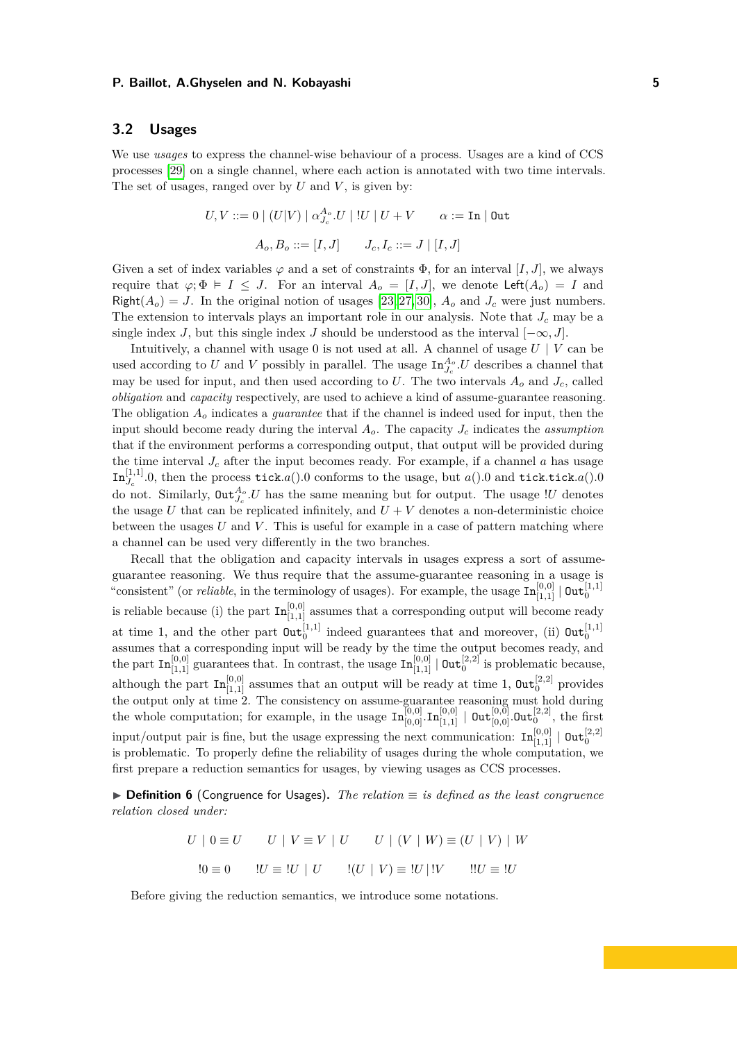# **3.2 Usages**

We use *usages* to express the channel-wise behaviour of a process. Usages are a kind of CCS processes [\[29\]](#page-16-7) on a single channel, where each action is annotated with two time intervals. The set of usages, ranged over by *U* and *V* , is given by:

$$
U,V ::= 0 \mid (U|V) \mid \alpha_{J_c}^{A_o}.U \mid !U \mid U + V \qquad \alpha := \texttt{In} \mid \texttt{Out}
$$

$$
A_o, B_o ::= [I,J] \qquad J_c, I_c ::= J \mid [I,J]
$$

Given a set of index variables  $\varphi$  and a set of constraints  $\Phi$ , for an interval [*I, J*], we always require that  $\varphi$ ;  $\Phi \models I \leq J$ . For an interval  $A_o = [I, J]$ , we denote Left $(A_o) = I$  and Right $(A_o) = J$ . In the original notion of usages [\[23,](#page-16-6) [27,](#page-16-3) [30\]](#page-16-4),  $A_o$  and  $J_c$  were just numbers. The extension to intervals plays an important role in our analysis. Note that *J<sup>c</sup>* may be a single index *J*, but this single index *J* should be understood as the interval  $[-\infty, J]$ .

Intuitively, a channel with usage  $0$  is not used at all. A channel of usage  $U \mid V$  can be used according to *U* and *V* possibly in parallel. The usage  $\text{In}_{J_c}^{A_o}$ . *U* describes a channel that may be used for input, and then used according to  $U$ . The two intervals  $A<sub>o</sub>$  and  $J<sub>c</sub>$ , called *obligation* and *capacity* respectively, are used to achieve a kind of assume-guarantee reasoning. The obligation *A<sup>o</sup>* indicates a *guarantee* that if the channel is indeed used for input, then the input should become ready during the interval  $A<sub>o</sub>$ . The capacity  $J<sub>c</sub>$  indicates the *assumption* that if the environment performs a corresponding output, that output will be provided during the time interval  $J_c$  after the input becomes ready. For example, if a channel  $a$  has usage  $\text{In}_{J_c}^{[1,1]}$ .0, then the process tick.a().0 conforms to the usage, but a().0 and tick.tick.a().0 do not. Similarly,  $\text{Out}_{J_c}^{A_o}$  *U* has the same meaning but for output. The usage *!U* denotes the usage *U* that can be replicated infinitely, and  $U + V$  denotes a non-deterministic choice between the usages *U* and *V* . This is useful for example in a case of pattern matching where a channel can be used very differently in the two branches.

Recall that the obligation and capacity intervals in usages express a sort of assumeguarantee reasoning. We thus require that the assume-guarantee reasoning in a usage is "consistent" (or *reliable*, in the terminology of usages). For example, the usage  $\text{In}_{[1,1]}^{[0,0]}$  |  $\text{Out}_0^{[1,1]}$ is reliable because (i) the part  $\text{In}_{[1,1]}^{[0,0]}$  assumes that a corresponding output will become ready at time 1, and the other part  $\text{Out}_0^{[1,1]}$  indeed guarantees that and moreover, (ii)  $\text{Out}_0^{[1,1]}$ assumes that a corresponding input will be ready by the time the output becomes ready, and the part  $\text{In}_{[1,1]}^{[0,0]}$  guarantees that. In contrast, the usage  $\text{In}_{[1,1]}^{[0,0]} \mid \text{Out}_{0}^{[2,2]}$  is problematic because, although the part  $\text{In}_{[1,1]}^{[0,0]}$  assumes that an output will be ready at time 1,  $\text{Out}_0^{[2,2]}$  provides the output only at time 2. The consistency on assume-guarantee reasoning must hold during the whole computation; for example, in the usage  $\text{In}_{[0,0]}^{[0,0]}$ . $\text{In}_{[1,1]}^{[0,0]} \mid \text{Out}_{[0,0]}^{[0,0]}$ . $\text{Out}_{0}^{[2,2]}$ , the first input/output pair is fine, but the usage expressing the next communication:  $\text{In}_{[1,1]}^{[0,0]} \mid \text{Out}_{0}^{[2,2]}$ is problematic. To properly define the reliability of usages during the whole computation, we first prepare a reduction semantics for usages, by viewing usages as CCS processes.

▶ **Definition 6** (Congruence for Usages)**.** *The relation* ≡ *is defined as the least congruence relation closed under:*

$$
U \mid 0 \equiv U \qquad U \mid V \equiv V \mid U \qquad U \mid (V \mid W) \equiv (U \mid V) \mid W
$$

$$
!0 \equiv 0 \qquad !U \equiv !U \mid U \qquad !(U \mid V) \equiv !U \mid !V \qquad !!U \equiv !U
$$

Before giving the reduction semantics, we introduce some notations.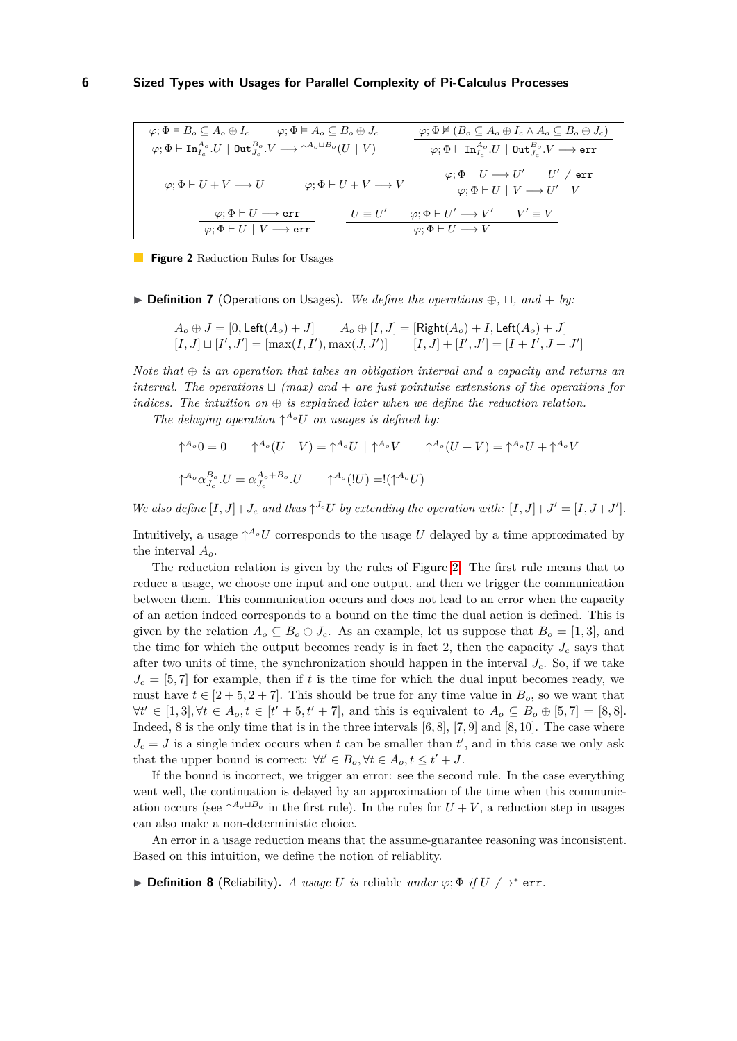<span id="page-5-0"></span>
$$
\begin{array}{c|c} \hline \varphi;\Phi \vDash B_{o} \subseteq A_{o} \oplus I_{c} \qquad \varphi;\Phi \vDash A_{o} \subseteq B_{o} \oplus J_{c} \\\hline \varphi;\Phi \vDash \mathrm{In}_{I_{c}}^{A_{o}}.U \mid \mathrm{Out}_{J_{c}}^{B_{o}}.V \longrightarrow \uparrow^{A_{o} \sqcup B_{o}}(U \mid V) \\\hline \hline \varphi;\Phi \vDash \mathrm{In}_{I_{c}}^{A_{o}}.U \mid \mathrm{Out}_{J_{c}}^{B_{o}}.V \longrightarrow \uparrow^{A_{o} \sqcup B_{o}}(U \mid V) \\\hline \hline \varphi;\Phi \vDash U+V \longrightarrow U \\\hline \hline \varphi;\Phi \vDash U+V \longrightarrow U \\\hline \varphi;\Phi \vDash U+V \longrightarrow V \\\hline \hline \varphi;\Phi \vDash U \longrightarrow \mathrm{err} \\\hline \varphi;\Phi \vDash U \mid V \longrightarrow \mathrm{err} \\\hline \hline \varphi;\Phi \vDash U \mid V \longrightarrow \mathrm{err} \\\hline \hline \varphi;\Phi \vDash U \mid V \longrightarrow \mathrm{err} \\\hline \hline \varphi;\Phi \vDash U \mid V \longrightarrow \mathrm{err} \\\hline \hline \varphi;\Phi \vDash U \rightarrow V' \quad V' \equiv V \\\hline \hline \varphi;\Phi \vDash U \mid V \longrightarrow \mathrm{err} \\\hline \hline \varphi;\Phi \vDash U \rightarrow V \\\hline \hline \varphi;\Phi \vDash U \rightarrow V \\\hline \hline \end{array}
$$

**Figure 2** Reduction Rules for Usages

▶ **Definition 7** (Operations on Usages)**.** *We define the operations* ⊕*,* ⊔*, and* + *by:*

$$
A_o \oplus J = [0, \text{Left}(A_o) + J] \qquad A_o \oplus [I, J] = [\text{Right}(A_o) + I, \text{Left}(A_o) + J]
$$
  

$$
[I, J] \sqcup [I', J'] = [\max(I, I'), \max(J, J')] \qquad [I, J] + [I', J'] = [I + I', J + J']
$$

*Note that* ⊕ *is an operation that takes an obligation interval and a capacity and returns an interval. The operations* ⊔ *(max) and* + *are just pointwise extensions of the operations for indices. The intuition on*  $\oplus$  *is explained later when we define the reduction relation.* 

The delaying operation  $\uparrow^{A_o} U$  on usages is defined by:

$$
\uparrow^{A_o} 0 = 0 \qquad \uparrow^{A_o} (U \mid V) = \uparrow^{A_o} U \mid \uparrow^{A_o} V \qquad \uparrow^{A_o} (U + V) = \uparrow^{A_o} U + \uparrow^{A_o} V
$$

$$
\uparrow^{A_o} \alpha_{J_c}^{B_o} . U = \alpha_{J_c}^{A_o + B_o} . U \qquad \uparrow^{A_o} (|U) = !(\uparrow^{A_o} U)
$$

*We also define*  $[I, J]+J_c$  *and thus*  $\uparrow^{J_c}U$  *by extending the operation with:*  $[I, J]+J'=[I, J+J'].$ 

Intuitively, a usage  $\uparrow^{A_o} U$  corresponds to the usage *U* delayed by a time approximated by the interval *Ao*.

The reduction relation is given by the rules of Figure [2.](#page-5-0) The first rule means that to reduce a usage, we choose one input and one output, and then we trigger the communication between them. This communication occurs and does not lead to an error when the capacity of an action indeed corresponds to a bound on the time the dual action is defined. This is given by the relation  $A_o \subseteq B_o \oplus J_c$ . As an example, let us suppose that  $B_o = [1, 3]$ , and the time for which the output becomes ready is in fact 2, then the capacity  $J_c$  says that after two units of time, the synchronization should happen in the interval  $J_c$ . So, if we take  $J_c = [5, 7]$  for example, then if t is the time for which the dual input becomes ready, we must have  $t \in [2 + 5, 2 + 7]$ . This should be true for any time value in  $B<sub>o</sub>$ , so we want that  $\forall t' \in [1,3], \forall t \in A_o, t \in [t'+5, t'+7], \text{ and this is equivalent to } A_o \subseteq B_o \oplus [5,7] = [8,8].$ Indeed, 8 is the only time that is in the three intervals [6*,* 8], [7*,* 9] and [8*,* 10]. The case where  $J_c = J$  is a single index occurs when *t* can be smaller than  $t'$ , and in this case we only ask that the upper bound is correct:  $\forall t' \in B_o, \forall t \in A_o, t \leq t' + J$ .

If the bound is incorrect, we trigger an error: see the second rule. In the case everything went well, the continuation is delayed by an approximation of the time when this communication occurs (see  $\uparrow^{A_o \sqcup B_o}$  in the first rule). In the rules for  $U + V$ , a reduction step in usages can also make a non-deterministic choice.

An error in a usage reduction means that the assume-guarantee reasoning was inconsistent. Based on this intuition, we define the notion of reliablity.

▶ **Definition 8** (Reliability). *A usage U is* reliable *under*  $\varphi$ ;  $\Phi$  *if*  $U \nleftrightarrow^*$  err.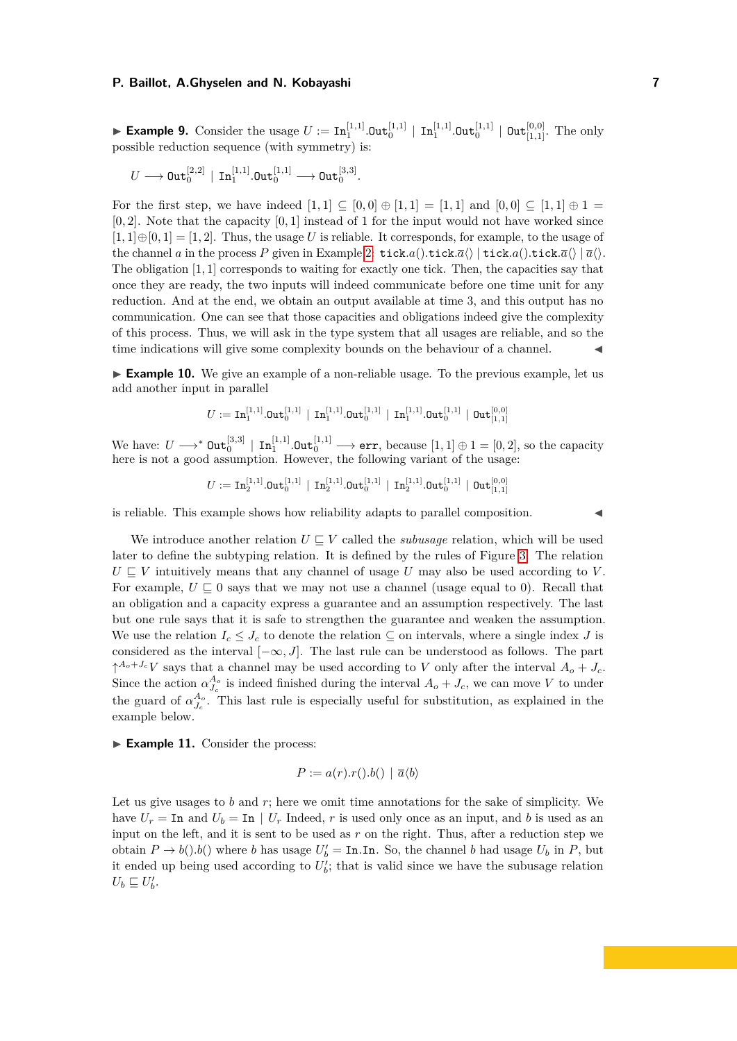▶ Example 9. Consider the usage  $U := \text{In}_1^{[1,1]}$   $\text{Out}_0^{[1,1]} \mid \text{In}_1^{[1,1]}$   $\text{Out}_{0}^{[1,1]} \mid \text{Out}_{[1,1]}^{[0,0]}$ . The only possible reduction sequence (with symmetry) is:

$$
U\longrightarrow \mathtt{Out}^{[2,2]}_{0}\,\mid\, \mathtt{In}^{[1,1]}_{1}.\mathtt{Out}^{[1,1]}_{0}\longrightarrow \mathtt{Out}^{[3,3]}_{0}.
$$

For the first step, we have indeed  $[1, 1] \subseteq [0, 0] \oplus [1, 1] = [1, 1]$  and  $[0, 0] \subseteq [1, 1] \oplus 1 =$ [0*,* 2]. Note that the capacity [0*,* 1] instead of 1 for the input would not have worked since  $[1,1] \oplus [0,1] = [1,2]$ . Thus, the usage *U* is reliable. It corresponds, for example, to the usage of the channel *a* in the process *P* given in Example [2:](#page-3-2) tick*.a*()*.tick.a*() | tick*.a*()*.tick.a*() |  $\overline{a}$ (). The obligation [1*,* 1] corresponds to waiting for exactly one tick. Then, the capacities say that once they are ready, the two inputs will indeed communicate before one time unit for any reduction. And at the end, we obtain an output available at time 3, and this output has no communication. One can see that those capacities and obligations indeed give the complexity of this process. Thus, we will ask in the type system that all usages are reliable, and so the time indications will give some complexity bounds on the behaviour of a channel.

<span id="page-6-0"></span>► **Example 10.** We give an example of a non-reliable usage. To the previous example, let us add another input in parallel

$$
U := \mathbf{In}_1^{[1,1]}.\mathbf{Out}_0^{[1,1]} \,\mid\, \mathbf{In}_1^{[1,1]}.\mathbf{Out}_0^{[1,1]} \,\mid\, \mathbf{In}_1^{[1,1]}.\mathbf{Out}_0^{[1,1]} \,\mid\, \mathbf{Out}_{[1,1]}^{[0,0]}
$$

 $\text{We have: } U \longrightarrow^* \text{Out}_0^{[3,3]} \mid \text{In}_1^{[1,1]}. \text{Out}_0^{[1,1]} \longrightarrow \text{err}, \text{ because } [1,1] \oplus 1 = [0,2], \text{ so the capacity}$ here is not a good assumption. However, the following variant of the usage:

$$
U := \mathop{\mathrm{In}}\nolimits_2^{[1,1]}.\mathsf{Out}^{[1,1]}_0 \,\mid\, \mathop{\mathrm{In}}\nolimits_2^{[1,1]}.\mathsf{Out}^{[1,1]}_0 \,\mid\, \mathop{\mathrm{In}}\nolimits_2^{[1,1]}.\mathsf{Out}^{[1,1]}_0 \,\mid\, \mathsf{Out}^{[0,0]}_{[1,1]}
$$

is reliable. This example shows how reliability adapts to parallel composition. ◀

We introduce another relation  $U \subseteq V$  called the *subusage* relation, which will be used later to define the subtyping relation. It is defined by the rules of Figure [3.](#page-7-0) The relation  $U \subseteq V$  intuitively means that any channel of usage  $U$  may also be used according to  $V$ . For example,  $U \subseteq 0$  says that we may not use a channel (usage equal to 0). Recall that an obligation and a capacity express a guarantee and an assumption respectively. The last but one rule says that it is safe to strengthen the guarantee and weaken the assumption. We use the relation  $I_c \leq J_c$  to denote the relation  $\subseteq$  on intervals, where a single index *J* is considered as the interval [−∞*, J*]. The last rule can be understood as follows. The part  $\uparrow^{A_o+J_c}V$  says that a channel may be used according to *V* only after the interval  $A_o+J_c$ . Since the action  $\alpha_{J_c}^{A_o}$  is indeed finished during the interval  $A_o + J_c$ , we can move *V* to under the guard of  $\alpha_{J_c}^{A_o}$ . This last rule is especially useful for substitution, as explained in the example below.

<span id="page-6-1"></span>▶ **Example 11.** Consider the process:

$$
P := a(r).r().b() | \overline{a} \langle b \rangle
$$

Let us give usages to *b* and *r*; here we omit time annotations for the sake of simplicity. We have  $U_r = \text{In}$  and  $U_b = \text{In} \mid U_r$  Indeed, r is used only once as an input, and b is used as an input on the left, and it is sent to be used as *r* on the right. Thus, after a reduction step we obtain  $P \to b(.) b()$  where *b* has usage  $U'_b = \text{In}.\text{In}$ . So, the channel *b* had usage  $U_b$  in  $P$ , but it ended up being used according to  $U'_{b}$ ; that is valid since we have the subusage relation  $U_b \sqsubseteq U'_b.$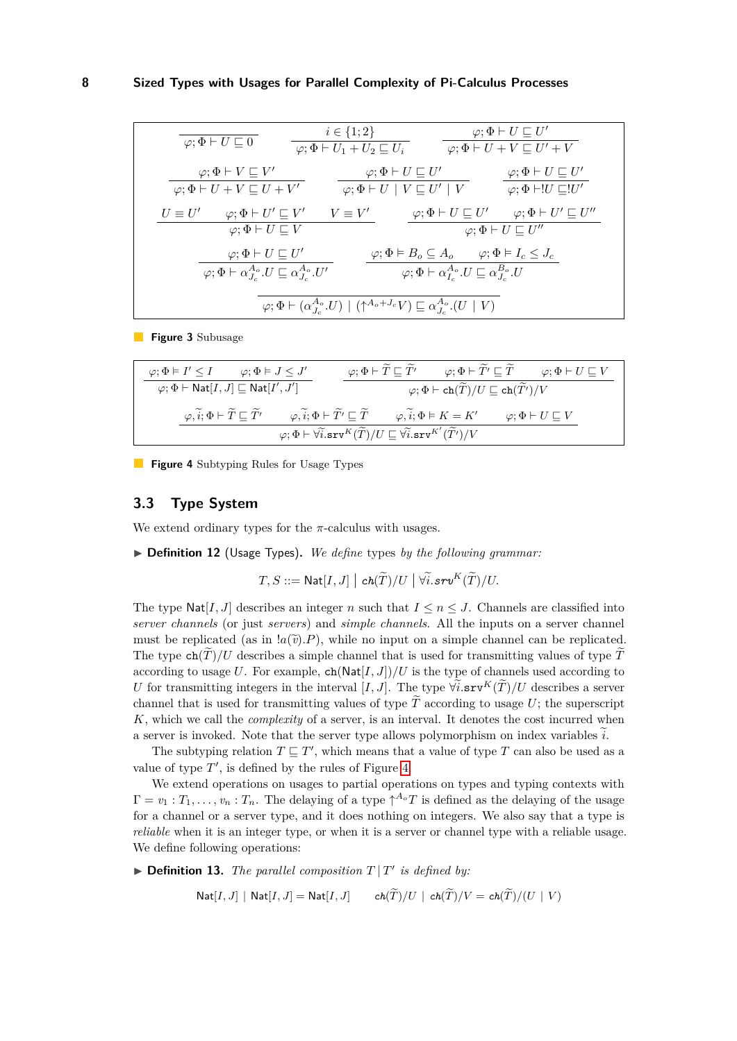<span id="page-7-0"></span>
$$
\begin{array}{c|c|c|c|c} \hline \hline \hline \varphi;\Phi+U\sqsubseteq 0 & i\in\{1;2\} & \varphi;\Phi+U\sqsubseteq U' \\ \hline \hline \varphi;\Phi+U\sqsubseteq V & \varphi;\Phi+U+V\sqsubseteq U'+V \\ \hline \hline \varphi;\Phi+V\sqsubseteq V' & \varphi;\Phi+U\sqsubseteq U' & \varphi;\Phi+U\sqsubseteq U' \\ \hline \hline \varphi;\Phi+U+V\sqsubseteq U+V' & \varphi;\Phi+U\sqsubseteq U' & \varphi;\Phi+U\sqsubseteq U' \\ \hline U\equiv U' & \varphi;\Phi+U'\sqsubseteq V' & V\equiv V' & \varphi;\Phi+U\sqsubseteq U' & \varphi;\Phi+U'\sqsubseteq U'' \\ \hline \hline \varphi;\Phi+U\sqsubseteq V & \varphi;\Phi\vdash B_o\subseteq A_o & \varphi;\Phi\vdash L_c\leq J_c \\ \hline \hline \varphi;\Phi+\alpha_{J_c}^{A_o}.U\sqsubseteq\alpha_{J_c}^{A_o}.U' & \varphi;\Phi\vdash\alpha_{I_c}^{A_o}.U\sqsubseteq\alpha_{J_c}^{B_o}.U \\ \hline \hline \hline \varphi;\Phi+\left(\alpha_{J_c}^{A_o}.U\right)\mid(\uparrow^{A_o+J_c}V)\sqsubseteq\alpha_{J_c}^{A_o}.(U\mid V) \end{array}
$$

**Figure 3** Subusage

<span id="page-7-1"></span>
$$
\dfrac{\varphi;\Phi \vDash I' \leq I \qquad \varphi;\Phi \vDash J \leq J'}{\varphi;\Phi \vDash \operatorname{Nat}[I,J] \sqsubseteq \operatorname{Nat}[I',J']} \qquad \dfrac{\varphi;\Phi \vDash \widetilde{T} \sqsubseteq \widetilde{T'} \qquad \varphi;\Phi \vDash \widetilde{T'} \sqsubseteq \widetilde{T} \qquad \varphi;\Phi \vDash U \sqsubseteq V}{\varphi;\Phi \vDash \operatorname{ch}(\widetilde{T})/U \sqsubseteq \operatorname{ch}(\widetilde{T'})/V} \\[1em] \dfrac{\varphi,\widetilde{i};\Phi \vDash \widetilde{T} \sqsubseteq \widetilde{T'} \qquad \varphi,\widetilde{i};\Phi \vDash \widetilde{T'} \sqsubseteq \widetilde{T} \qquad \varphi,\widetilde{i};\Phi \vDash K = K' \qquad \varphi;\Phi \vDash U \sqsubseteq V}{\varphi;\Phi \vDash \widetilde{\forall i.\texttt{srv}^{K}(\widetilde{T})/U \sqsubseteq \widetilde{\forall i.\texttt{srv}^{K'}}(\widetilde{T'})/V} \\[1em]
$$

**Figure 4** Subtyping Rules for Usage Types

# **3.3 Type System**

We extend ordinary types for the  $\pi$ -calculus with usages.

▶ **Definition 12** (Usage Types)**.** *We define* types *by the following grammar:*

 $T, S ::= \mathsf{Nat}[I, J] \mid ch(\widetilde{T})/U \mid \forall \widetilde{i}. srv^K(\widetilde{T})/U.$ 

The type  $\text{Nat}[I, J]$  describes an integer *n* such that  $I \le n \le J$ . Channels are classified into *server channels* (or just *servers*) and *simple channels*. All the inputs on a server channel must be replicated (as in  $(a(\tilde{v})P)$ , while no input on a simple channel can be replicated. The type  $ch(\tilde{T})/U$  describes a simple channel that is used for transmitting values of type  $\tilde{T}$ according to usage U. For example,  $ch(Nat[I, J])/U$  is the type of channels used according to *U* for transmitting integers in the interval [*I, J*]. The type  $\forall \tilde{i}$ .srv<sup>*K*</sup>( $\tilde{T}$ )/*U* describes a server channel that is used for transmitting values of type  $\widetilde{T}$  according to usage U; the superscript *K*, which we call the *complexity* of a server, is an interval. It denotes the cost incurred when a server is invoked. Note that the server type allows polymorphism on index variables  $\tilde{i}$ .

The subtyping relation  $T \sqsubseteq T'$ , which means that a value of type *T* can also be used as a value of type  $T'$ , is defined by the rules of Figure [4.](#page-7-1)

We extend operations on usages to partial operations on types and typing contexts with  $\Gamma = v_1 : T_1, \ldots, v_n : T_n$ . The delaying of a type  $\uparrow^{A_o}T$  is defined as the delaying of the usage for a channel or a server type, and it does nothing on integers. We also say that a type is *reliable* when it is an integer type, or when it is a server or channel type with a reliable usage. We define following operations:

 $\blacktriangleright$  **Definition 13.** *The parallel composition*  $T | T'$  *is defined by:* 

$$
\mathsf{Nat}[I,J] \mid \mathsf{Nat}[I,J] = \mathsf{Nat}[I,J] \qquad \mathsf{ch}(T)/U \mid \mathsf{ch}(T)/V = \mathsf{ch}(T)/(U \mid V)
$$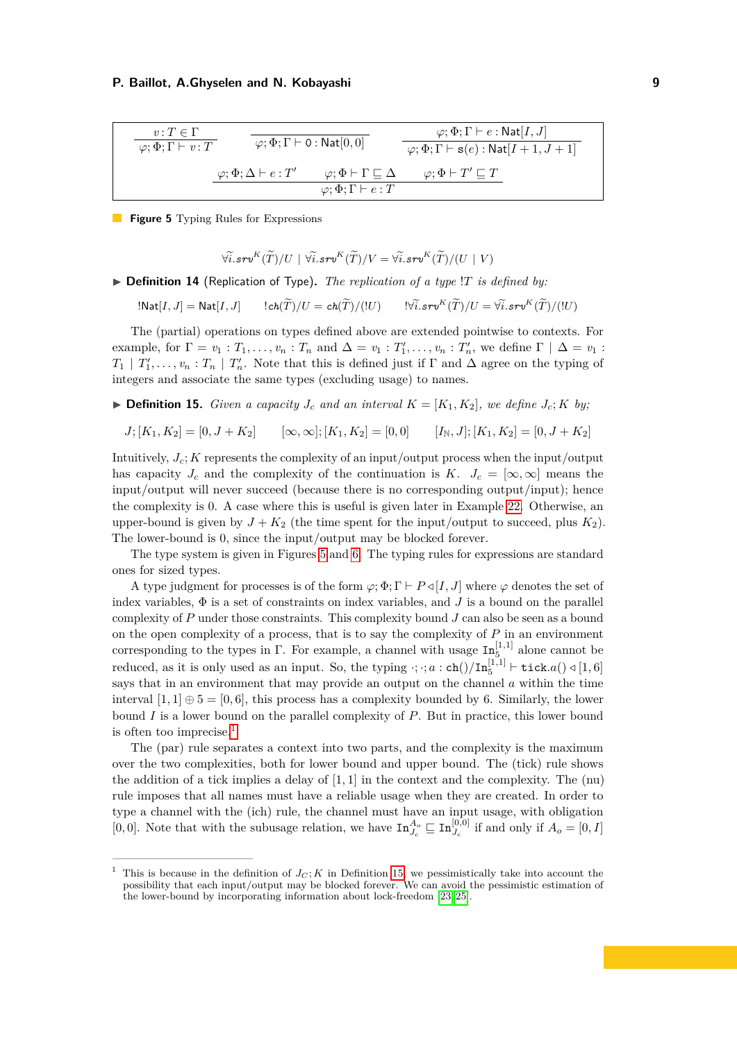<span id="page-8-0"></span>
$$
\begin{array}{c}\n\hline\nv: T \in \Gamma \\
\hline\n\varphi; \Phi; \Gamma \vdash v: T\n\end{array}\n\quad\n\begin{array}{c}\n\hline\n\varphi; \Phi; \Gamma \vdash 0: \mathsf{Nat}[0,0] \\
\hline\n\varphi; \Phi; \Gamma \vdash s(e): \mathsf{Nat}[I+1,J+1]\n\end{array}
$$
\n
$$
\begin{array}{c}\n\hline\n\varphi; \Phi; \Gamma \vdash 0: \mathsf{Nat}[0,0] \\
\hline\n\varphi; \Phi; \Gamma \vdash s(e): \mathsf{Nat}[I+1,J+1]\n\end{array}
$$
\n
$$
\begin{array}{c}\n\hline\n\varphi; \Phi; \Delta \vdash e: T'\n\end{array}\n\quad\n\begin{array}{c}\n\hline\n\varphi; \Phi \vdash \Gamma \sqsubseteq \Delta \qquad \varphi; \Phi \vdash T' \sqsubseteq T\n\end{array}
$$

**Figure 5** Typing Rules for Expressions

$$
\forall \widetilde{i}. s r v^K(\widetilde{T})/U \mid \forall \widetilde{i}. s r v^K(\widetilde{T})/V = \forall \widetilde{i}. s r v^K(\widetilde{T})/(U \mid V)
$$

▶ **Definition 14** (Replication of Type)**.** *The replication of a type* !*T is defined by:*

 $!$ **Nat** $[I, J]$  =  $\text{Nat}[I, J]$   $!$   $ch(\widetilde{T})/U = ch(\widetilde{T})/(!U)$   $!$   $!\widetilde{\forall i} . srv^{K}(\widetilde{T})/U = \widetilde{\forall i} . srv^{K}(\widetilde{T})/(!U)$ 

The (partial) operations on types defined above are extended pointwise to contexts. For example, for  $\Gamma = v_1 : T_1, \ldots, v_n : T_n$  and  $\Delta = v_1 : T'_1, \ldots, v_n : T'_n$ , we define  $\Gamma \mid \Delta = v_1 : T'_n$  $T_1 \mid T_1', \ldots, v_n : T_n \mid T_n'$ . Note that this is defined just if  $\Gamma$  and  $\Delta$  agree on the typing of integers and associate the same types (excluding usage) to names.

<span id="page-8-2"></span> $\blacktriangleright$  **Definition 15.** *Given a capacity*  $J_c$  *and an interval*  $K = [K_1, K_2]$ *, we define*  $J_c$ ; *K by*;

$$
J; [K_1, K_2] = [0, J + K_2] \qquad [\infty, \infty]; [K_1, K_2] = [0, 0] \qquad [I_{\mathbb{N}}, J]; [K_1, K_2] = [0, J + K_2]
$$

Intuitively, *Jc*; *K* represents the complexity of an input/output process when the input/output has capacity *J<sub>c</sub>* and the complexity of the continuation is *K*.  $J_c = [\infty, \infty]$  means the input/output will never succeed (because there is no corresponding output/input); hence the complexity is 0. A case where this is useful is given later in Example [22.](#page-13-1) Otherwise, an upper-bound is given by  $J + K_2$  (the time spent for the input/output to succeed, plus  $K_2$ ). The lower-bound is 0, since the input/output may be blocked forever.

The type system is given in Figures [5](#page-8-0) and [6.](#page-9-0) The typing rules for expressions are standard ones for sized types.

A type judgment for processes is of the form  $\varphi$ ;  $\Phi$ ;  $\Gamma \vdash P \triangleleft [I, J]$  where  $\varphi$  denotes the set of index variables,  $\Phi$  is a set of constraints on index variables, and *J* is a bound on the parallel complexity of *P* under those constraints. This complexity bound *J* can also be seen as a bound on the open complexity of a process, that is to say the complexity of *P* in an environment corresponding to the types in  $\Gamma$ . For example, a channel with usage  $\text{In}_{5}^{[1,1]}$  alone cannot be reduced, as it is only used as an input. So, the typing  $\cdot$ ;  $\cdot$ ;  $a$  : ch()/In<sub>[1</sub><sup>[1,1]</sup>  $\vdash$  tick.a()  $\triangleleft$  [1,6] says that in an environment that may provide an output on the channel *a* within the time interval  $[1, 1] \oplus 5 = [0, 6]$ , this process has a complexity bounded by 6. Similarly, the lower bound *I* is a lower bound on the parallel complexity of *P*. But in practice, this lower bound is often too imprecise.[1](#page-8-1)

The (par) rule separates a context into two parts, and the complexity is the maximum over the two complexities, both for lower bound and upper bound. The (tick) rule shows the addition of a tick implies a delay of [1*,* 1] in the context and the complexity. The (nu) rule imposes that all names must have a reliable usage when they are created. In order to type a channel with the (ich) rule, the channel must have an input usage, with obligation [0,0]. Note that with the subusage relation, we have  $\text{In}_{J_c}^{A_o} \sqsubseteq \text{In}_{J_c}^{[0,0]}$  if and only if  $A_o = [0, I]$ 

<span id="page-8-1"></span><sup>&</sup>lt;sup>1</sup> This is because in the definition of  $J_C$ ; *K* in Definition [15,](#page-8-2) we pessimistically take into account the possibility that each input/output may be blocked forever. We can avoid the pessimistic estimation of the lower-bound by incorporating information about lock-freedom [\[23,](#page-16-6) [25\]](#page-16-8).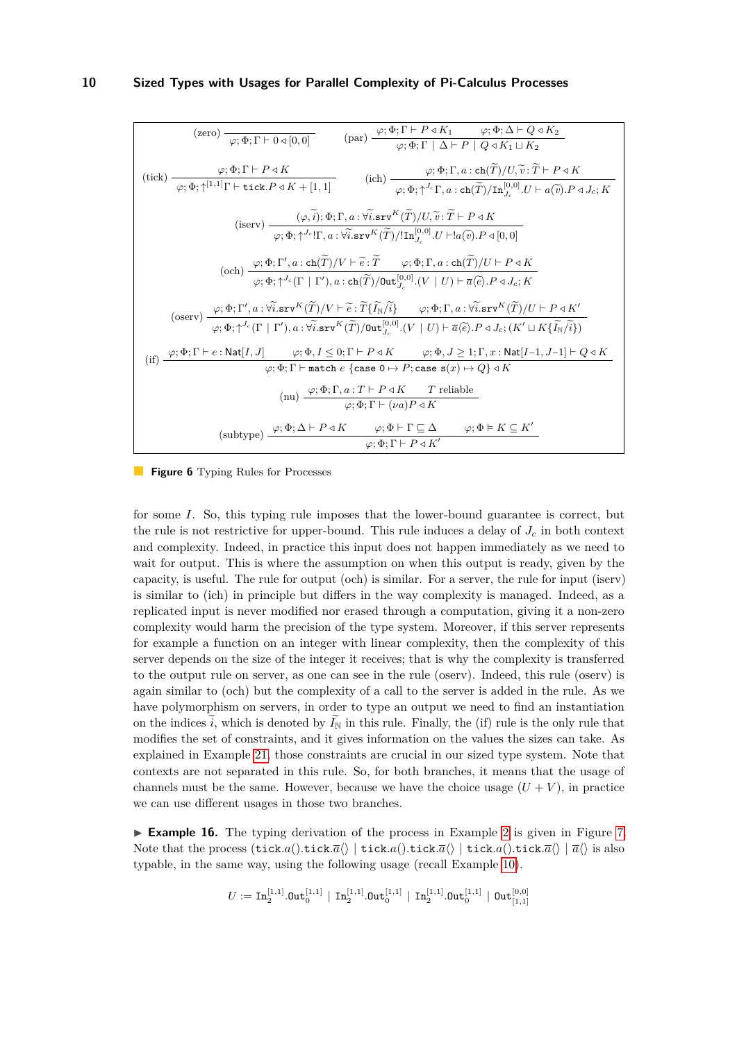<span id="page-9-0"></span>(zero) 
$$
\overline{\varphi; \Phi; \Gamma \vdash D \triangleleft [0, 0]}
$$
 (par)  $\overline{\varphi; \Phi; \Gamma \vdash P \triangleleft K_1}$   $\varphi; \Phi; \Delta \vdash Q \triangleleft K_2$   
\n $\overline{\varphi; \Phi; \Gamma \vdash D \triangleleft [0, 0]}$  (par)  $\overline{\varphi; \Phi; \Gamma \vdash P \triangleleft K_1}$   $\overline{\varphi; \Phi; \Gamma \triangleleft K_1 \sqcup K_2}$   
\n $\overline{\varphi; \Phi; \Gamma \vdash P \triangleleft K}$  (ich)  $\overline{\varphi; \Phi; \Gamma, a : ch(\widetilde{T})/U, \widetilde{v}: \widetilde{T} \vdash P \triangleleft K}$   
\n $\overline{\varphi; \Phi; \uparrow^{1,1}] \Gamma \vdash \text{tick.} P \triangleleft K + [1, 1]$  (ich)  $\overline{\varphi; \Phi; \uparrow^{J_c} \Gamma, a : ch(\widetilde{T})/U, \widetilde{v}: \widetilde{T} \vdash P \triangleleft K}$   
\n $\overline{\varphi; \Phi; \uparrow^{J_c} \Gamma, a : \widetilde{\varphi} \check{i} \text{ srv}^K(\widetilde{T})/U, \widetilde{v}: \widetilde{T} \vdash P \triangleleft K}$   
\n $\overline{\varphi; \Phi; \Gamma', a : ch(\widetilde{T})/V \vdash \widetilde{e}: \widetilde{T} \qquad \varphi; \Phi; \Gamma, a : ch(\widetilde{T})/U \vdash P \triangleleft K$   
\n $\overline{\varphi; \Phi; \Gamma', a : ch(\widetilde{T})/V \vdash \widetilde{e}: \widetilde{T} \qquad \varphi; \Phi; \Gamma, a : ch(\widetilde{T})/U \vdash P \triangleleft K$   
\n $\overline{\varphi; \Phi; \Gamma', a : \widetilde{\varphi; \text{srv}^K}(\widetilde{T})/V \vdash \widetilde{e}: \widetilde{T} \qquad \varphi; \Phi; \Gamma, a : ch(\widetilde{T})/U \vdash P \triangleleft K$   
\n $\overline{\varphi; \Phi; \Gamma', a : \widetilde{\varphi; \text{srv}^K}(\widetilde{T})/V \vdash \widetilde{e}: \widetilde{T}$ 

**Figure 6** Typing Rules for Processes

for some *I*. So, this typing rule imposes that the lower-bound guarantee is correct, but the rule is not restrictive for upper-bound. This rule induces a delay of  $J_c$  in both context and complexity. Indeed, in practice this input does not happen immediately as we need to wait for output. This is where the assumption on when this output is ready, given by the capacity, is useful. The rule for output (och) is similar. For a server, the rule for input (iserv) is similar to (ich) in principle but differs in the way complexity is managed. Indeed, as a replicated input is never modified nor erased through a computation, giving it a non-zero complexity would harm the precision of the type system. Moreover, if this server represents for example a function on an integer with linear complexity, then the complexity of this server depends on the size of the integer it receives; that is why the complexity is transferred to the output rule on server, as one can see in the rule (oserv). Indeed, this rule (oserv) is again similar to (och) but the complexity of a call to the server is added in the rule. As we have polymorphism on servers, in order to type an output we need to find an instantiation on the indices  $\tilde{i}$ , which is denoted by  $\tilde{I}_N$  in this rule. Finally, the (if) rule is the only rule that modifies the set of constraints, and it gives information on the values the sizes can take. As explained in Example [21,](#page-11-0) those constraints are crucial in our sized type system. Note that contexts are not separated in this rule. So, for both branches, it means that the usage of channels must be the same. However, because we have the choice usage  $(U + V)$ , in practice we can use different usages in those two branches.

▶ **Example 16.** The typing derivation of the process in Example [2](#page-3-2) is given in Figure [7.](#page-10-1) Note that the process  $(\texttt{tick}.a() \cdot \texttt{tick}.a() \cdot \texttt{tick}.a() \cdot \texttt{tick}.a() \cdot \texttt{tick}.a() \cdot \texttt{tick}.a()$ typable, in the same way, using the following usage (recall Example [10\)](#page-6-0).

$$
U := \mathop{\mathrm{In}}\nolimits_2^{[1,1]}.\mathsf{Out}^{[1,1]}_0 \,\mid\, \mathop{\mathrm{In}}\nolimits_2^{[1,1]}.\mathsf{Out}^{[1,1]}_0 \,\mid\, \mathop{\mathrm{In}}\nolimits_2^{[1,1]}.\mathsf{Out}^{[1,1]}_0 \,\mid\, \mathsf{Out}^{[0,0]}_{[1,1]}
$$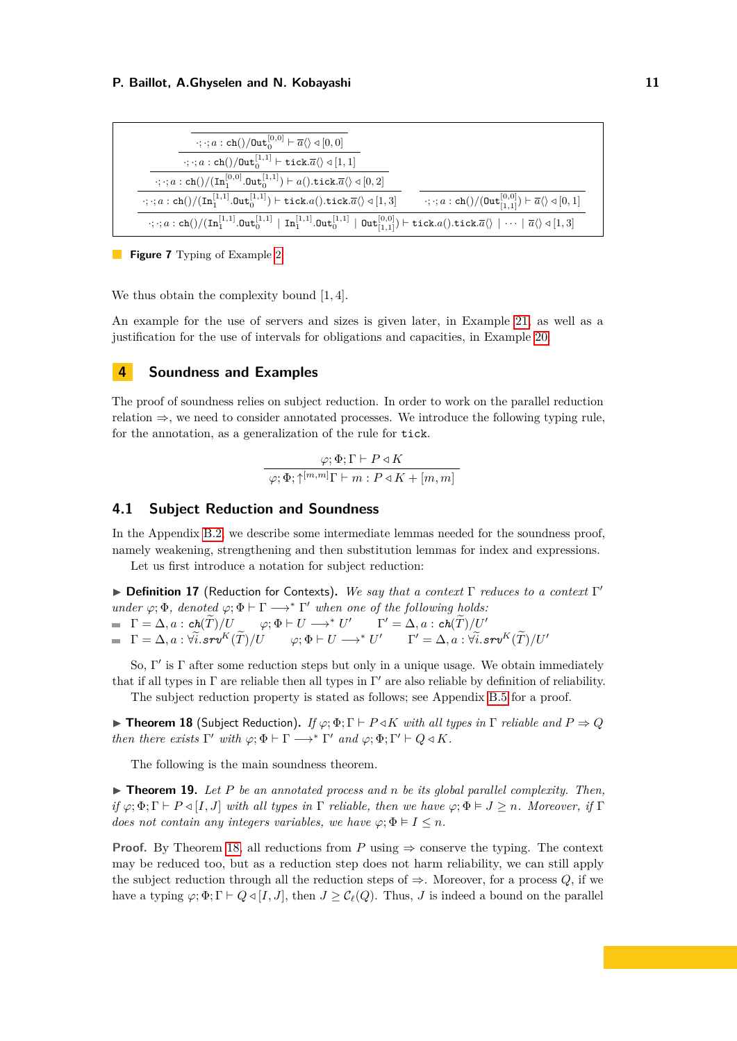<span id="page-10-1"></span>

**Figure 7** Typing of Example [2](#page-3-2)

We thus obtain the complexity bound [1*,* 4].

An example for the use of servers and sizes is given later, in Example [21,](#page-11-0) as well as a justification for the use of intervals for obligations and capacities, in Example [20.](#page-11-1)

# <span id="page-10-0"></span>**4 Soundness and Examples**

The proof of soundness relies on subject reduction. In order to work on the parallel reduction relation  $\Rightarrow$ , we need to consider annotated processes. We introduce the following typing rule, for the annotation, as a generalization of the rule for tick.

> $\varphi$ ;  $\Phi$ ; Γ  $\vdash$  *P* ⊲ *K*  $\varphi$ ;  $\Phi$ ;  $\uparrow^{[m,m]}$ Γ  $\vdash$  *m* : *P* ⊲ *K* + [*m*, *m*]

### **4.1 Subject Reduction and Soundness**

In the Appendix [B.2,](#page-20-0) we describe some intermediate lemmas needed for the soundness proof, namely weakening, strengthening and then substitution lemmas for index and expressions.

Let us first introduce a notation for subject reduction:

▶ **Definition 17** (Reduction for Contexts)**.** *We say that a context* Γ *reduces to a context* Γ ′ *under*  $\varphi$ ;  $\Phi$ *, denoted*  $\varphi$ ;  $\Phi$   $\vdash$   $\Gamma$   $\longrightarrow$ <sup>\*</sup>  $\Gamma'$  *when one of the following holds:*  $\Gamma = \Delta, a : ch(\widetilde{T})/U \qquad \varphi; \Phi \vdash U \longrightarrow^* U' \qquad \Gamma' = \Delta, a : ch(\widetilde{T})/U'$  $\Gamma = \Delta, a : \forall \widetilde{i}. \textit{srv}^K(\widetilde{T})/U \qquad \varphi; \Phi \vdash U \longrightarrow^* U' \qquad \Gamma' = \Delta, a : \forall \widetilde{i}. \textit{srv}^K(\widetilde{T})/U'$ 

So, Γ ′ is Γ after some reduction steps but only in a unique usage. We obtain immediately that if all types in  $\Gamma$  are reliable then all types in  $\Gamma'$  are also reliable by definition of reliability.

The subject reduction property is stated as follows; see Appendix [B.5](#page-26-0) for a proof.

<span id="page-10-2"></span> $\blacktriangleright$  **Theorem 18** (Subject Reduction). *If*  $\varphi$ ;  $\Phi$ ;  $\Gamma \vdash P \triangleleft K$  *with all types in*  $\Gamma$  *reliable and*  $P \Rightarrow Q$ *then there exists*  $\Gamma'$  *with*  $\varphi$ ;  $\Phi \vdash \Gamma \longrightarrow^* \Gamma'$  *and*  $\varphi$ ;  $\Phi$ ;  $\Gamma' \vdash Q \triangleleft K$ *.* 

The following is the main soundness theorem.

▶ **Theorem 19.** *Let P be an annotated process and n be its global parallel complexity. Then, if*  $\varphi$ ;  $\Phi$ ;  $\Gamma$   $\vdash$   $P \triangleleft [I, J]$  *with all types in*  $\Gamma$  *reliable, then we have*  $\varphi$ ;  $\Phi$   $\models$   $J \geq n$ *. Moreover, if*  $\Gamma$ *does not contain any integers variables, we have*  $\varphi$ ;  $\Phi \models I \leq n$ *.* 

**Proof.** By Theorem [18,](#page-10-2) all reductions from  $P$  using  $\Rightarrow$  conserve the typing. The context may be reduced too, but as a reduction step does not harm reliability, we can still apply the subject reduction through all the reduction steps of  $\Rightarrow$ . Moreover, for a process *Q*, if we have a typing  $\varphi$ ;  $\Phi$ ;  $\Gamma \vdash Q \triangleleft [I, J]$ , then  $J \geq C_{\ell}(Q)$ . Thus, *J* is indeed a bound on the parallel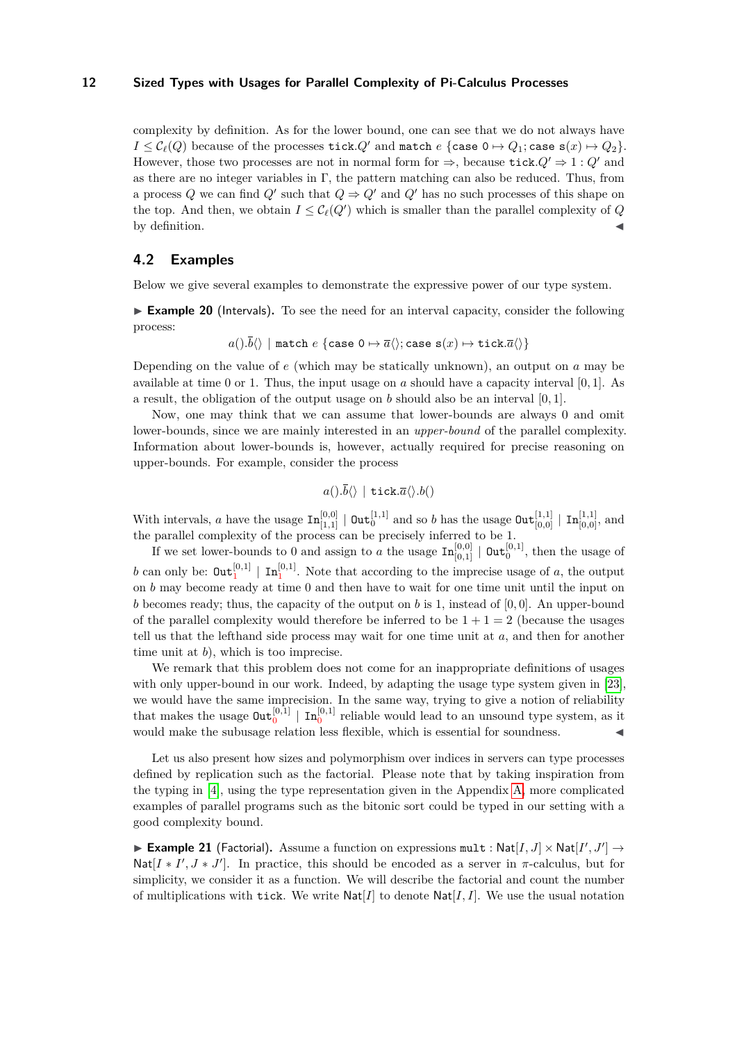complexity by definition. As for the lower bound, one can see that we do not always have  $I \leq C_{\ell}(Q)$  because of the processes tick. $Q'$  and match  $e \{ \text{case } 0 \mapsto Q_1; \text{case } \mathbf{s}(x) \mapsto Q_2 \}.$ However, those two processes are not in normal form for  $\Rightarrow$ , because tick,  $Q' \Rightarrow 1: Q'$  and as there are no integer variables in Γ, the pattern matching can also be reduced. Thus, from a process *Q* we can find *Q'* such that  $Q \Rightarrow Q'$  and *Q'* has no such processes of this shape on the top. And then, we obtain  $I \leq C_{\ell}(Q')$  which is smaller than the parallel complexity of *Q* by definition.

# **4.2 Examples**

<span id="page-11-1"></span>Below we give several examples to demonstrate the expressive power of our type system.

▶ **Example 20** (Intervals). To see the need for an interval capacity, consider the following process:

$$
a(.) . \overline{b}\langle\rangle \mid \mathtt{match}\ e\ \{\mathtt{case}\ 0\mapsto \overline{a}\langle\rangle ; \mathtt{case}\ \mathtt{s}(x) \mapsto \mathtt{tick} . \overline{a}\langle\rangle\}
$$

Depending on the value of *e* (which may be statically unknown), an output on *a* may be available at time 0 or 1. Thus, the input usage on *a* should have a capacity interval [0*,* 1]. As a result, the obligation of the output usage on *b* should also be an interval [0*,* 1].

Now, one may think that we can assume that lower-bounds are always 0 and omit lower-bounds, since we are mainly interested in an *upper-bound* of the parallel complexity. Information about lower-bounds is, however, actually required for precise reasoning on upper-bounds. For example, consider the process

$$
a(.) . \overline{b}\langle\rangle \, \mid \, \texttt{tick} . \overline{a}\langle\rangle . b()\rangle
$$

With intervals, *a* have the usage  $\text{In}_{[1,1]}^{[0,0]} \mid \text{Out}_{0}^{[1,1]}$  and so *b* has the usage  $\text{Out}_{[0,0]}^{[1,1]} \mid \text{In}_{[0,0]}^{[1,1]}$ , and the parallel complexity of the process can be precisely inferred to be 1.

If we set lower-bounds to 0 and assign to *a* the usage  $\text{In}_{[0,1]}^{[0,0]} \mid \text{Out}_{0}^{[0,1]}$ , then the usage of b can only be:  $\text{Out}_1^{[0,1]} \mid \text{In}_1^{[0,1]}$ . Note that according to the imprecise usage of *a*, the output on *b* may become ready at time 0 and then have to wait for one time unit until the input on *b* becomes ready; thus, the capacity of the output on *b* is 1, instead of [0*,* 0]. An upper-bound of the parallel complexity would therefore be inferred to be  $1 + 1 = 2$  (because the usages tell us that the lefthand side process may wait for one time unit at *a*, and then for another time unit at *b*), which is too imprecise.

We remark that this problem does not come for an inappropriate definitions of usages with only upper-bound in our work. Indeed, by adapting the usage type system given in [\[23\]](#page-16-6), we would have the same imprecision. In the same way, trying to give a notion of reliability that makes the usage  $\text{Out}_0^{[0,1]} \mid \text{In}_0^{[0,1]}$  reliable would lead to an unsound type system, as it would make the subusage relation less flexible, which is essential for soundness.

Let us also present how sizes and polymorphism over indices in servers can type processes defined by replication such as the factorial. Please note that by taking inspiration from the typing in [\[4\]](#page-15-3), using the type representation given in the Appendix [A,](#page-17-0) more complicated examples of parallel programs such as the bitonic sort could be typed in our setting with a good complexity bound.

<span id="page-11-0"></span>▶ **Example 21** (Factorial). Assume a function on expressions  $mult : Nat[I, J] \times Nat[I', J'] \rightarrow$ Nat $[I * I', J * J']$ . In practice, this should be encoded as a server in  $\pi$ -calculus, but for simplicity, we consider it as a function. We will describe the factorial and count the number of multiplications with tick. We write  $\text{Nat}[I]$  to denote  $\text{Nat}[I, I]$ . We use the usual notation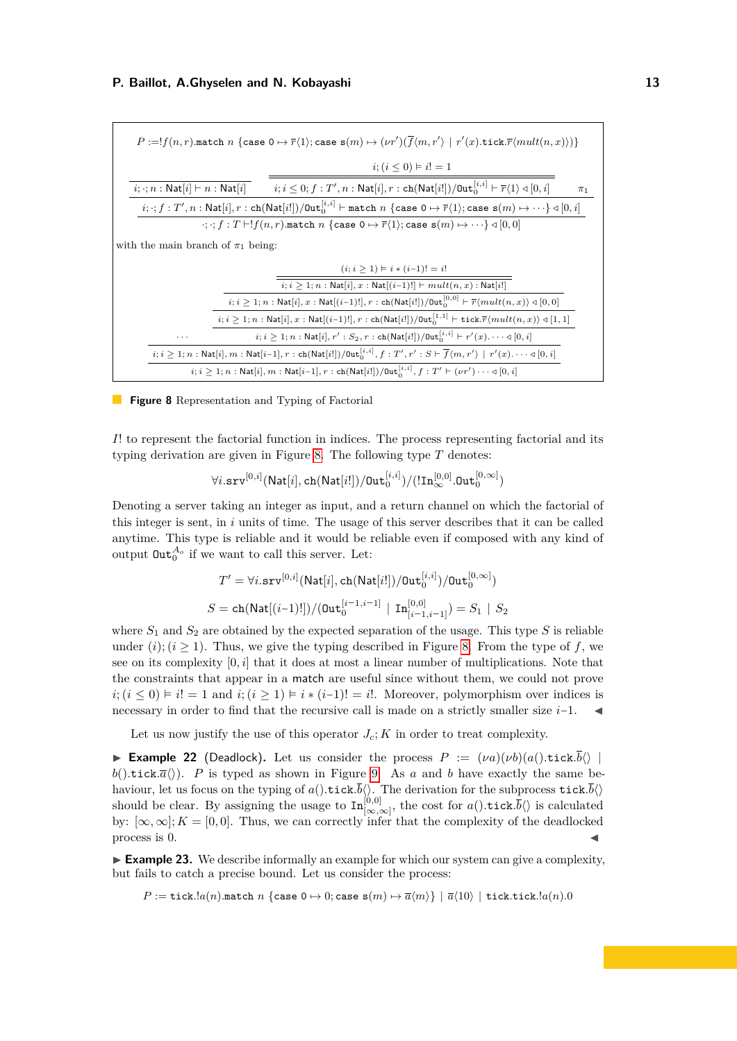<span id="page-12-0"></span>

|                                                            | $P:=!f(n,r) \text{.match } n \text{ } \{ \texttt{case } 0 \mapsto \overline{r}\langle 1 \rangle; \texttt{case } \mathbf{s}(m) \mapsto (\nu r')(\overline{f}\langle m,r' \rangle \mid r'(x) . \texttt{tick}.\overline{r}\langle mult(n,x) \rangle) \}$ |         |
|------------------------------------------------------------|-------------------------------------------------------------------------------------------------------------------------------------------------------------------------------------------------------------------------------------------------------|---------|
|                                                            | $i$ ; $(i < 0) \vDash i! = 1$                                                                                                                                                                                                                         |         |
| $i; \cdot; n : \mathsf{Nat}[i] \vdash n : \mathsf{Nat}[i]$ | $i, i \leq 0; f: T', n: \mathsf{Nat}[i], r: \mathsf{ch}(\mathsf{Nat}[i]) / \mathsf{Out}^{[i, i]}_{0} \vdash \overline{r} \langle 1 \rangle \triangleleft [0, i]$                                                                                      | $\pi_1$ |
|                                                            | $i; \cdot; f: T', n: \mathsf{Nat}[i], r: \mathsf{ch}(\mathsf{Nat}[i]) / \mathsf{Out}^{[i,i]}_0 \vdash \mathtt{match} \ n \ \{\mathtt{case} \ 0 \mapsto \overline{r}\langle 1 \rangle; \mathtt{case} \ s(m) \mapsto \cdots \} \triangleleft [0, i]$    |         |
|                                                            | $\cdot; \cdot; f: T \vdash !f(n,r)$ match $n \{\text{case } 0 \mapsto \overline{r}\langle 1 \rangle; \text{case } s(m) \mapsto \cdots \} \triangleleft [0,0]$                                                                                         |         |
| with the main branch of $\pi_1$ being:                     |                                                                                                                                                                                                                                                       |         |
|                                                            | $(i; i \geq 1) \vDash i * (i-1)! = i!$                                                                                                                                                                                                                |         |
|                                                            | $i; i \geq 1; n : \mathsf{Nat}[i], x : \mathsf{Nat}[(i-1)!] \vdash mult(n, x) : \mathsf{Nat}[i!]$                                                                                                                                                     |         |
|                                                            | $i; i\geq 1; n : \mathsf{Nat}[i], x : \mathsf{Nat}[(i-1)!], r : \mathsf{ch}(\mathsf{Nat}[i]) / \mathsf{Out}^{[0,0]}_0 \vdash \overline{r} \langle mult(n,x) \rangle \triangleleft [0,0]$                                                              |         |
|                                                            | $i; i \geq 1; n$ : Nat $[i], x$ : Nat $[(i-1)!], r$ : ch $(\textsf{Nat}[i'])/\texttt{Out}_0^{[1,1]}$ + tick. $\overline{r}(mult(n,x)) \triangleleft [1,1]$                                                                                            |         |
| $\cdots$                                                   | $i, i \geq 1; n : \mathsf{Nat}[i], r' : S_2, r : \mathsf{ch}(\mathsf{Nat}[i]) / \mathsf{Out}^{[i, i]}_0 \vdash r'(x) . \cdots \triangleleft [0, i]$                                                                                                   |         |
|                                                            | $i, i \geq 1; n : \mathsf{Nat}[i], m : \mathsf{Nat}[i-1], r : \mathsf{ch}(\mathsf{Nat}[i]) / \mathsf{Out}^{[i, i]}_0, f : T', r' : S \vdash \overline{f}\langle m, r' \rangle \mid r'(x) \cdots \triangleleft [0, i]$                                 |         |
|                                                            | $i; i \geq 1; n$ : Nat $[i], m$ : Nat $[i-1], r$ : ch $(\textsf{Nat}[i]) / \textsf{Out}_0^{[i,i]}, f : T' \vdash (\nu r') \cdots \triangleleft [0, i]$                                                                                                |         |

#### **Figure 8** Representation and Typing of Factorial

*I*! to represent the factorial function in indices. The process representing factorial and its typing derivation are given in Figure [8.](#page-12-0) The following type *T* denotes:

$$
\forall i.\mathtt{srv}^{[0,i]}(\mathsf{Nat}[i],\mathtt{ch}(\mathsf{Nat}[i])/\mathtt{Out}^{[i,i]}_0)/(\mathord!\mathord{\text{\rm{In}}}^{[0,0]}_\infty.\mathtt{Out}^{[0,\infty]}_0)
$$

Denoting a server taking an integer as input, and a return channel on which the factorial of this integer is sent, in *i* units of time. The usage of this server describes that it can be called anytime. This type is reliable and it would be reliable even if composed with any kind of output  $\text{Out}_0^{A_o}$  if we want to call this server. Let:

$$
T' = \forall i.\mathtt{srv}^{[0,i]}(\mathsf{Nat}[i],\mathtt{ch}(\mathsf{Nat}[i])/\mathtt{Out}^{[i,i]}_0)/\mathtt{Out}^{[0,\infty]}_0)
$$
  

$$
S = \mathtt{ch}(\mathsf{Nat}[(i-1)!])/(\mathtt{Out}^{[i-1,i-1]}_0 \mid \mathtt{In}^{[0,0]}_{[i-1,i-1]}) = S_1 \mid S_2
$$

where  $S_1$  and  $S_2$  are obtained by the expected separation of the usage. This type  $S$  is reliable under  $(i)$ ;  $(i \geq 1)$ . Thus, we give the typing described in Figure [8.](#page-12-0) From the type of f, we see on its complexity [0*, i*] that it does at most a linear number of multiplications. Note that the constraints that appear in a match are useful since without them, we could not prove  $i$ ;  $(i \leq 0) \models i! = 1$  and  $i$ ;  $(i \geq 1) \models i * (i-1)! = i!$ . Moreover, polymorphism over indices is necessary in order to find that the recursive call is made on a strictly smaller size *i*−1. ◀

Let us now justify the use of this operator  $J_c$ ;  $K$  in order to treat complexity.

**Example 22** (Deadlock). Let us consider the process  $P := (\nu a)(\nu b)(a).$ tick $.\overline{b}\langle \rangle$ *b*().tick*.a*<sup> $\langle\rangle$ </sup>). *P* is typed as shown in Figure [9.](#page-13-1) As *a* and *b* have exactly the same behaviour, let us focus on the typing of  $a()$ .tick*.b* $\langle \rangle$ . The derivation for the subprocess tick.*b* $\langle \rangle$ should be clear. By assigning the usage to  $\text{In}_{[\infty,\infty]}^{[0,0]}$ , the cost for  $a()$ *tick*. $\overline{b}\langle\rangle$  is calculated by:  $[\infty, \infty]$ ;  $K = [0, 0]$ . Thus, we can correctly infer that the complexity of the deadlocked process is  $0$ .

<span id="page-12-1"></span>▶ **Example 23.** We describe informally an example for which our system can give a complexity, but fails to catch a precise bound. Let us consider the process:

 $P := \text{tick}.$ *la*(*n*).match *n* {case 0  $\mapsto$  0; case s(*m*)  $\mapsto \overline{a}\langle m \rangle$ } |  $\overline{a}\langle 10 \rangle$  | tick.tick.*la*(*n*).0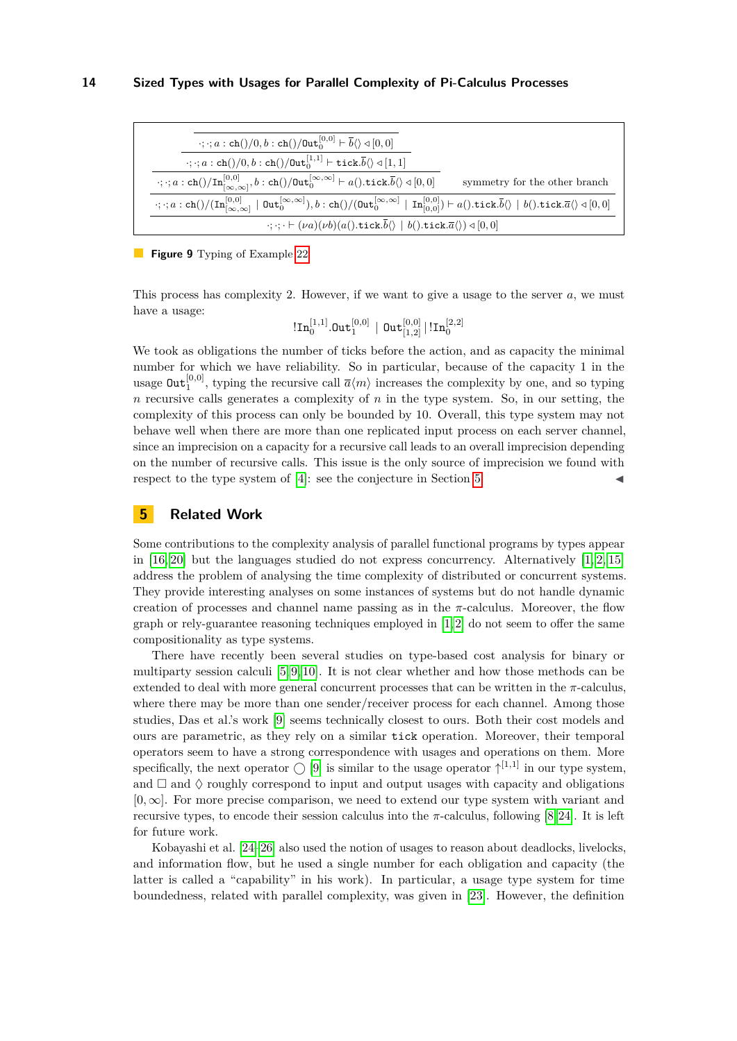<span id="page-13-1"></span>

| $\cdot$ ; $\cdot$ ; $a :$ ch()/0, $b :$ ch()/0ut <sub>0</sub> <sup>[0,0]</sup> + $\overline{b}$ () $\triangleleft$ [0, 0]                                                                                                                                                                                                   |
|-----------------------------------------------------------------------------------------------------------------------------------------------------------------------------------------------------------------------------------------------------------------------------------------------------------------------------|
| $\cdot$ ; $\cdot$ ; $a:$ ch()/0, $b:$ ch()/0ut <sub>0</sub> <sup>[1,1]</sup> $\vdash$ tick. $\overline{b}$ () $\triangleleft$ [1, 1]                                                                                                                                                                                        |
| $\cdot; \cdot; a:\ch() / \mathrm{In}_{[\infty,\infty]}^{[0,0]}$ , $b:\ch() / \mathsf{Out}_0^{[\infty,\infty]} \vdash a()$ .tick. $\overline{b}(\rangle \triangleleft [0,0]$<br>symmetry for the other branch                                                                                                                |
| $\cdot; \cdot; a:\text{ch}() / (\text{In}_{[\infty,\infty]}^{[0,0]} \mid \text{Out}_{0}^{[\infty,\infty]}), b:\text{ch}() / (\text{Out}_{0}^{[\infty,\infty]} \mid \text{In}_{[0,0]}^{[0,0]} ) \vdash a(). \text{tick}.\overline{b} \langle \rangle \mid b(). \text{tick}.\overline{a} \langle \rangle \triangleleft [0,0]$ |
| $\cdot; \cdot; \cdot \vdash (\nu a)(\nu b)(a().$ tick. $\overline{b}\langle \rangle \mid b().$ tick. $\overline{a}\langle \rangle) \triangleleft [0,0]$                                                                                                                                                                     |

**Figure 9** Typing of Example [22](#page-13-1)

This process has complexity 2. However, if we want to give a usage to the server *a*, we must have a usage:

 $\left|\mathop{\rm In}\nolimits_0^{[1,1]}\right.$ Out $_{1}^{[0,0]} \mid$  Out $_{[1,2]}^{[0,0]} \, | \, \mathop{\rm In}\nolimits_0^{[2,2]}$ 

We took as obligations the number of ticks before the action, and as capacity the minimal number for which we have reliability. So in particular, because of the capacity 1 in the usage  $\text{Out}_1^{[0,0]}$ , typing the recursive call  $\overline{a}\langle m\rangle$  increases the complexity by one, and so typing *n* recursive calls generates a complexity of *n* in the type system. So, in our setting, the complexity of this process can only be bounded by 10. Overall, this type system may not behave well when there are more than one replicated input process on each server channel, since an imprecision on a capacity for a recursive call leads to an overall imprecision depending on the number of recursive calls. This issue is the only source of imprecision we found with respect to the type system of  $[4]$ : see the conjecture in Section [5.](#page-13-0)

# <span id="page-13-0"></span>**5 Related Work**

Some contributions to the complexity analysis of parallel functional programs by types appear in  $[16, 20]$  $[16, 20]$  but the languages studied do not express concurrency. Alternatively  $[1, 2, 15]$  $[1, 2, 15]$  $[1, 2, 15]$ address the problem of analysing the time complexity of distributed or concurrent systems. They provide interesting analyses on some instances of systems but do not handle dynamic creation of processes and channel name passing as in the  $\pi$ -calculus. Moreover, the flow graph or rely-guarantee reasoning techniques employed in  $[1,2]$  $[1,2]$  do not seem to offer the same compositionality as type systems.

There have recently been several studies on type-based cost analysis for binary or multiparty session calculi [\[5,](#page-15-11) [9,](#page-15-6) [10\]](#page-15-12). It is not clear whether and how those methods can be extended to deal with more general concurrent processes that can be written in the *π*-calculus, where there may be more than one sender/receiver process for each channel. Among those studies, Das et al.'s work [\[9\]](#page-15-6) seems technically closest to ours. Both their cost models and ours are parametric, as they rely on a similar tick operation. Moreover, their temporal operators seem to have a strong correspondence with usages and operations on them. More specifically, the next operator  $\bigcirc$  [\[9\]](#page-15-6) is similar to the usage operator  $\uparrow^{[1,1]}$  in our type system, and  $\Box$  and  $\Diamond$  roughly correspond to input and output usages with capacity and obligations [0*,* ∞]. For more precise comparison, we need to extend our type system with variant and recursive types, to encode their session calculus into the *π*-calculus, following [\[8,](#page-15-13) [24\]](#page-16-5). It is left for future work.

Kobayashi et al. [\[24](#page-16-5)[–26\]](#page-16-10) also used the notion of usages to reason about deadlocks, livelocks, and information flow, but he used a single number for each obligation and capacity (the latter is called a "capability" in his work). In particular, a usage type system for time boundedness, related with parallel complexity, was given in [\[23\]](#page-16-6). However, the definition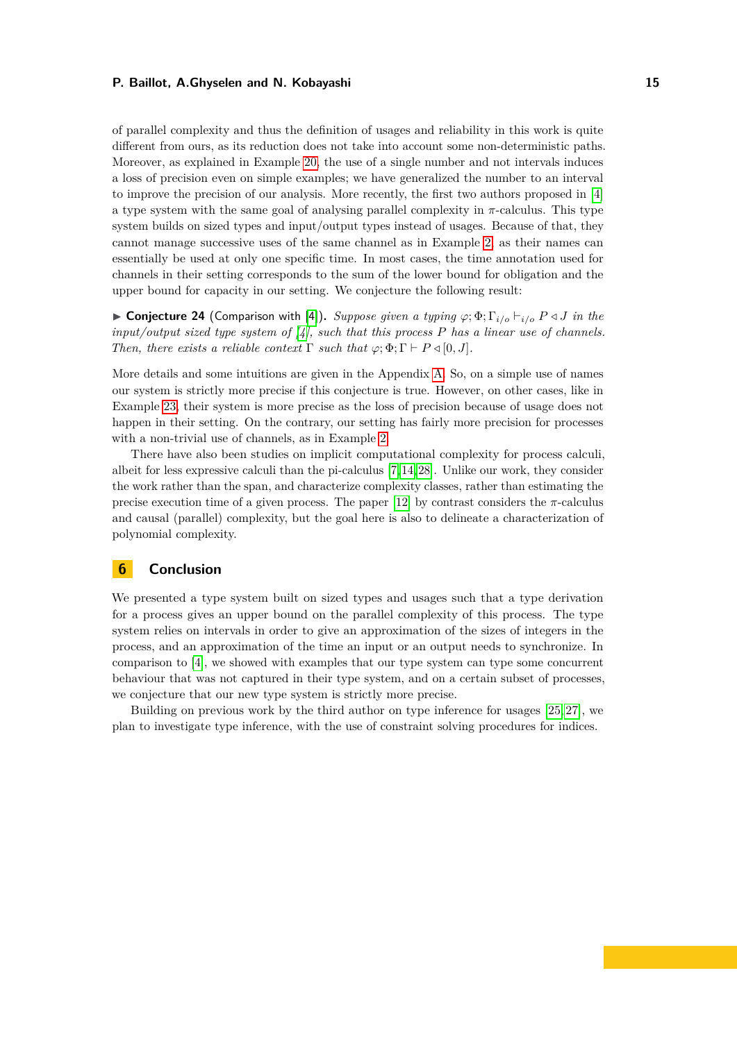of parallel complexity and thus the definition of usages and reliability in this work is quite different from ours, as its reduction does not take into account some non-deterministic paths. Moreover, as explained in Example [20,](#page-11-1) the use of a single number and not intervals induces a loss of precision even on simple examples; we have generalized the number to an interval to improve the precision of our analysis. More recently, the first two authors proposed in [\[4\]](#page-15-3) a type system with the same goal of analysing parallel complexity in  $\pi$ -calculus. This type system builds on sized types and input/output types instead of usages. Because of that, they cannot manage successive uses of the same channel as in Example [2,](#page-3-2) as their names can essentially be used at only one specific time. In most cases, the time annotation used for channels in their setting corresponds to the sum of the lower bound for obligation and the upper bound for capacity in our setting. We conjecture the following result:

▶ **Conjecture 24** (Comparison with [\[4\]](#page-15-3))**.** *Suppose given a typing φ*; Φ; Γ*i/o* ⊢*i/o P ◁ J in the input/output sized type system of [\[4\]](#page-15-3), such that this process P has a linear use of channels. Then, there exists a reliable context*  $\Gamma$  *such that*  $\varphi$ ;  $\Phi$ ;  $\Gamma$   $\vdash$   $P \triangleleft [0, J]$ *.* 

More details and some intuitions are given in the Appendix [A.](#page-17-0) So, on a simple use of names our system is strictly more precise if this conjecture is true. However, on other cases, like in Example [23,](#page-12-1) their system is more precise as the loss of precision because of usage does not happen in their setting. On the contrary, our setting has fairly more precision for processes with a non-trivial use of channels, as in Example [2.](#page-3-2)

There have also been studies on implicit computational complexity for process calculi, albeit for less expressive calculi than the pi-calculus [\[7,](#page-15-14) [14,](#page-15-15) [28\]](#page-16-11). Unlike our work, they consider the work rather than the span, and characterize complexity classes, rather than estimating the precise execution time of a given process. The paper [\[12\]](#page-15-16) by contrast considers the *π*-calculus and causal (parallel) complexity, but the goal here is also to delineate a characterization of polynomial complexity.

# **6 Conclusion**

We presented a type system built on sized types and usages such that a type derivation for a process gives an upper bound on the parallel complexity of this process. The type system relies on intervals in order to give an approximation of the sizes of integers in the process, and an approximation of the time an input or an output needs to synchronize. In comparison to [\[4\]](#page-15-3), we showed with examples that our type system can type some concurrent behaviour that was not captured in their type system, and on a certain subset of processes, we conjecture that our new type system is strictly more precise.

Building on previous work by the third author on type inference for usages [\[25,](#page-16-8) [27\]](#page-16-3), we plan to investigate type inference, with the use of constraint solving procedures for indices.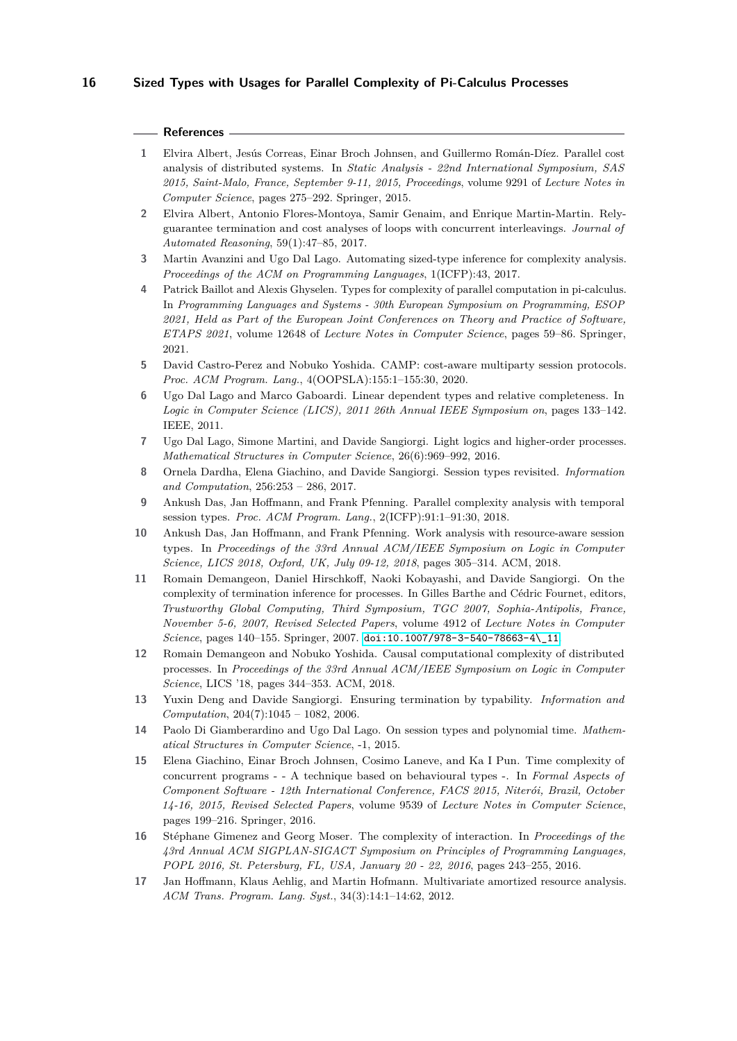### **References**

- <span id="page-15-8"></span>**1** Elvira Albert, Jesús Correas, Einar Broch Johnsen, and Guillermo Román-Díez. Parallel cost analysis of distributed systems. In *Static Analysis - 22nd International Symposium, SAS 2015, Saint-Malo, France, September 9-11, 2015, Proceedings*, volume 9291 of *Lecture Notes in Computer Science*, pages 275–292. Springer, 2015.
- <span id="page-15-9"></span>**2** Elvira Albert, Antonio Flores-Montoya, Samir Genaim, and Enrique Martin-Martin. Relyguarantee termination and cost analyses of loops with concurrent interleavings. *Journal of Automated Reasoning*, 59(1):47–85, 2017.
- <span id="page-15-0"></span>**3** Martin Avanzini and Ugo Dal Lago. Automating sized-type inference for complexity analysis. *Proceedings of the ACM on Programming Languages*, 1(ICFP):43, 2017.
- <span id="page-15-3"></span>**4** Patrick Baillot and Alexis Ghyselen. Types for complexity of parallel computation in pi-calculus. In *Programming Languages and Systems - 30th European Symposium on Programming, ESOP 2021, Held as Part of the European Joint Conferences on Theory and Practice of Software, ETAPS 2021*, volume 12648 of *Lecture Notes in Computer Science*, pages 59–86. Springer, 2021.
- <span id="page-15-11"></span>**5** David Castro-Perez and Nobuko Yoshida. CAMP: cost-aware multiparty session protocols. *Proc. ACM Program. Lang.*, 4(OOPSLA):155:1–155:30, 2020.
- <span id="page-15-1"></span>**6** Ugo Dal Lago and Marco Gaboardi. Linear dependent types and relative completeness. In *Logic in Computer Science (LICS), 2011 26th Annual IEEE Symposium on*, pages 133–142. IEEE, 2011.
- <span id="page-15-14"></span>**7** Ugo Dal Lago, Simone Martini, and Davide Sangiorgi. Light logics and higher-order processes. *Mathematical Structures in Computer Science*, 26(6):969–992, 2016.
- <span id="page-15-13"></span>**8** Ornela Dardha, Elena Giachino, and Davide Sangiorgi. Session types revisited. *Information and Computation*, 256:253 – 286, 2017.
- <span id="page-15-6"></span>**9** Ankush Das, Jan Hoffmann, and Frank Pfenning. Parallel complexity analysis with temporal session types. *Proc. ACM Program. Lang.*, 2(ICFP):91:1–91:30, 2018.
- <span id="page-15-12"></span>**10** Ankush Das, Jan Hoffmann, and Frank Pfenning. Work analysis with resource-aware session types. In *Proceedings of the 33rd Annual ACM/IEEE Symposium on Logic in Computer Science, LICS 2018, Oxford, UK, July 09-12, 2018*, pages 305–314. ACM, 2018.
- <span id="page-15-4"></span>**11** Romain Demangeon, Daniel Hirschkoff, Naoki Kobayashi, and Davide Sangiorgi. On the complexity of termination inference for processes. In Gilles Barthe and Cédric Fournet, editors, *Trustworthy Global Computing, Third Symposium, TGC 2007, Sophia-Antipolis, France, November 5-6, 2007, Revised Selected Papers*, volume 4912 of *Lecture Notes in Computer Science*, pages 140–155. Springer, 2007. [doi:10.1007/978-3-540-78663-4\\\_11](https://doi.org/10.1007/978-3-540-78663-4_11).
- <span id="page-15-16"></span>**12** Romain Demangeon and Nobuko Yoshida. Causal computational complexity of distributed processes. In *Proceedings of the 33rd Annual ACM/IEEE Symposium on Logic in Computer Science*, LICS '18, pages 344–353. ACM, 2018.
- <span id="page-15-5"></span>**13** Yuxin Deng and Davide Sangiorgi. Ensuring termination by typability. *Information and Computation*, 204(7):1045 – 1082, 2006.
- <span id="page-15-15"></span>**14** Paolo Di Giamberardino and Ugo Dal Lago. On session types and polynomial time. *Mathematical Structures in Computer Science*, -1, 2015.
- <span id="page-15-10"></span>**15** Elena Giachino, Einar Broch Johnsen, Cosimo Laneve, and Ka I Pun. Time complexity of concurrent programs - - A technique based on behavioural types -. In *Formal Aspects of Component Software - 12th International Conference, FACS 2015, Niterói, Brazil, October 14-16, 2015, Revised Selected Papers*, volume 9539 of *Lecture Notes in Computer Science*, pages 199–216. Springer, 2016.
- <span id="page-15-7"></span>**16** Stéphane Gimenez and Georg Moser. The complexity of interaction. In *Proceedings of the 43rd Annual ACM SIGPLAN-SIGACT Symposium on Principles of Programming Languages, POPL 2016, St. Petersburg, FL, USA, January 20 - 22, 2016*, pages 243–255, 2016.
- <span id="page-15-2"></span>**17** Jan Hoffmann, Klaus Aehlig, and Martin Hofmann. Multivariate amortized resource analysis. *ACM Trans. Program. Lang. Syst.*, 34(3):14:1–14:62, 2012.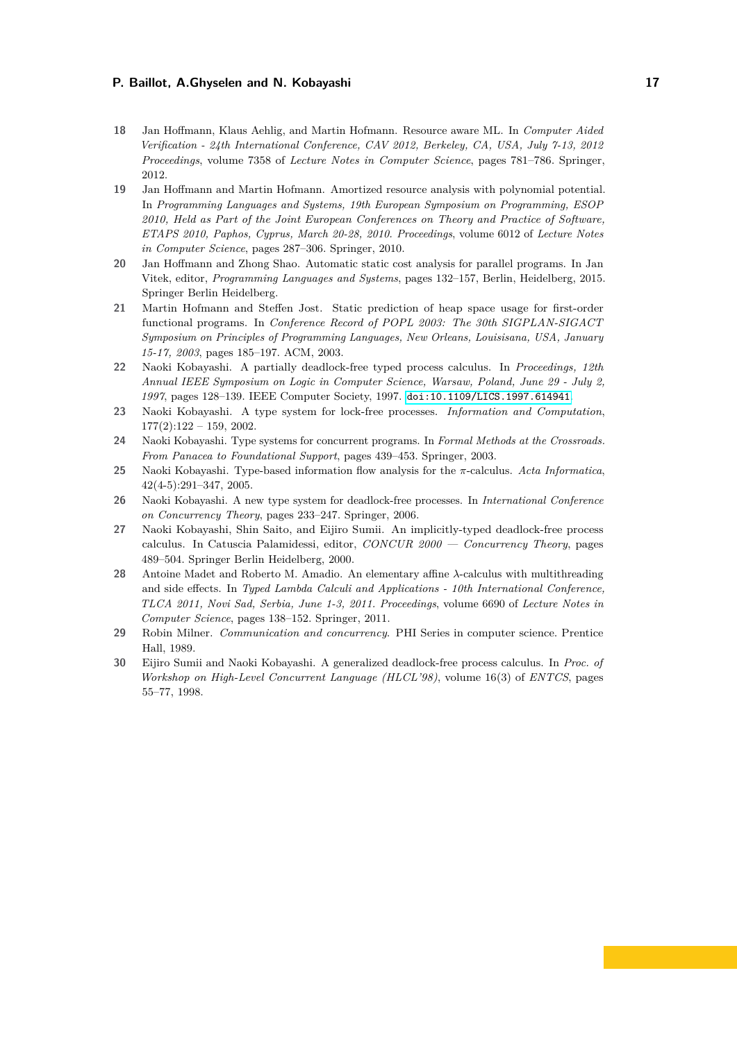- **18** Jan Hoffmann, Klaus Aehlig, and Martin Hofmann. Resource aware ML. In *Computer Aided Verification - 24th International Conference, CAV 2012, Berkeley, CA, USA, July 7-13, 2012 Proceedings*, volume 7358 of *Lecture Notes in Computer Science*, pages 781–786. Springer, 2012.
- <span id="page-16-0"></span>**19** Jan Hoffmann and Martin Hofmann. Amortized resource analysis with polynomial potential. In *Programming Languages and Systems, 19th European Symposium on Programming, ESOP 2010, Held as Part of the Joint European Conferences on Theory and Practice of Software, ETAPS 2010, Paphos, Cyprus, March 20-28, 2010. Proceedings*, volume 6012 of *Lecture Notes in Computer Science*, pages 287–306. Springer, 2010.
- <span id="page-16-9"></span>**20** Jan Hoffmann and Zhong Shao. Automatic static cost analysis for parallel programs. In Jan Vitek, editor, *Programming Languages and Systems*, pages 132–157, Berlin, Heidelberg, 2015. Springer Berlin Heidelberg.
- <span id="page-16-1"></span>**21** Martin Hofmann and Steffen Jost. Static prediction of heap space usage for first-order functional programs. In *Conference Record of POPL 2003: The 30th SIGPLAN-SIGACT Symposium on Principles of Programming Languages, New Orleans, Louisisana, USA, January 15-17, 2003*, pages 185–197. ACM, 2003.
- <span id="page-16-2"></span>**22** Naoki Kobayashi. A partially deadlock-free typed process calculus. In *Proceedings, 12th Annual IEEE Symposium on Logic in Computer Science, Warsaw, Poland, June 29 - July 2, 1997*, pages 128–139. IEEE Computer Society, 1997. [doi:10.1109/LICS.1997.614941](https://doi.org/10.1109/LICS.1997.614941).
- <span id="page-16-6"></span>**23** Naoki Kobayashi. A type system for lock-free processes. *Information and Computation*,  $177(2):122 - 159, 2002.$
- <span id="page-16-5"></span>**24** Naoki Kobayashi. Type systems for concurrent programs. In *Formal Methods at the Crossroads. From Panacea to Foundational Support*, pages 439–453. Springer, 2003.
- <span id="page-16-8"></span>**25** Naoki Kobayashi. Type-based information flow analysis for the *π*-calculus. *Acta Informatica*, 42(4-5):291–347, 2005.
- <span id="page-16-10"></span>**26** Naoki Kobayashi. A new type system for deadlock-free processes. In *International Conference on Concurrency Theory*, pages 233–247. Springer, 2006.
- <span id="page-16-3"></span>**27** Naoki Kobayashi, Shin Saito, and Eijiro Sumii. An implicitly-typed deadlock-free process calculus. In Catuscia Palamidessi, editor, *CONCUR 2000 — Concurrency Theory*, pages 489–504. Springer Berlin Heidelberg, 2000.
- <span id="page-16-11"></span>**28** Antoine Madet and Roberto M. Amadio. An elementary affine *λ*-calculus with multithreading and side effects. In *Typed Lambda Calculi and Applications - 10th International Conference, TLCA 2011, Novi Sad, Serbia, June 1-3, 2011. Proceedings*, volume 6690 of *Lecture Notes in Computer Science*, pages 138–152. Springer, 2011.
- <span id="page-16-7"></span>**29** Robin Milner. *Communication and concurrency*. PHI Series in computer science. Prentice Hall, 1989.
- <span id="page-16-4"></span>**30** Eijiro Sumii and Naoki Kobayashi. A generalized deadlock-free process calculus. In *Proc. of Workshop on High-Level Concurrent Language (HLCL'98)*, volume 16(3) of *ENTCS*, pages 55–77, 1998.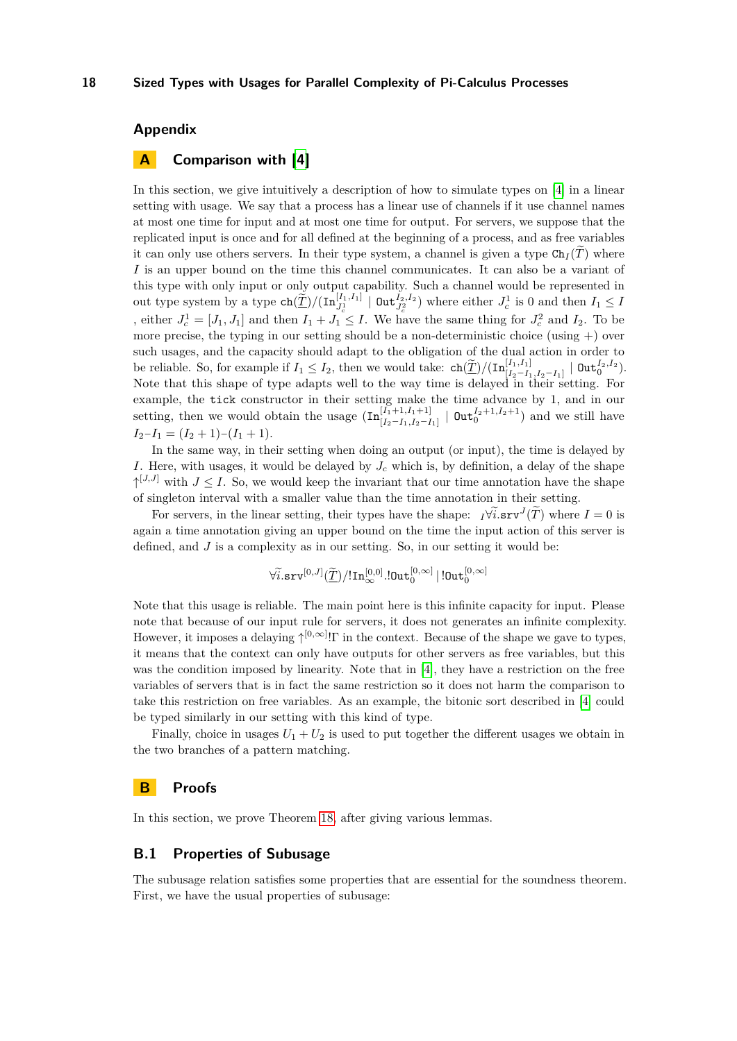# **Appendix**

# <span id="page-17-0"></span>**A Comparison with [\[4\]](#page-15-3)**

In this section, we give intuitively a description of how to simulate types on [\[4\]](#page-15-3) in a linear setting with usage. We say that a process has a linear use of channels if it use channel names at most one time for input and at most one time for output. For servers, we suppose that the replicated input is once and for all defined at the beginning of a process, and as free variables it can only use others servers. In their type system, a channel is given a type  $Ch_I(T)$  where *I* is an upper bound on the time this channel communicates. It can also be a variant of this type with only input or only output capability. Such a channel would be represented in out type system by a type  $\text{ch}(\underline{\widetilde{T}})/(\text{In}_{J_c^1}^{[I_1,I_1]} \mid \text{Out}_{J_c^2}^{I_2,I_2})$  where either  $J_c^1$  is 0 and then  $I_1 \leq I$ , either  $J_c^1 = [J_1, J_1]$  and then  $I_1 + J_1 \leq I$ . We have the same thing for  $J_c^2$  and  $I_2$ . To be more precise, the typing in our setting should be a non-deterministic choice (using  $+)$  over such usages, and the capacity should adapt to the obligation of the dual action in order to be reliable. So, for example if  $I_1 \leq I_2$ , then we would take:  $\text{ch}(\underline{\widetilde{T}})/(\text{In}_{[I_2-I_1,I_2-I_1]}^{[I_1,I_1]} \mid \text{Out}_{0}^{I_2,I_2}).$ Note that this shape of type adapts well to the way time is delayed in their setting. For example, the tick constructor in their setting make the time advance by 1, and in our setting, then we would obtain the usage  $(\text{In}_{[I_2-I_1,I_2-I_1]}^{[I_1+1,I_1+1]} \mid \text{Out}_{0}^{I_2+1,I_2+1})$  and we still have  $I_2-I_1 = (I_2+1)-(I_1+1).$ 

In the same way, in their setting when doing an output (or input), the time is delayed by *I*. Here, with usages, it would be delayed by  $J_c$  which is, by definition, a delay of the shape  $\uparrow^{[J,J]}$  with  $J \leq I$ . So, we would keep the invariant that our time annotation have the shape of singleton interval with a smaller value than the time annotation in their setting.

For servers, in the linear setting, their types have the shape:  $I\forall \tilde{i}$ .srv $J(\tilde{T})$  where  $I=0$  is again a time annotation giving an upper bound on the time the input action of this server is defined, and  $J$  is a complexity as in our setting. So, in our setting it would be:

$$
\forall \widetilde{i}. \texttt{srv}^{[0,J]}(\widetilde{\underline{T}})/!\texttt{In}^{[0,0]}_\infty.\texttt{IOut}^{[0,\infty]}_0 \,|\,!\texttt{IOut}^{[0,\infty]}_0
$$

Note that this usage is reliable. The main point here is this infinite capacity for input. Please note that because of our input rule for servers, it does not generates an infinite complexity. However, it imposes a delaying ↑ [0*,*∞] !Γ in the context. Because of the shape we gave to types, it means that the context can only have outputs for other servers as free variables, but this was the condition imposed by linearity. Note that in [\[4\]](#page-15-3), they have a restriction on the free variables of servers that is in fact the same restriction so it does not harm the comparison to take this restriction on free variables. As an example, the bitonic sort described in [\[4\]](#page-15-3) could be typed similarly in our setting with this kind of type.

Finally, choice in usages  $U_1 + U_2$  is used to put together the different usages we obtain in the two branches of a pattern matching.

# **B Proofs**

In this section, we prove Theorem [18,](#page-10-2) after giving various lemmas.

### **B.1 Properties of Subusage**

<span id="page-17-1"></span>The subusage relation satisfies some properties that are essential for the soundness theorem. First, we have the usual properties of subusage: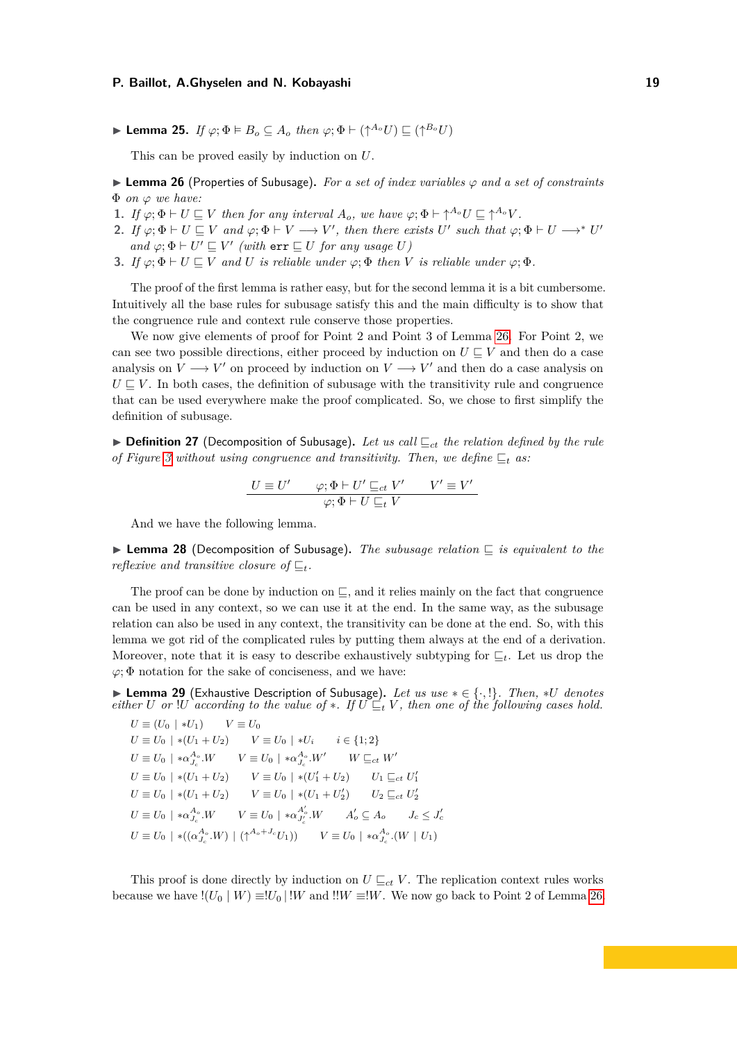▶ **Lemma 25.** *If*  $\varphi$ ;  $\Phi \models B_o \subseteq A_o$  *then*  $\varphi$ ;  $\Phi \vdash (\uparrow^{A_o} U) \sqsubseteq (\uparrow^{B_o} U)$ 

This can be proved easily by induction on *U*.

▶ **Lemma 26** (Properties of Subusage)**.** *For a set of index variables φ and a set of constraints* Φ *on φ we have:*

- **1.** *If*  $\varphi; \Phi \vdash U \sqsubseteq V$  *then for any interval*  $A_o$ *, we have*  $\varphi; \Phi \vdash \uparrow^{A_o} U \sqsubseteq \uparrow^{A_o} V$ *.*
- **2.** *If*  $\varphi; \Phi \vdash U \sqsubseteq V$  *and*  $\varphi; \Phi \vdash V \longrightarrow V'$ , *then there exists U' such that*  $\varphi; \Phi \vdash U \longrightarrow^* U'$ *and*  $\varphi$ ;  $\Phi \vdash U' \sqsubseteq V'$  (with  $err \sqsubseteq U$  *for any usage U*)
- <span id="page-18-0"></span>**3.** *If*  $\varphi$ ;  $\Phi \vdash U \sqsubseteq V$  *and U is reliable under*  $\varphi$ ;  $\Phi$  *then V is reliable under*  $\varphi$ ;  $\Phi$ *.*

The proof of the first lemma is rather easy, but for the second lemma it is a bit cumbersome. Intuitively all the base rules for subusage satisfy this and the main difficulty is to show that the congruence rule and context rule conserve those properties.

We now give elements of proof for Point 2 and Point 3 of Lemma [26.](#page-18-0) For Point 2, we can see two possible directions, either proceed by induction on  $U \subseteq V$  and then do a case analysis on  $V \longrightarrow V'$  on proceed by induction on  $V \longrightarrow V'$  and then do a case analysis on  $U \subseteq V$ . In both cases, the definition of subusage with the transitivity rule and congruence that can be used everywhere make the proof complicated. So, we chose to first simplify the definition of subusage.

▶ **Definition 27** (Decomposition of Subusage)**.** *Let us call* ⊑*ct the relation defined by the rule of Figure* [3](#page-7-0) without using congruence and transitivity. Then, we define  $\sqsubseteq_t$  as:

$$
\frac{U \equiv U' \qquad \varphi; \Phi \vdash U' \sqsubseteq_{ct} V' \qquad V' \equiv V'}{\varphi; \Phi \vdash U \sqsubseteq_{t} V}
$$

And we have the following lemma.

<span id="page-18-1"></span>▶ **Lemma 28** (Decomposition of Subusage)**.** *The subusage relation* ⊑ *is equivalent to the reflexive and transitive closure of* ⊑*t.*

The proof can be done by induction on  $\Box$ , and it relies mainly on the fact that congruence can be used in any context, so we can use it at the end. In the same way, as the subusage relation can also be used in any context, the transitivity can be done at the end. So, with this lemma we got rid of the complicated rules by putting them always at the end of a derivation. Moreover, note that it is easy to describe exhaustively subtyping for ⊑*t*. Let us drop the  $\varphi$ ;  $\Phi$  notation for the sake of conciseness, and we have:

<span id="page-18-2"></span>▶ **Lemma 29** (Exhaustive Description of Subusage)**.** *Let us use* ∗ ∈ {·*,* !}*. Then,* ∗*U denotes either U* or !*U according to the value of*  $*$ *. If*  $U \subseteq_t V$ *, then one of the following cases hold.* 

 $U \equiv (U_0 \mid *U_1)$   $V \equiv U_0$ *U* ≡ *U*<sub>0</sub> |  $*(U_1 + U_2)$  *V* ≡ *U*<sub>0</sub> |  $*U_i$  *i* ∈ {1; 2}  $U \equiv U_0 + * \alpha_{J_c}^{A_o}.W$   $V \equiv U_0 + * \alpha_{J_c}^{A_o}.W'$   $W \sqsubseteq_{ct} W'$  $U \equiv U_0 \mid * (U_1 + U_2)$   $V \equiv U_0 \mid * (U'_1 + U_2)$   $U_1 \sqsubseteq_{ct} U'_1$  $U \equiv U_0 + U_1 + U_2$   $V \equiv U_0 + U_1 + U_2'$   $U_2 \sqsubseteq_{ct} U_2'$  $U \equiv U_0 \mid * \alpha_{J_c}^{A_o} . W \qquad V \equiv U_0 \mid * \alpha_{J_c'}^{A_o'} . W \qquad A_o' \subseteq A_o \qquad J_c \leq J_c'$ *c*  $U \equiv U_0 + *((\alpha_{J_c}^{A_o}.W) + (\uparrow^{A_o+J_c}U_1))$   $V \equiv U_0 + * \alpha_{J_c}^{A_o}.(W \mid U_1)$ 

This proof is done directly by induction on  $U \sqsubseteq_{ct} V$ . The replication context rules works because we have  $!(U_0 | W) \equiv !U_0 | !W$  and  $!!W \equiv !W$ . We now go back to Point 2 of Lemma [26.](#page-18-0)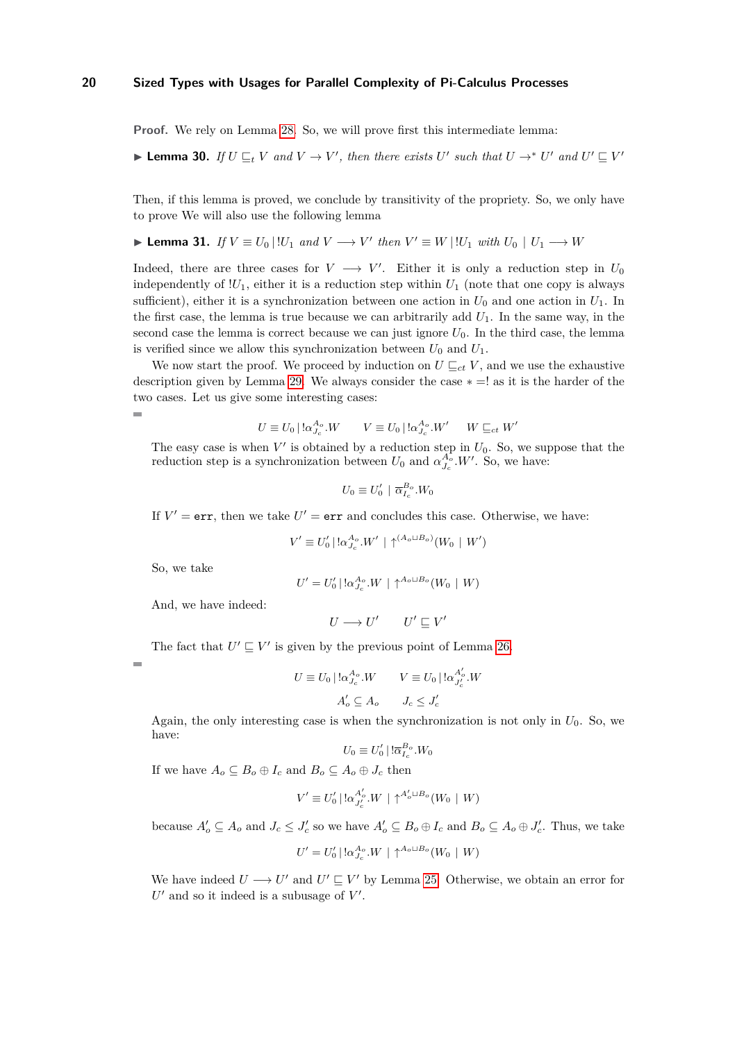<span id="page-19-0"></span>**Proof.** We rely on Lemma [28.](#page-18-1) So, we will prove first this intermediate lemma:

▶ **Lemma 30.** *If*  $U \subseteq_L V$  *and*  $V \to V'$ , *then there exists*  $U'$  *such that*  $U \to^* U'$  *and*  $U' \subseteq V'$ 

Then, if this lemma is proved, we conclude by transitivity of the propriety. So, we only have to prove We will also use the following lemma

▶ **Lemma 31.** *If*  $V \equiv U_0 | U_1$  *and*  $V \rightarrow V'$  *then*  $V' \equiv W | U_1$  *with*  $U_0 | U_1 \rightarrow W$ 

Indeed, there are three cases for  $V \longrightarrow V'$ . Either it is only a reduction step in  $U_0$ independently of  $!U_1$ , either it is a reduction step within  $U_1$  (note that one copy is always sufficient), either it is a synchronization between one action in  $U_0$  and one action in  $U_1$ . In the first case, the lemma is true because we can arbitrarily add  $U_1$ . In the same way, in the second case the lemma is correct because we can just ignore  $U_0$ . In the third case, the lemma is verified since we allow this synchronization between  $U_0$  and  $U_1$ .

We now start the proof. We proceed by induction on  $U \sqsubseteq_{ct} V$ , and we use the exhaustive description given by Lemma [29.](#page-18-2) We always consider the case  $* = !$  as it is the harder of the two cases. Let us give some interesting cases:

$$
U \equiv U_0 \mid \! \log_{J_c}^{A_o} \! . W \qquad V \equiv U_0 \mid \! \log_{J_c}^{A_o} \! . W' \qquad W \sqsubseteq_{ct} W'
$$

The easy case is when  $V'$  is obtained by a reduction step in  $U_0$ . So, we suppose that the reduction step is a synchronization between  $U_0$  and  $\alpha_{J_c}^{A_o}$ . W'. So, we have:

$$
U_0 \equiv U'_0 \mid \overline{\alpha}_{I_c}^{B_o} . W_0
$$

If  $V' = err$ , then we take  $U' = err$  and concludes this case. Otherwise, we have:

$$
V' \equiv U_0' | \, !\alpha_{J_c}^{A_o} . W' | \uparrow^{(A_o \sqcup B_o)}(W_0 | W')
$$

So, we take

$$
U' = U'_0 \mid \! \log_{J_c}^{A_o} W \mid \uparrow^{A_o \sqcup B_o} (W_0 \mid W)
$$

And, we have indeed:

$$
U\longrightarrow U'\qquad U'\sqsubseteq V'
$$

The fact that  $U' \sqsubseteq V'$  is given by the previous point of Lemma [26.](#page-18-0)

$$
\overline{a}
$$

÷

$$
U \equiv U_0 \mid \ln_{J_c}^{A_o} W \qquad V \equiv U_0 \mid \ln_{J_c'}^{A_o'} W
$$

$$
A_o' \subseteq A_o \qquad J_c \le J_c'
$$

Again, the only interesting case is when the synchronization is not only in  $U_0$ . So, we have:

$$
U_0 \equiv U'_0 \mid !\overline{\alpha}_{I_c}^{B_o}.W_0
$$

If we have  $A_o \subseteq B_o \oplus I_c$  and  $B_o \subseteq A_o \oplus J_c$  then

$$
V' \equiv U'_0 \,|\,!\,\alpha_{J'_c}^{A'_o} \,.\!W \,|\, \uparrow^{A'_o \sqcup B_o}(W_0 \,|\, W)
$$

because  $A'_o \subseteq A_o$  and  $J_c \leq J'_c$  so we have  $A'_o \subseteq B_o \oplus I_c$  and  $B_o \subseteq A_o \oplus J'_c$ . Thus, we take

$$
U' = U'_0 \mid \cdot \alpha_{J_c}^{A_o} . W \mid \uparrow^{A_o \sqcup B_o} (W_0 \mid W)
$$

We have indeed  $U \longrightarrow U'$  and  $U' \sqsubseteq V'$  by Lemma [25.](#page-17-1) Otherwise, we obtain an error for  $U'$  and so it indeed is a subusage of  $V'$ .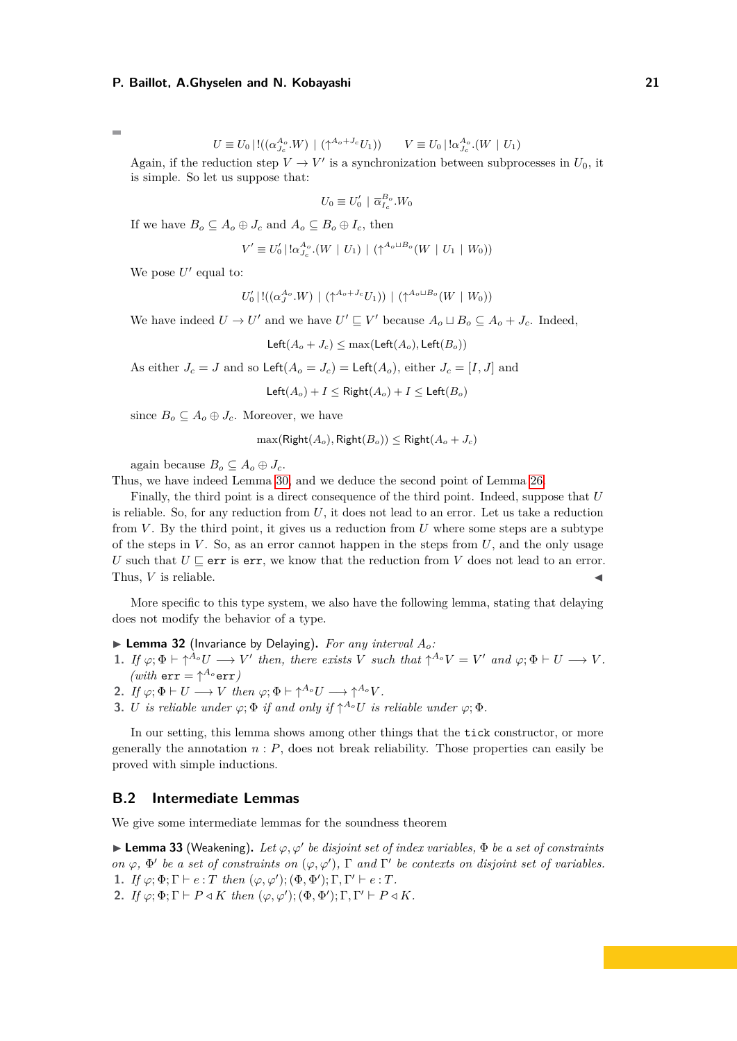Ē.

$$
U \equiv U_0 \mid !((\alpha_{J_c}^{A_o} . W) \mid (\uparrow^{A_o + J_c} U_1)) \qquad V \equiv U_0 \mid !\alpha_{J_c}^{A_o} . (W \mid U_1)
$$

Again, if the reduction step  $V \to V'$  is a synchronization between subprocesses in  $U_0$ , it is simple. So let us suppose that:

$$
U_0\equiv U_0'\,\mid\,\overline\alpha_{I_c}^{B_o}.W_0
$$

If we have  $B_o \subseteq A_o \oplus J_c$  and  $A_o \subseteq B_o \oplus I_c$ , then

$$
V' \equiv U'_0 \mid \ln_{J_c}^{A_o} (W \mid U_1) \mid (\uparrow^{A_o \sqcup B_o} (W \mid U_1 \mid W_0))
$$

We pose  $U'$  equal to:

$$
U_0' \,|\, !((\alpha_J^{A_o}.W) \,|\, (\uparrow^{A_o+J_c}U_1))\,|\, (\uparrow^{A_o\sqcup B_o}(W\,|\,W_0))
$$

We have indeed  $U \to U'$  and we have  $U' \sqsubseteq V'$  because  $A_o \sqcup B_o \subseteq A_o + J_c$ . Indeed,

$$
Left(A_o + J_c) \le \max(Left(A_o), Left(B_o))
$$

As either  $J_c = J$  and so  $\text{Left}(A_o = J_c) = \text{Left}(A_o)$ , either  $J_c = [I, J]$  and

Left $(A_o) + I \leq$  Right $(A_o) + I \leq$  Left $(B_o)$ 

since  $B_o \subseteq A_o \oplus J_c$ . Moreover, we have

$$
\max(\mathsf{Right}(A_o), \mathsf{Right}(B_o)) \leq \mathsf{Right}(A_o + J_c)
$$

again because  $B_o \subseteq A_o \oplus J_c$ .

Thus, we have indeed Lemma [30,](#page-19-0) and we deduce the second point of Lemma [26.](#page-18-0)

Finally, the third point is a direct consequence of the third point. Indeed, suppose that *U* is reliable. So, for any reduction from *U*, it does not lead to an error. Let us take a reduction from *V* . By the third point, it gives us a reduction from *U* where some steps are a subtype of the steps in  $V$ . So, as an error cannot happen in the steps from  $U$ , and the only usage *U* such that  $U \sqsubseteq$  err is err, we know that the reduction from *V* does not lead to an error. Thus,  $V$  is reliable.

More specific to this type system, we also have the following lemma, stating that delaying does not modify the behavior of a type.

- $\blacktriangleright$  **Lemma 32** (Invariance by Delaying). For any interval  $A_o$ :
- **1.** If  $\varphi; \Phi \vdash \uparrow^{A_o} U \longrightarrow V'$  then, there exists *V* such that  $\uparrow^{A_o} V = V'$  and  $\varphi; \Phi \vdash U \longrightarrow V$ .  $(with$  err =  $\uparrow^{A_o}$ err)
- **2.** *If*  $\varphi; \Phi \vdash U \longrightarrow V$  *then*  $\varphi; \Phi \vdash \uparrow^{A_o} U \longrightarrow \uparrow^{A_o} V$ .
- <span id="page-20-2"></span>**3.** *U is reliable under*  $\varphi$ ;  $\Phi$  *if and only if*  $\uparrow^{A_o} U$  *is reliable under*  $\varphi$ ;  $\Phi$ *.*

In our setting, this lemma shows among other things that the tick constructor, or more generally the annotation  $n : P$ , does not break reliability. Those properties can easily be proved with simple inductions.

### <span id="page-20-0"></span>**B.2 Intermediate Lemmas**

We give some intermediate lemmas for the soundness theorem

 $\blacktriangleright$  **Lemma 33** (Weakening). Let  $\varphi, \varphi'$  be disjoint set of index variables,  $\Phi$  be a set of constraints *on*  $\varphi$ ,  $\Phi'$  *be a set of constraints on*  $(\varphi, \varphi')$ ,  $\Gamma$  *and*  $\Gamma'$  *be contexts on disjoint set of variables.* **1.** *If*  $\varphi; \Phi; \Gamma \vdash e : T$  *then*  $(\varphi, \varphi'); (\Phi, \Phi'); \Gamma, \Gamma' \vdash e : T$ *.* 

<span id="page-20-1"></span>**2.** *If*  $\varphi$ ;  $\Phi$ ;  $\Gamma$   $\vdash$   $P \triangleleft K$  *then*  $(\varphi, \varphi')$ ;  $(\Phi, \Phi')$ ;  $\Gamma$ ,  $\Gamma' \vdash P \triangleleft K$ *.*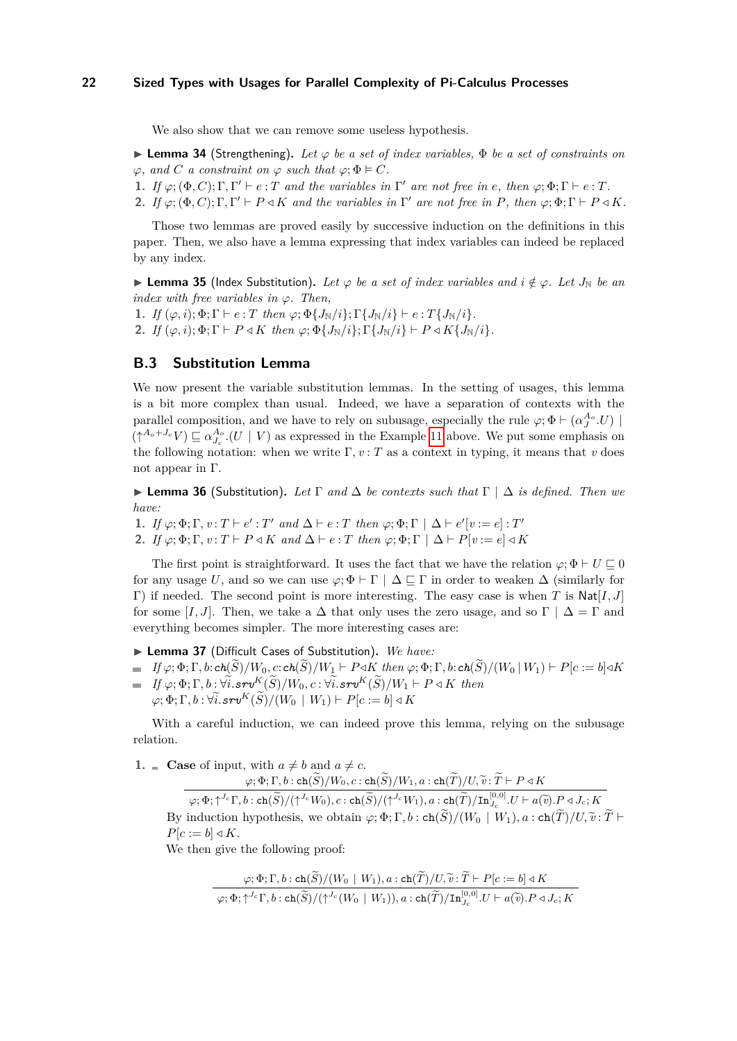We also show that we can remove some useless hypothesis.

 $\blacktriangleright$  **Lemma 34** (Strengthening). Let  $\varphi$  be a set of index variables,  $\Phi$  be a set of constraints on  $\varphi$ *, and C a constraint on*  $\varphi$  *such that*  $\varphi$ ;  $\Phi \models C$ *.* 

- **1.** If  $\varphi$ ;  $(\Phi, C)$ ;  $\Gamma$ ,  $\Gamma' \vdash e : T$  and the variables in  $\Gamma'$  are not free in e, then  $\varphi$ ;  $\Phi$ ;  $\Gamma \vdash e : T$ .
- <span id="page-21-1"></span>**2.** *If*  $\varphi$ ;  $(\Phi, C)$ ;  $\Gamma$ ,  $\Gamma' \vdash P \triangleleft K$  *and the variables in*  $\Gamma'$  *are not free in*  $P$ *, then*  $\varphi$ ;  $\Phi$ ;  $\Gamma \vdash P \triangleleft K$ *.*

Those two lemmas are proved easily by successive induction on the definitions in this paper. Then, we also have a lemma expressing that index variables can indeed be replaced by any index.

▶ **Lemma 35** (Index Substitution). Let  $\varphi$  be a set of index variables and  $i \notin \varphi$ . Let  $J_N$  be an *index with free variables in φ. Then,*

<span id="page-21-2"></span>**1.** *If*  $(\varphi, i); \Phi; \Gamma \vdash e : T$  *then*  $\varphi; \Phi\{J_N/i\}; \Gamma\{J_N/i\} \vdash e : T\{J_N/i\}.$ **2.** *If*  $(\varphi, i); \Phi; \Gamma \vdash P \triangleleft K$  *then*  $\varphi; \Phi\{J_N/i\}; \Gamma\{J_N/i\} \vdash P \triangleleft K\{J_N/i\}.$ 

### **B.3 Substitution Lemma**

We now present the variable substitution lemmas. In the setting of usages, this lemma is a bit more complex than usual. Indeed, we have a separation of contexts with the parallel composition, and we have to rely on subusage, especially the rule  $\varphi$ ;  $\Phi \vdash (\alpha_J^{A_o}.U)$  $(\uparrow^{A_o+J_c}V) \sqsubseteq \alpha_{J_c}^{A_o}.(U \mid V)$  as expressed in the Example [11](#page-6-1) above. We put some emphasis on the following notation: when we write  $\Gamma, v: T$  as a context in typing, it means that *v* does not appear in Γ.

▶ **Lemma 36** (Substitution)**.** *Let* Γ *and* ∆ *be contexts such that* Γ | ∆ *is defined. Then we have:*

- **1.** *If*  $\varphi; \Phi; \Gamma, v: T \vdash e': T'$  and  $\Delta \vdash e: T$  then  $\varphi; \Phi; \Gamma \mid \Delta \vdash e'[v := e]: T'$
- <span id="page-21-0"></span>**2.** *If*  $\varphi; \Phi; \Gamma, v: T \vdash P \triangleleft K$  *and*  $\Delta \vdash e: T$  *then*  $\varphi; \Phi; \Gamma \mid \Delta \vdash P[v := e] \triangleleft K$

The first point is straightforward. It uses the fact that we have the relation  $\varphi$ ;  $\Phi \vdash U \sqsubseteq 0$ for any usage *U*, and so we can use  $\varphi$ ;  $\Phi \vdash \Gamma \mid \Delta \sqsubseteq \Gamma$  in order to weaken  $\Delta$  (similarly for Γ) if needed. The second point is more interesting. The easy case is when *T* is Nat[*I, J*] for some [*I, J*]. Then, we take a  $\Delta$  that only uses the zero usage, and so  $\Gamma | \Delta = \Gamma$  and everything becomes simpler. The more interesting cases are:

▶ **Lemma 37** (Difficult Cases of Substitution)**.** *We have:*

 $\blacksquare$  If  $\varphi; \Phi; \Gamma, b$ :  $ch(\widetilde{S})/W_0, c$ :  $ch(\widetilde{S})/W_1 \vdash P \triangleleft K$  then  $\varphi; \Phi; \Gamma, b$ :  $ch(\widetilde{S})/(W_0 \mid W_1) \vdash P[c := b] \triangleleft K$  $\hat{H} = H \varphi; \Phi; \Gamma, b : \forall \hat{i}. srv^K(\hat{S})/W_0, c : \forall \hat{i}. srv^K(\hat{S})/W_1 \vdash P \triangleleft K$  then  $\varphi$ ;  $\Phi$ ;  $\Gamma$ ,  $b$  :  $\forall i$ .*srv*<sup>*K*</sup>( $\widetilde{S}$ )/( $W_0 \mid W_1$ ) ⊢  $P[c := b] \triangleleft K$ 

With a careful induction, we can indeed prove this lemma, relying on the subusage relation.

**1.**  $\blacksquare$  **Case** of input, with  $a \neq b$  and  $a \neq c$ .

 $\phi(\varphi;\Phi;\Gamma,b:\texttt{ch}(\widetilde{S})/W_0,c:\texttt{ch}(\widetilde{S})/W_1,a:\texttt{ch}(\widetilde{T})/U,\widetilde{v}:\widetilde{T}\vdash P\triangleleft K$ 

 $\varphi; \Phi; \uparrow^{J_c}\Gamma, b : \mathsf{ch}(\widetilde{S})/(\uparrow^{J_c}W_0), c : \mathsf{ch}(\widetilde{S})/(\uparrow^{J_c}W_1), a : \mathsf{ch}(\widetilde{T})/\mathbf{In}_{J_c}^{[0,0]} \cdot U \vdash a(\widetilde{v}) \cdot P \triangleleft J_c; K$ By induction hypothesis, we obtain  $\varphi$ ;  $\Phi$ ;  $\Gamma$ ,  $b$  : ch( $\widetilde{S}$ )/( $W_0 \mid W_1$ ),  $a$  : ch( $\widetilde{T}$ )/ $U$ ,  $\widetilde{v}$  :  $\widetilde{T}$   $\vdash$  $P[c := b] \triangleleft K$ .

We then give the following proof:

$$
\varphi; \Phi; \Gamma, b: \text{ch}(\widetilde{S})/(W_0 \mid W_1), a: \text{ch}(\widetilde{T})/U, \widetilde{v}: \widetilde{T} \vdash P[c := b] \triangleleft K
$$
  

$$
\varphi; \Phi; \uparrow^{J_c} \Gamma, b: \text{ch}(\widetilde{S})/(\uparrow^{J_c}(W_0 \mid W_1)), a: \text{ch}(\widetilde{T})/\text{In}_{J_c}^{[0,0]} \cup \vdash a(\widetilde{v}).P \triangleleft J_c; K
$$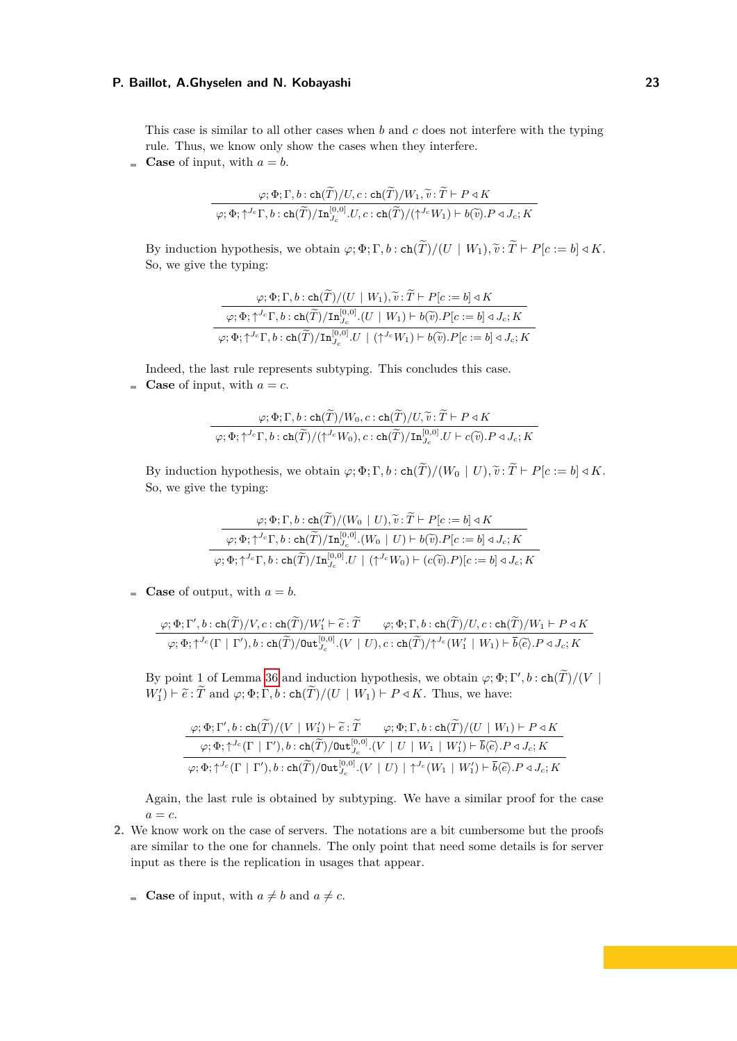This case is similar to all other cases when *b* and *c* does not interfere with the typing rule. Thus, we know only show the cases when they interfere.

**Case** of input, with  $a = b$ .

$$
\frac{\varphi; \Phi; \Gamma, b: \operatorname{ch}(\widetilde{T})/U, c: \operatorname{ch}(\widetilde{T})/W_1, \widetilde{v}: \widetilde{T} \vdash P \triangleleft K}{\varphi; \Phi; \uparrow^{J_c} \Gamma, b: \operatorname{ch}(\widetilde{T})/\operatorname{In}_{J_c}^{[0,0]} \ldots, C: \operatorname{ch}(\widetilde{T})/(\uparrow^{J_c} W_1) \vdash b(\widetilde{v}).P \triangleleft J_c; K}
$$

By induction hypothesis, we obtain  $\varphi$ ;  $\Phi$ ;  $\Gamma$ ,  $b$  :  $\operatorname{ch}(\widetilde{T})/(U \mid W_1)$ ,  $\widetilde{v}$ :  $\widetilde{T} \vdash P[c := b] \triangleleft K$ . So, we give the typing:

$$
\frac{\varphi; \Phi; \Gamma, b: \operatorname{ch}(\widetilde{T})/(U \mid W_1), \widetilde{v}: \widetilde{T} \vdash P[c := b] \triangleleft K}{\varphi; \Phi; \uparrow^{J_c} \Gamma, b: \operatorname{ch}(\widetilde{T})/\operatorname{In}_{J_c}^{[0,0]}.(U \mid W_1) \vdash b(\widetilde{v}).P[c := b] \triangleleft J_c; K}
$$
  

$$
\varphi; \Phi; \uparrow^{J_c} \Gamma, b: \operatorname{ch}(\widetilde{T})/\operatorname{In}_{J_c}^{[0,0]}.(U \mid (\uparrow^{J_c} W_1) \vdash b(\widetilde{v}).P[c := b] \triangleleft J_c; K
$$

Indeed, the last rule represents subtyping. This concludes this case. **Case** of input, with  $a = c$ .

$$
\frac{\varphi; \Phi; \Gamma, b: \operatorname{ch}(\widetilde{T})/W_0, c: \operatorname{ch}(\widetilde{T})/U, \widetilde{v}: \widetilde{T} \vdash P \triangleleft K}{\varphi; \Phi; \uparrow^{J_c} \Gamma, b: \operatorname{ch}(\widetilde{T})/(\uparrow^{J_c} W_0), c: \operatorname{ch}(\widetilde{T})/\operatorname{In}_{J_c}^{[0,0]} U \vdash c(\widetilde{v}).P \triangleleft J_c; K}
$$

By induction hypothesis, we obtain  $\varphi$ ;  $\Phi$ ;  $\Gamma$ ,  $b$  :  $\operatorname{ch}(\widetilde{T})/(W_0 \mid U)$ ,  $\widetilde{v}$ :  $\widetilde{T} \vdash P[c := b] \triangleleft K$ . So, we give the typing:

$$
\dfrac{\varphi; \Phi; \Gamma, b: \mathrm{ch}(\widetilde{T})/(W_0\mid U), \widetilde{v}: \widetilde{T} \vdash P[c := b] \triangleleft K}{\varphi; \Phi; \uparrow^{J_c}\Gamma, b: \mathrm{ch}(\widetilde{T})/\mathrm{In}_{J_c}^{[0,0]}.(W_0\mid U) \vdash b(\widetilde{v}).P[c := b] \triangleleft J_c; K}\\ \varphi; \Phi; \uparrow^{J_c}\Gamma, b: \mathrm{ch}(\widetilde{T})/\mathrm{In}_{J_c}^{[0,0]} .U\mid (\uparrow^{J_c}W_0) \vdash (c(\widetilde{v}).P)[c := b] \triangleleft J_c; K}
$$

**Case** of output, with  $a = b$ .

$$
\frac{\varphi; \Phi; \Gamma', b: \text{ch}(\widetilde{T})/V, c: \text{ch}(\widetilde{T})/W_1' \vdash \widetilde{e}: \widetilde{T} \qquad \varphi; \Phi; \Gamma, b: \text{ch}(\widetilde{T})/U, c: \text{ch}(\widetilde{T})/W_1 \vdash P \triangleleft K}{\varphi; \Phi; \uparrow^{J_c}(\Gamma \mid \Gamma'), b: \text{ch}(\widetilde{T})/ \text{Out}_{J_c}^{[0,0]}.(V \mid U), c: \text{ch}(\widetilde{T})/\uparrow^{J_c}(W_1' \mid W_1) \vdash \overline{b} \langle \widetilde{e} \rangle. P \triangleleft J_c; K}
$$

By point 1 of Lemma [36](#page-21-0) and induction hypothesis, we obtain  $\varphi$ ;  $\Phi$ ; Γ',  $b$  : ch( $\widetilde{T}$ )/( $V$  |  $W'_1$ ) ⊢  $\widetilde{e}$ :  $\widetilde{T}$  and  $\varphi$ ;  $\Phi$ ;  $\Gamma$ ,  $b$ : ch( $\widetilde{T}$ )*/*( $U \mid W_1$ ) ⊢  $P \triangleleft K$ . Thus, we have:

$$
\frac{\varphi; \Phi; \Gamma', b: \operatorname{ch}(\widetilde{T})/(V \mid W_1') \vdash \widetilde{e}: \widetilde{T} \qquad \varphi; \Phi; \Gamma, b: \operatorname{ch}(\widetilde{T})/(U \mid W_1) \vdash P \triangleleft K}{\varphi; \Phi; \uparrow^{J_c}(\Gamma \mid \Gamma'), b: \operatorname{ch}(\widetilde{T})/\operatorname{Out}_{J_c}^{[0,0]}.(V \mid U \mid W_1 \mid W_1') \vdash \overline{b} \langle \widetilde{e} \rangle. P \triangleleft J_c; K} \\ \varphi; \Phi; \uparrow^{J_c}(\Gamma \mid \Gamma'), b: \operatorname{ch}(\widetilde{T})/\operatorname{Out}_{J_c}^{[0,0]}.(V \mid U) \mid \uparrow^{J_c}(W_1 \mid W_1') \vdash \overline{b} \langle \widetilde{e} \rangle. P \triangleleft J_c; K}
$$

Again, the last rule is obtained by subtyping. We have a similar proof for the case  $a = c$ .

- **2.** We know work on the case of servers. The notations are a bit cumbersome but the proofs are similar to the one for channels. The only point that need some details is for server input as there is the replication in usages that appear.
	- **Case** of input, with  $a \neq b$  and  $a \neq c$ .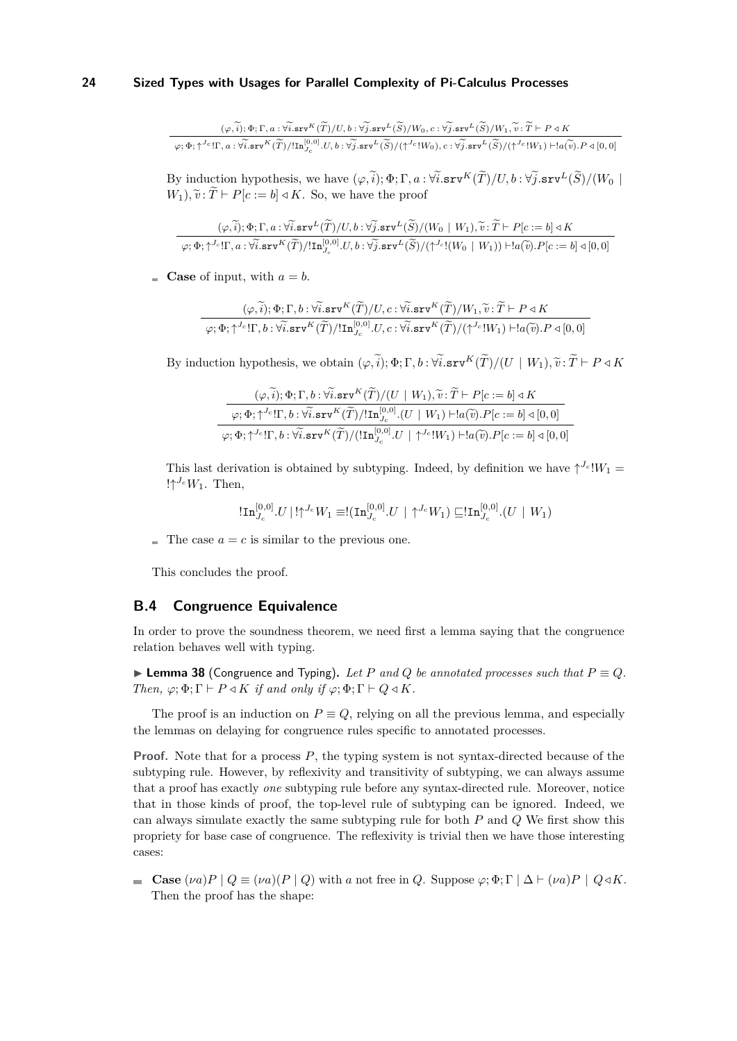$$
\frac{(\varphi,\widetilde{i});\Phi;\Gamma,a:\forall\widetilde{i}.\text{srv}^K(\widetilde{T})/U,b:\forall\widetilde{j}.\text{srv}^L(\widetilde{S})/W_0,c:\forall\widetilde{j}.\text{srv}^L(\widetilde{S})/W_1,\widetilde{v}:\widetilde{T}\vdash P\triangleleft K}{\varphi;\Phi;\uparrow^{J_c}!\Gamma,a:\forall\widetilde{i}.\text{srv}^K(\widetilde{T})/!\text{In}_{J_c}^{[0,0]}.U,b:\forall\widetilde{j}.\text{srv}^L(\widetilde{S})/(\uparrow^{J_c}!W_0),c:\forall\widetilde{j}.\text{srv}^L(\widetilde{S})/(\uparrow^{J_c}!W_1)\vdash !a(\widetilde{v}).P\triangleleft[0,0]}
$$

By induction hypothesis, we have  $(\varphi, \tilde{i}); \Phi; \Gamma, a : \forall \tilde{i}.\text{srv}^K(\tilde{T})/U, b : \forall \tilde{j}.\text{srv}^L(\tilde{S})/(W_0)$  $W_1$ ,  $\tilde{v}$  :  $\tilde{T} \vdash P[c := b] \triangleleft K$ . So, we have the proof

$$
\frac{(\varphi,\widetilde{i});\Phi;\Gamma,a:\widetilde{\forall i}.\mathtt{srv}^L(\widetilde{T})/U,b:\widetilde{\forall j}.\mathtt{srv}^L(\widetilde{S})/(W_0+W_1),\widetilde{v}:\widetilde{T}\vdash P[c:=b]\triangleleft K}{\varphi;\Phi;\uparrow^{J_c}\Gamma,a:\widetilde{\forall i}.\mathtt{srv}^K(\widetilde{T})/\mathrm{In}_{J_c}^{[0,0]}U,b:\widetilde{\forall j}.\mathtt{srv}^L(\widetilde{S})/(\uparrow^{J_c}\mathbb{I}(W_0+W_1))\vdash !a(\widetilde{v}).P[c:=b]\triangleleft [0,0]}
$$

**Case** of input, with  $a = b$ .

$$
(\varphi, \widetilde{i}); \Phi; \Gamma, b: \forall \widetilde{i}. \texttt{srv}^K(\widetilde{T})/U, c: \forall \widetilde{i}. \texttt{srv}^K(\widetilde{T})/W_1, \widetilde{v}: \widetilde{T} \vdash P \triangleleft K
$$
  

$$
\varphi; \Phi; \uparrow^{J_c}! \Gamma, b: \forall \widetilde{i}. \texttt{srv}^K(\widetilde{T})/!\texttt{In}_{J_c}^{[0,0]}U, c: \forall \widetilde{i}. \texttt{srv}^K(\widetilde{T})/(\uparrow^{J_c}! W_1) \vdash !a(\widetilde{v}).P \triangleleft [0, 0]
$$

By induction hypothesis, we obtain  $(\varphi, \tilde{i}); \Phi; \Gamma, b : \forall \tilde{i}.\text{srv}^K(\tilde{T})/(U \mid W_1), \tilde{v} : \tilde{T} \vdash P \triangleleft K$ 

$$
\frac{(\varphi, \widetilde{i}); \Phi; \Gamma, b: \widetilde{\forall i}.\mathtt{srv}^K(\widetilde{T})/(U \mid W_1), \widetilde{v}: \widetilde{T} \vdash P[c := b] \triangleleft K}{\varphi; \Phi; \uparrow^{J_c}! \Gamma, b: \widetilde{\forall i}.\mathtt{srv}^K(\widetilde{T})/!\mathtt{In}_{J_c}^{[0,0]}.(U \mid W_1) \vdash !a(\widetilde{v}).P[c := b] \triangleleft [0, 0]}
$$

$$
\varphi; \Phi; \uparrow^{J_c}! \Gamma, b: \widetilde{\forall i}.\mathtt{srv}^K(\widetilde{T})/(!\mathtt{In}_{J_c}^{[0,0]}.(U \mid \uparrow^{J_c}! W_1) \vdash !a(\widetilde{v}).P[c := b] \triangleleft [0, 0]
$$

This last derivation is obtained by subtyping. Indeed, by definition we have  $\uparrow^{J_c} W_1 =$  $!\uparrow^{J_c} W_1$ . Then,

$$
!\mathbf{In}_{J_c}^{[0,0]} . U \mid !{\uparrow}^{J_c} W_1 \equiv !(\mathbf{In}_{J_c}^{[0,0]}. U \mid {\uparrow}^{J_c} W_1) \sqsubseteq !\mathbf{In}_{J_c}^{[0,0]} . (U \mid W_1)
$$

 $\blacksquare$  The case  $a = c$  is similar to the previous one.

This concludes the proof.

### **B.4 Congruence Equivalence**

In order to prove the soundness theorem, we need first a lemma saying that the congruence relation behaves well with typing.

<span id="page-23-0"></span>▶ **Lemma 38** (Congruence and Typing). Let P and Q be annotated processes such that  $P \equiv Q$ . *Then,*  $\varphi$ ;  $\Phi$ ;  $\Gamma$   $\vdash$  *P*  $\triangleleft K$  *if and only if*  $\varphi$ ;  $\Phi$ ;  $\Gamma$   $\vdash$  *Q*  $\triangleleft K$ *.* 

The proof is an induction on  $P \equiv Q$ , relying on all the previous lemma, and especially the lemmas on delaying for congruence rules specific to annotated processes.

**Proof.** Note that for a process *P*, the typing system is not syntax-directed because of the subtyping rule. However, by reflexivity and transitivity of subtyping, we can always assume that a proof has exactly *one* subtyping rule before any syntax-directed rule. Moreover, notice that in those kinds of proof, the top-level rule of subtyping can be ignored. Indeed, we can always simulate exactly the same subtyping rule for both *P* and *Q* We first show this propriety for base case of congruence. The reflexivity is trivial then we have those interesting cases:

**Case**  $(\nu a)P \mid Q \equiv (\nu a)(P \mid Q)$  with *a* not free in *Q*. Suppose  $\varphi$ ;  $\Phi$ ;  $\Gamma \mid \Delta \vdash (\nu a)P \mid Q \triangleleft K$ . Then the proof has the shape: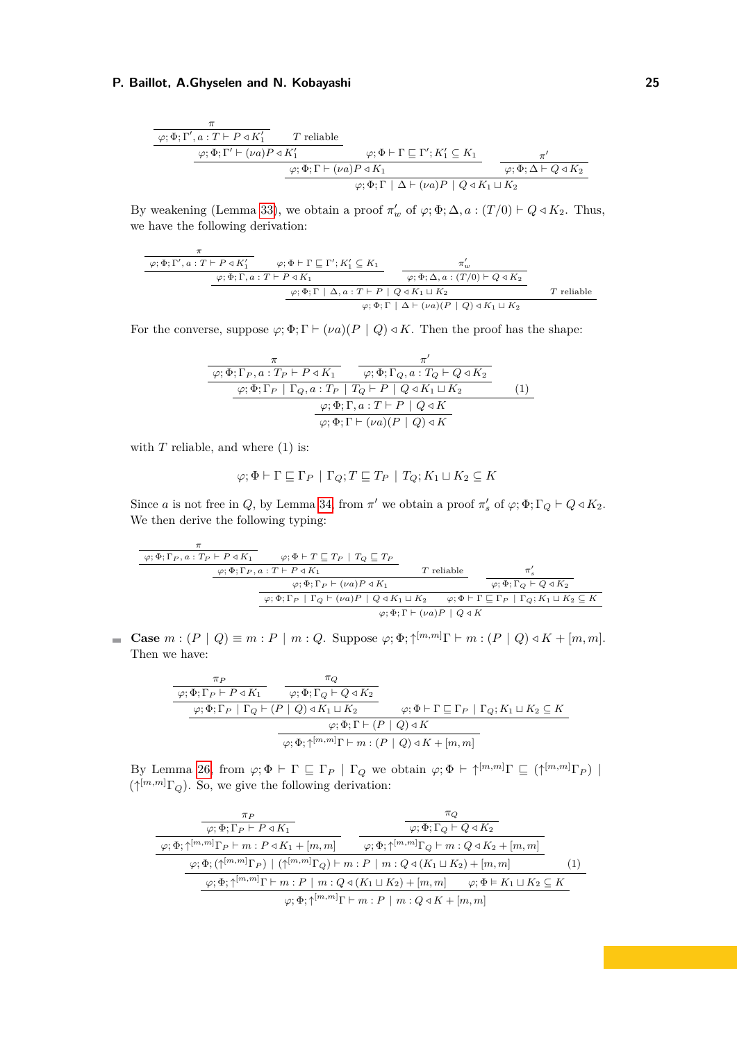$$
\begin{array}{c}\n\overbrace{\varphi;\Phi;\Gamma',a:T\vdash P\triangleleft K_1'}^{\pi} & T \text{ reliable} \\
\overbrace{\varphi;\Phi;\Gamma'\vdash (\nu a)P\triangleleft K_1'}^{\varphi;\Phi;\Gamma'\vdash (\nu a)P\triangleleft K_1} & \varphi;\Phi\vdash\Gamma\sqsubseteq\Gamma';K_1'\subseteq K_1 \\
\overbrace{\varphi;\Phi;\Gamma\vdash (\nu a)P\triangleleft K_1}^{\varphi;\Phi;\Gamma\vdash (\nu a)P\triangleleft K_1} & \overbrace{\varphi;\Phi;\Delta\vdash Q\triangleleft K_2}^{\pi'} \\
\end{array}
$$

By weakening (Lemma [33\)](#page-20-1), we obtain a proof  $\pi'_{w}$  of  $\varphi$ ;  $\Phi$ ;  $\Delta$ ,  $a$  :  $(T/0) \vdash Q \triangleleft K_2$ . Thus, we have the following derivation:

*π φ*; Φ; Γ′ *, a* : *T* ⊢ *P ◁ K*′ <sup>1</sup> *φ*; Φ ⊢ Γ ⊑ Γ ′ ; *K*′ <sup>1</sup> ⊆ *K*<sup>1</sup> *φ*; Φ; Γ*, a* : *T* ⊢ *P ◁ K*<sup>1</sup> *π* ′ *w φ*; Φ; ∆*, a* : (*T /*0) ⊢ *Q ◁ K*<sup>2</sup> *φ*; Φ; Γ | ∆*, a* : *T* ⊢ *P* | *Q ◁ K*<sup>1</sup> ⊔ *K*<sup>2</sup> *T* reliable *φ*; Φ; Γ | ∆ ⊢ (*νa*)(*P* | *Q*) *◁ K*<sup>1</sup> ⊔ *K*<sup>2</sup>

For the converse, suppose  $\varphi$ ;  $\Phi$ ;  $\Gamma \vdash (\nu a)(P \mid Q) \triangleleft K$ . Then the proof has the shape:

$$
\frac{\pi}{\varphi; \Phi; \Gamma_P, a: T_P \vdash P \triangleleft K_1} \quad \frac{\pi'}{\varphi; \Phi; \Gamma_Q, a: T_Q \vdash Q \triangleleft K_2}
$$
\n
$$
\frac{\varphi; \Phi; \Gamma_P \mid \Gamma_Q, a: T_P \mid T_Q \vdash P \mid Q \triangleleft K_1 \sqcup K_2}{\varphi; \Phi; \Gamma, a: T \vdash P \mid Q \triangleleft K}
$$
\n(1)\n
$$
\frac{\varphi; \Phi; \Gamma, a: T \vdash P \mid Q \triangleleft K}{\varphi; \Phi; \Gamma \vdash (\nu a)(P \mid Q) \triangleleft K}
$$

with  $T$  reliable, and where  $(1)$  is:

$$
\varphi ; \Phi \vdash \Gamma \sqsubseteq \Gamma_P \ | \ \Gamma_Q ; T \sqsubseteq T_P \ | \ T_Q ; K_1 \sqcup K_2 \subseteq K
$$

Since *a* is not free in *Q*, by Lemma [34,](#page-21-1) from  $\pi'$  we obtain a proof  $\pi'_{s}$  of  $\varphi$ ;  $\Phi$ ;  $\Gamma_Q \vdash Q \triangleleft K_2$ . We then derive the following typing:

*π φ*; Φ; Γ*<sup>P</sup> , a* : *T<sup>P</sup>* ⊢ *P ◁ K*<sup>1</sup> *φ*; Φ ⊢ *T* ⊑ *T<sup>P</sup>* | *T<sup>Q</sup>* ⊑ *T<sup>P</sup> φ*; Φ; Γ*<sup>P</sup> , a* : *T* ⊢ *P ◁ K*<sup>1</sup> *T* reliable *φ*; Φ; Γ*<sup>P</sup>* ⊢ (*νa*)*P ◁ K*<sup>1</sup> *π* ′ *s φ*; Φ; Γ*<sup>Q</sup>* ⊢ *Q ◁ K*<sup>2</sup> *φ*; Φ; Γ*<sup>P</sup>* | Γ*<sup>Q</sup>* ⊢ (*νa*)*P* | *Q ◁ K*<sup>1</sup> ⊔ *K*<sup>2</sup> *φ*; Φ ⊢ Γ ⊑ Γ*<sup>P</sup>* | Γ*Q*; *K*<sup>1</sup> ⊔ *K*<sup>2</sup> ⊆ *K φ*; Φ; Γ ⊢ (*νa*)*P* | *Q ◁ K*

**Case**  $m : (P | Q) \equiv m : P | m : Q$ . Suppose  $\varphi; \Phi; \uparrow^{[m,m]} \Gamma \vdash m : (P | Q) \triangleleft K + [m, m]$ . Then we have:

$$
\frac{\pi_P}{\varphi; \Phi; \Gamma_P \vdash P \triangleleft K_1} \quad \frac{\pi_Q}{\varphi; \Phi; \Gamma_Q \vdash Q \triangleleft K_2}
$$
\n
$$
\frac{\varphi; \Phi; \Gamma_P \vdash P \triangleleft K_1 \sqcup K_2}{\varphi; \Phi; \Gamma_P \vdash \Gamma_Q \vdash (P \vdash Q) \triangleleft K_1 \sqcup K_2} \quad \varphi; \Phi \vdash \Gamma \sqsubseteq \Gamma_P \vdash \Gamma_Q; K_1 \sqcup K_2 \subseteq K
$$
\n
$$
\frac{\varphi; \Phi; \Gamma \vdash (P \vdash Q) \triangleleft K}{\varphi; \Phi; \uparrow^{[m, m]} \Gamma \vdash m : (P \vdash Q) \triangleleft K + [m, m]}
$$

By Lemma [26,](#page-18-0) from  $\varphi$ ;  $\Phi \vdash \Gamma \sqsubseteq \Gamma_P \mid \Gamma_Q$  we obtain  $\varphi$ ;  $\Phi \vdash \uparrow^{[m,m]} \Gamma \sqsubseteq (\uparrow^{[m,m]} \Gamma_P) \mid$  $({\uparrow}^{[m,m]} \Gamma_Q)$ . So, we give the following derivation:

| $\pi_P$                                                                                                                                                         | $\pi_O$                                                                                                  |     |
|-----------------------------------------------------------------------------------------------------------------------------------------------------------------|----------------------------------------------------------------------------------------------------------|-----|
| $\varphi$ ; $\Phi$ ; $\Gamma_P \vdash P \triangleleft K_1$                                                                                                      | $\varphi$ ; $\Phi$ ; $\Gamma$ <sup><math>\Omega</math></sup> $\vdash$ $Q \triangleleft K_2$              |     |
| $\varphi$ ; $\Phi$ ; $\uparrow^{[m,m]}$ $\Gamma_P$ $\vdash$ $m$ : $P \triangleleft K_1 + [m, m]$                                                                | $\varphi$ ; $\Phi$ ; $\uparrow^{[m,m]}$ $\Gamma_Q$ $\vdash$ $m$ : $Q \triangleleft K_2 + [m, m]$         |     |
| $\varphi; \Phi; (\uparrow^{[m,m]} \Gamma_P) \mid (\uparrow^{[m,m]} \Gamma_Q) \vdash m : P \mid m : Q \triangleleft (K_1 \sqcup K_2) + [m, m]$                   |                                                                                                          | (1) |
| $\varphi; \Phi; \uparrow^{[m,m]} \Gamma \vdash m : P \mid m : Q \triangleleft (K_1 \sqcup K_2) + [m,m] \qquad \varphi; \Phi \models K_1 \sqcup K_2 \subseteq K$ |                                                                                                          |     |
|                                                                                                                                                                 | $\varphi$ : $\Phi$ : $\uparrow^{[m,m]}$ $\Gamma$ $\vdash$ $m$ : $P$   $m$ : $Q \triangleleft K + [m, m]$ |     |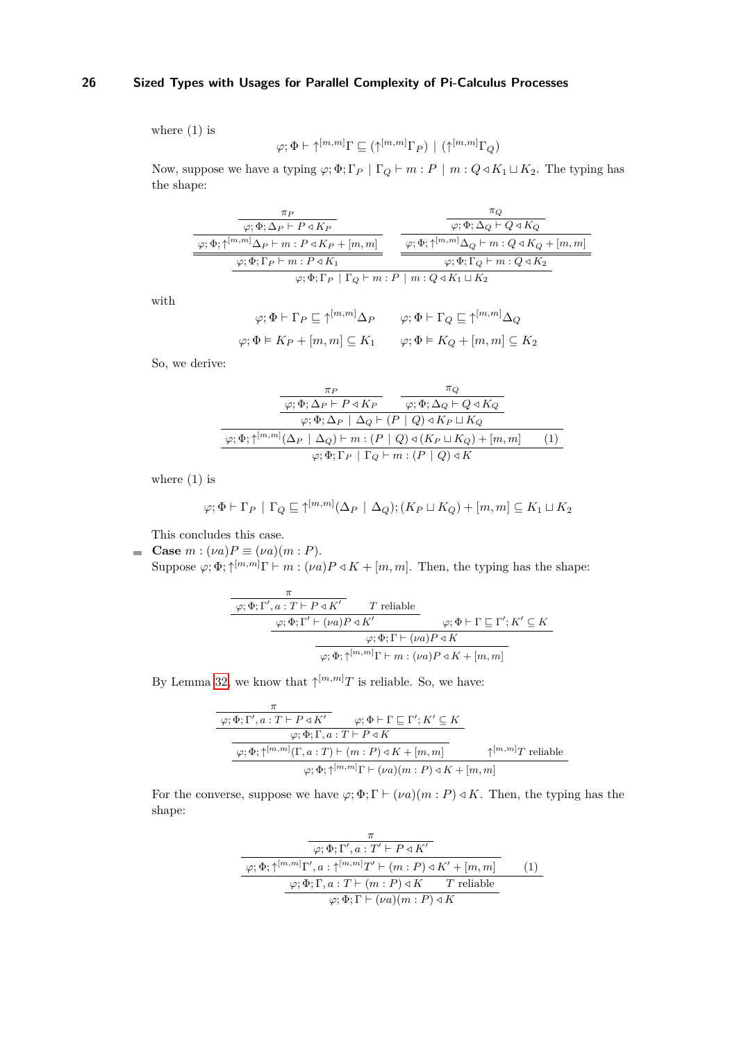where (1) is

$$
\varphi; \Phi \vdash \uparrow^{[m,m]} \Gamma \sqsubseteq (\uparrow^{[m,m]} \Gamma_P) \ | \ (\uparrow^{[m,m]} \Gamma_Q)
$$

Now, suppose we have a typing  $\varphi$ ;  $\Phi$ ;  $\Gamma_P | \Gamma_Q \vdash m : P | m : Q \triangleleft K_1 \sqcup K_2$ . The typing has the shape:

| $\pi P$                                                                                                  | $\pi_O$                                                                                           |  |
|----------------------------------------------------------------------------------------------------------|---------------------------------------------------------------------------------------------------|--|
| $\varphi$ ; $\Phi$ ; $\Delta P$ + $P \triangleleft K_P$                                                  | $\varphi$ ; $\Phi$ ; $\Delta$ <sup>0</sup> $\vdash$ Q $\triangleleft$ K <sub>0</sub>              |  |
| $\varphi$ ; $\Phi$ ; $\uparrow^{[m,m]} \Delta_P \vdash m : P \triangleleft K_P + [m, m]$                 | $\varphi$ ; $\Phi$ ; $\uparrow^{[m,m]} \Delta_Q \vdash m : Q \triangleleft K_Q + [m, m]$          |  |
| $\varphi$ ; $\Phi$ ; $\Gamma_P$ $\vdash$ $m$ : $P \triangleleft K_1$                                     | $\varphi$ ; $\Phi$ ; $\Gamma$ <sup><math>\Omega</math></sup> $\vdash$ $m$ : $Q \triangleleft K_2$ |  |
| $\varphi$ ; $\Phi$ ; $\Gamma_P$   $\Gamma_Q$ $\vdash$ $m$ : $P$   $m$ : $Q \triangleleft K_1 \sqcup K_2$ |                                                                                                   |  |

with

$$
\varphi; \Phi \vdash \Gamma_P \sqsubseteq \uparrow^{[m,m]} \Delta_P \qquad \varphi; \Phi \vdash \Gamma_Q \sqsubseteq \uparrow^{[m,m]} \Delta_Q
$$
  

$$
\varphi; \Phi \vDash K_P + [m, m] \subseteq K_1 \qquad \varphi; \Phi \vDash K_Q + [m, m] \subseteq K_2
$$

So, we derive:

$$
\frac{\pi_P}{\varphi; \Phi; \Delta_P \vdash P \triangleleft K_P} \quad \frac{\pi_Q}{\varphi; \Phi; \Delta_Q \vdash Q \triangleleft K_Q}
$$
\n
$$
\varphi; \Phi; \Delta_P \mid \Delta_Q \vdash (P \mid Q) \triangleleft K_P \sqcup K_Q
$$
\n
$$
\frac{\varphi; \Phi; \uparrow^{[m,m]}(\Delta_P \mid \Delta_Q) \vdash m : (P \mid Q) \triangleleft (K_P \sqcup K_Q) + [m, m]}{\varphi; \Phi; \Gamma_P \mid \Gamma_Q \vdash m : (P \mid Q) \triangleleft K}
$$
\n(1)

where  $(1)$  is

$$
\varphi; \Phi \vdash \Gamma_P \mid \Gamma_Q \sqsubseteq \uparrow^{[m,m]} (\Delta_P \mid \Delta_Q); (K_P \sqcup K_Q) + [m, m] \subseteq K_1 \sqcup K_2
$$

This concludes this case.

**Case**  $m : (\nu a)P \equiv (\nu a)(m : P)$ . Suppose  $\varphi$ ;  $\Phi$ ;  $\uparrow^{[m,m]}$  $\Gamma \vdash m : (\nu a)P \triangleleft K + [m, m]$ . Then, the typing has the shape:

$$
\begin{array}{c}\n\overbrace{\varphi;\Phi;\Gamma',a:\,T\vdash P\triangleleft K'}^{\pi} & T \text{ reliable} \\
\hline\n\frac{\varphi;\Phi;\Gamma'\vdash (\nu a)P\triangleleft K'}{\varphi;\Phi;\Gamma\vdash (\nu a)P\triangleleft K} & \varphi;\Phi\vdash\Gamma\sqsubseteq\Gamma';K'\subseteq K \\
\hline\n\frac{\varphi;\Phi;\Gamma\vdash (\nu a)P\triangleleft K}{\varphi;\Phi;\uparrow^{[m,m]}\Gamma\vdash m:(\nu a)P\triangleleft K+[m,m]}\n\end{array}
$$

By Lemma [32,](#page-20-2) we know that  $\uparrow^{[m,m]}T$  is reliable. So, we have:

$$
\begin{array}{c}\n\pi \\
\hline\n\varphi; \Phi; \Gamma', a: T \vdash P \triangleleft K' \\
\hline\n\varphi; \Phi; \Gamma, a: T \vdash P \triangleleft K \\
\hline\n\varphi; \Phi; \uparrow, a: T \vdash P \triangleleft K \\
\hline\n\varphi; \Phi; \uparrow^{[m,m]}(\Gamma, a: T) \vdash (m: P) \triangleleft K + [m, m] \\
\hline\n\varphi; \Phi; \uparrow^{[m,m]} \Gamma \vdash (\nu a)(m: P) \triangleleft K + [m, m]\n\end{array}
$$

For the converse, suppose we have  $\varphi$ ;  $\Phi$ ;  $\Gamma \vdash (\nu a)(m : P) \triangleleft K$ . Then, the typing has the shape:

$$
\frac{\pi}{\varphi; \Phi; \Gamma', a: T' \vdash P \triangleleft K'} \n\frac{\varphi; \Phi; \Gamma', a: T' \vdash P \triangleleft K'}{\varphi; \Phi; \Gamma, a: \uparrow^{[m,m]} T' \vdash (m: P) \triangleleft K' + [m, m]} \qquad (1)\n\frac{\varphi; \Phi; \Gamma, a: T \vdash (m: P) \triangleleft K \qquad T \text{ reliable}}{\varphi; \Phi; \Gamma \vdash (\nu a)(m: P) \triangleleft K}
$$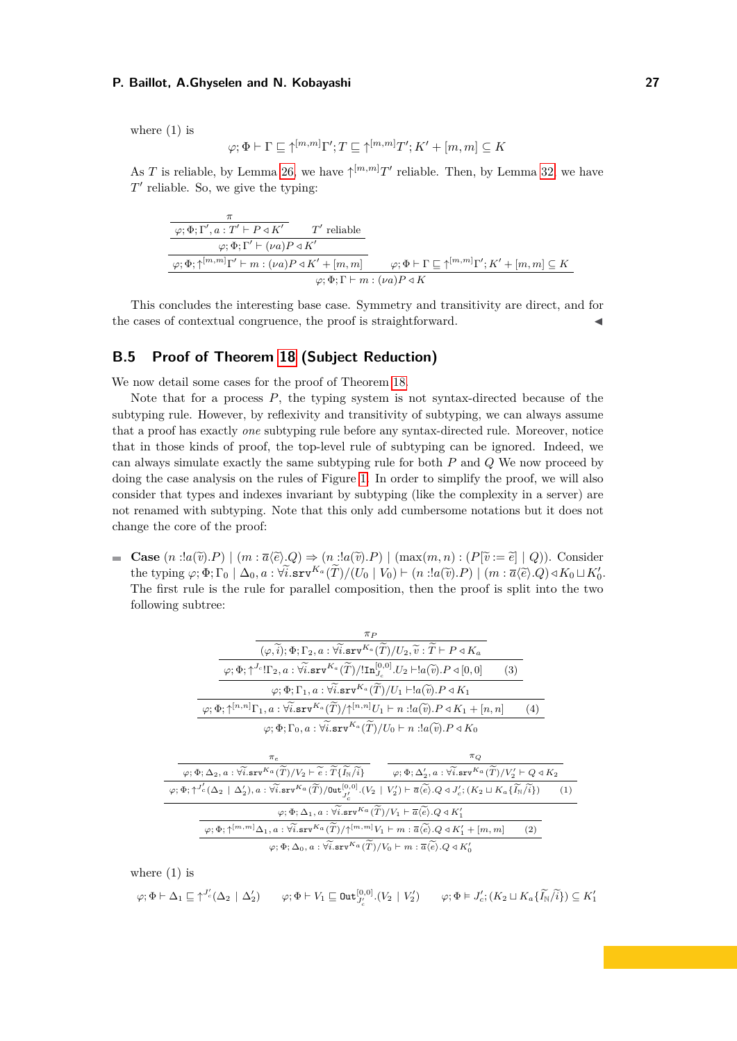where  $(1)$  is

$$
\varphi; \Phi \vdash \Gamma \sqsubseteq \uparrow^{[m,m]} \Gamma'; T \sqsubseteq \uparrow^{[m,m]} T'; K' + [m, m] \subseteq K
$$

As *T* is reliable, by Lemma [26,](#page-18-0) we have  $\uparrow^{[m,m]}T'$  reliable. Then, by Lemma [32,](#page-20-2) we have *T*<sup>'</sup> reliable. So, we give the typing:

$$
\begin{array}{c}\n\hline\n\frac{\pi}{\varphi;\Phi;\Gamma',a:T'\vdash P\triangleleft K'} \quad T' \text{ reliable} \\
\hline\n\varphi;\Phi;\Gamma'\vdash (\nu a)P\triangleleft K' \\
\hline\n\varphi;\Phi;\uparrow^{[m,m]}\Gamma'\vdash m:(\nu a)P\triangleleft K'+[m,m] \quad\varphi;\Phi\vdash\Gamma\sqsubseteq\uparrow^{[m,m]}\Gamma';K'+[m,m]\subseteq K \\
\hline\n\varphi;\Phi;\Gamma\vdash m:(\nu a)P\triangleleft K\n\end{array}
$$

This concludes the interesting base case. Symmetry and transitivity are direct, and for the cases of contextual congruence, the proof is straightforward.

# <span id="page-26-0"></span>**B.5 Proof of Theorem [18](#page-10-2) (Subject Reduction)**

We now detail some cases for the proof of Theorem [18.](#page-10-2)

Note that for a process *P*, the typing system is not syntax-directed because of the subtyping rule. However, by reflexivity and transitivity of subtyping, we can always assume that a proof has exactly *one* subtyping rule before any syntax-directed rule. Moreover, notice that in those kinds of proof, the top-level rule of subtyping can be ignored. Indeed, we can always simulate exactly the same subtyping rule for both *P* and *Q* We now proceed by doing the case analysis on the rules of Figure [1.](#page-2-0) In order to simplify the proof, we will also consider that types and indexes invariant by subtyping (like the complexity in a server) are not renamed with subtyping. Note that this only add cumbersome notations but it does not change the core of the proof:

**Case**  $(n \text{ :} !a(\tilde{v}).P) \mid (m : \overline{a}(\tilde{e}).Q) \Rightarrow (n \text{ :} !a(\tilde{v}).P) \mid (max(m,n) : (P[\tilde{v} := \tilde{e}] \mid Q))$ . Consider the typing  $\varphi; \Phi; \Gamma_0 | \Delta_0, a : \forall \tilde{i}.\text{srv}^{K_a}(\tilde{T})/(U_0 | V_0) \vdash (n : a(\tilde{v}).P) | (m : \bar{a}(\tilde{e}).Q) \triangleleft K_0 \sqcup K'_0$ .<br>The first nule is the nule for perchalaker president than the run fit and the the two The first rule is the rule for parallel composition, then the proof is split into the two following subtree:

| $\pi_P$                                                                                                                                                                                                                                                                                   |         |     |
|-------------------------------------------------------------------------------------------------------------------------------------------------------------------------------------------------------------------------------------------------------------------------------------------|---------|-----|
| $(\varphi, \widetilde{i}); \Phi; \Gamma_2, a: \forall \widetilde{i}. \texttt{srv}^{K_a}(\widetilde{T})/U_2, \widetilde{v}: \widetilde{T} \vdash P \triangleleft K_a$                                                                                                                      |         |     |
|                                                                                                                                                                                                                                                                                           | (3)     |     |
| $\varphi$ ; $\Phi$ ; $\Gamma_1$ , $a$ : $\widetilde{\forall i}$ .srv $^{K_a}(\widetilde{T})/U_1 \vdash !a(\widetilde{v})$ . $P \triangleleft K_1$                                                                                                                                         |         |     |
| $\varphi$ ; $\Phi$ ; $\uparrow^{[n,n]}$ $\Gamma_1$ , $a$ : $\widetilde{\mathbb{Var}}$ $\mathbb{Var}^{K_a}(\widetilde{T})/\uparrow^{[n,n]} U_1 \vdash n$ : $a(\widetilde{v})$ . $P \triangleleft K_1 + [n,n]$                                                                              |         | (4) |
| $\varphi$ ; $\Phi$ ; $\Gamma_0$ , $a$ : $\widetilde{\forall i}$ .srv $^{K_a}(\widetilde{T})/U_0 \vdash n$ :! $a(\widetilde{v})$ . $P \triangleleft K_0$                                                                                                                                   |         |     |
|                                                                                                                                                                                                                                                                                           |         |     |
| $\pi_e$                                                                                                                                                                                                                                                                                   | $\pi_Q$ |     |
|                                                                                                                                                                                                                                                                                           |         |     |
| $\varphi; \Phi; \Delta_2, a: \widetilde{\forall i}.\texttt{srv}^{K_a}(\widetilde{T})/V_2 \vdash \widetilde{e}: \widetilde{T} \{ \widetilde{I_N}/\widetilde{i} \}$ $\varphi; \Phi; \Delta'_2, a: \widetilde{\forall i}.\texttt{srv}^{K_a}(\widetilde{T})/V'_2 \vdash Q \triangleleft K_2$  |         |     |
| $\varphi;\Phi;\uparrow^{J'_c}(\Delta_2\  \ \Delta_2'),a:\forall\widetilde{i}.\mathtt{srv}^{K_a}(\widetilde{T})/\mathtt{Out}^{[0,0]}_{J'}.(V_2\  \ V'_2) \vdash \overline{a} \langle\widetilde{e}\rangle.Q \triangleleft J'_c;(K_2\sqcup K_a\{\widetilde{I_{\mathbb{N}}}/\widetilde{i}\})$ |         | (1) |
| $\varphi$ ; $\Phi$ ; $\Delta_1$ , $a$ : $\widetilde{\forall i}$ .srv $^{Ka}(\widetilde{T})/V_1 \vdash \overline{a}(\widetilde{e})$ . Q $\triangleleft K'_1$                                                                                                                               |         |     |
| $\varphi; \Phi; \uparrow^{[m,m]} \Delta_1, a : \widetilde{\forall i} .$ srv $K_a(\widetilde{T})/\uparrow^{[m,m]} V_1 \vdash m : \overline{a} \widetilde{\langle e \rangle}. Q \triangleleft K_1' + [m, m]$                                                                                |         | (2) |
| $\varphi$ ; $\Phi$ ; $\Delta_0$ , $a$ : $\widetilde{\forall i}$ .srv ${}^{K_a}(\widetilde{T})/V_0 \vdash m : \overline{a} \langle \widetilde{e} \rangle$ . $Q \triangleleft K_0'$                                                                                                         |         |     |

where (1) is

$$
\varphi; \Phi \vdash \Delta_1 \sqsubseteq \uparrow^{J'_c}(\Delta_2 \mid \Delta'_2) \qquad \varphi; \Phi \vdash V_1 \sqsubseteq \text{Out}_{J'_c}^{[0,0]}.(V_2 \mid V'_2) \qquad \varphi; \Phi \vDash J'_c; (K_2 \sqcup K_a \{\widetilde{I_N}/\widetilde{i}\}) \subseteq K'_1
$$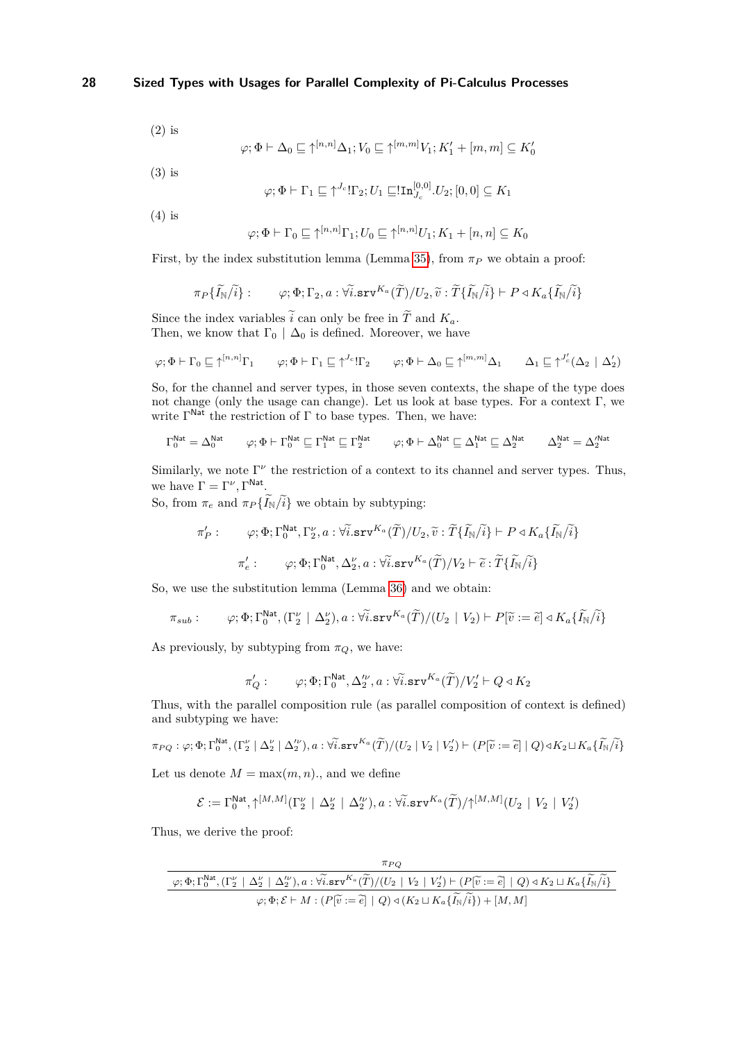(2) is

$$
\varphi ; \Phi \vdash \Delta_0 \sqsubseteq \uparrow^{[n,n]} \Delta_1; V_0 \sqsubseteq \uparrow^{[m,m]} V_1; K_1' + [m,m] \subseteq K_0'
$$

(3) is

$$
\varphi ; \Phi \vdash \Gamma_1 \sqsubseteq \uparrow^{J_{c}} ! \Gamma_2; U_1 \sqsubseteq ! \mathbf{In}_{J_{c}}^{[0,0]} . U_2 ; [0,0] \subseteq K_1
$$

(4) is

$$
\varphi; \Phi \vdash \Gamma_0 \sqsubseteq \uparrow^{[n,n]} \Gamma_1; U_0 \sqsubseteq \uparrow^{[n,n]} U_1; K_1 + [n,n] \subseteq K_0
$$

First, by the index substitution lemma (Lemma [35\)](#page-21-2), from  $\pi_P$  we obtain a proof:

$$
\pi_P\{\widetilde{I_{\mathbb{N}}}/\widetilde{i}\}: \qquad \varphi; \Phi; \Gamma_2, a:\forall \widetilde{i}.\texttt{sv}^{K_a}(\widetilde{T})/U_2, \widetilde{v}:\widetilde{T}\{\widetilde{I_{\mathbb{N}}}/\widetilde{i}\} \vdash P \triangleleft K_a \{\widetilde{I_{\mathbb{N}}}/\widetilde{i}\}
$$

Since the index variables  $\tilde{i}$  can only be free in  $\tilde{T}$  and  $K_a$ . Then, we know that  $\Gamma_0 \mid \Delta_0$  is defined. Moreover, we have

$$
\varphi; \Phi \vdash \Gamma_0 \sqsubseteq \uparrow^{[n,n]} \Gamma_1 \qquad \varphi; \Phi \vdash \Gamma_1 \sqsubseteq \uparrow^{J_c} \mathord{!} \Gamma_2 \qquad \varphi; \Phi \vdash \Delta_0 \sqsubseteq \uparrow^{[m,m]} \Delta_1 \qquad \Delta_1 \sqsubseteq \uparrow^{J'_c} (\Delta_2 \mid \Delta'_2)
$$

So, for the channel and server types, in those seven contexts, the shape of the type does not change (only the usage can change). Let us look at base types. For a context  $\Gamma$ , we write  $\Gamma^{\text{Nat}}$  the restriction of  $\Gamma$  to base types. Then, we have:

$$
\Gamma_0^{\mathsf{Nat}} = \Delta_0^{\mathsf{Nat}} \qquad \varphi; \Phi \vdash \Gamma_0^{\mathsf{Nat}} \sqsubseteq \Gamma_1^{\mathsf{Nat}} \sqsubseteq \Gamma_2^{\mathsf{Nat}} \qquad \varphi; \Phi \vdash \Delta_0^{\mathsf{Nat}} \sqsubseteq \Delta_1^{\mathsf{Nat}} \sqsubseteq \Delta_2^{\mathsf{Nat}} \qquad \Delta_2^{\mathsf{Nat}} = \Delta_2^{\prime \mathsf{Nat}}
$$

Similarly, we note  $\Gamma^{\nu}$  the restriction of a context to its channel and server types. Thus, we have  $\Gamma = \Gamma^{\nu}, \Gamma^{\text{Nat}}.$ 

So, from  $\pi_e$  and  $\pi_P\{\widetilde{I}_N/\widetilde{i}\}$  we obtain by subtyping:

$$
\pi'_P: \varphi; \Phi; \Gamma_0^{\mathsf{Nat}}, \Gamma_2^{\nu}, a: \forall \tilde{i}.\texttt{srv}^{K_a}(\tilde{T})/U_2, \tilde{v}: \tilde{T}\{\tilde{I}_{\mathbb{N}}/\tilde{i}\} \vdash P \triangleleft K_a \{\tilde{I}_{\mathbb{N}}/\tilde{i}\}
$$
\n
$$
\pi'_e: \varphi; \Phi; \Gamma_0^{\mathsf{Nat}}, \Delta_2^{\nu}, a: \forall \tilde{i}.\texttt{srv}^{K_a}(\tilde{T})/V_2 \vdash \tilde{e}: \tilde{T}\{\tilde{I}_{\mathbb{N}}/\tilde{i}\}
$$

So, we use the substitution lemma (Lemma [36\)](#page-21-0) and we obtain:

$$
\pi_{sub}: \qquad \varphi; \Phi; \Gamma_0^{\mathsf{Nat}}, (\Gamma_2^{\nu} \mid \Delta_2^{\nu}), a: \forall \tilde{i}.\mathbf{srv}^{K_a}(\tilde{T})/(U_2 \mid V_2) \vdash P[\tilde{v} := \tilde{e}] \triangleleft K_a \{\tilde{I}_N\}/\tilde{i}\}
$$

As previously, by subtyping from  $\pi_Q$ , we have:

$$
\pi'_Q: \qquad \varphi; \Phi; \Gamma_0^{\mathsf{Nat}}, \Delta_2^{\prime\nu}, a: \forall \widetilde{i}.\mathtt{srv}^{K_a}(\widetilde{T})/V'_2 \vdash Q \triangleleft K_2
$$

Thus, with the parallel composition rule (as parallel composition of context is defined) and subtyping we have:

$$
\pi_{PQ}: \varphi; \Phi; \Gamma_0^{\text{Nat}}, (\Gamma_2^{\nu} \mid \Delta_2^{\nu} \mid \Delta_2^{\nu}), a: \forall i. \text{srv}^{K_a}(\widetilde{T})/(U_2 \mid V_2 \mid V_2^{\prime}) \vdash (P[\widetilde{v} := \widetilde{e}] \mid Q) \triangleleft K_2 \sqcup K_a \{\widetilde{I_N}/\widetilde{i}\}
$$

Let us denote  $M = \max(m, n)$ , and we define

$$
\mathcal{E}:=\Gamma_0^{\text{Nat}},\uparrow^{[M,M]}(\Gamma_2^\nu\ |\ \Delta_2^\nu\ |\ \Delta_2^{\prime\nu}),a:\forall\widetilde{i}.\texttt{srv}^{K_a}(\widetilde{T})/\uparrow^{[M,M]}(U_2\ |\ V_2\ |\ V_2^{\prime})
$$

Thus, we derive the proof:

$$
\frac{\pi_{PQ}}{\varphi; \Phi; \Gamma_{0}^{\text{Nat}}, (\Gamma_{2}^{\nu} \mid \Delta_{2}^{\nu} \mid \Delta_{2}^{\nu}), a: \forall \widetilde{i}. \text{srv}^{K_{a}}(\widetilde{T})/(U_{2} \mid V_{2} \mid V_{2}') \vdash (P[\widetilde{v} := \widetilde{e}] \mid Q) \triangleleft K_{2} \sqcup K_{a} \{\widetilde{I_{\mathbb{N}}}/\widetilde{i}\}}{\varphi; \Phi; \mathcal{E} \vdash M : (P[\widetilde{v} := \widetilde{e}] \mid Q) \triangleleft (K_{2} \sqcup K_{a} \{\widetilde{I_{\mathbb{N}}}/\widetilde{i}\}) + [M, M]}
$$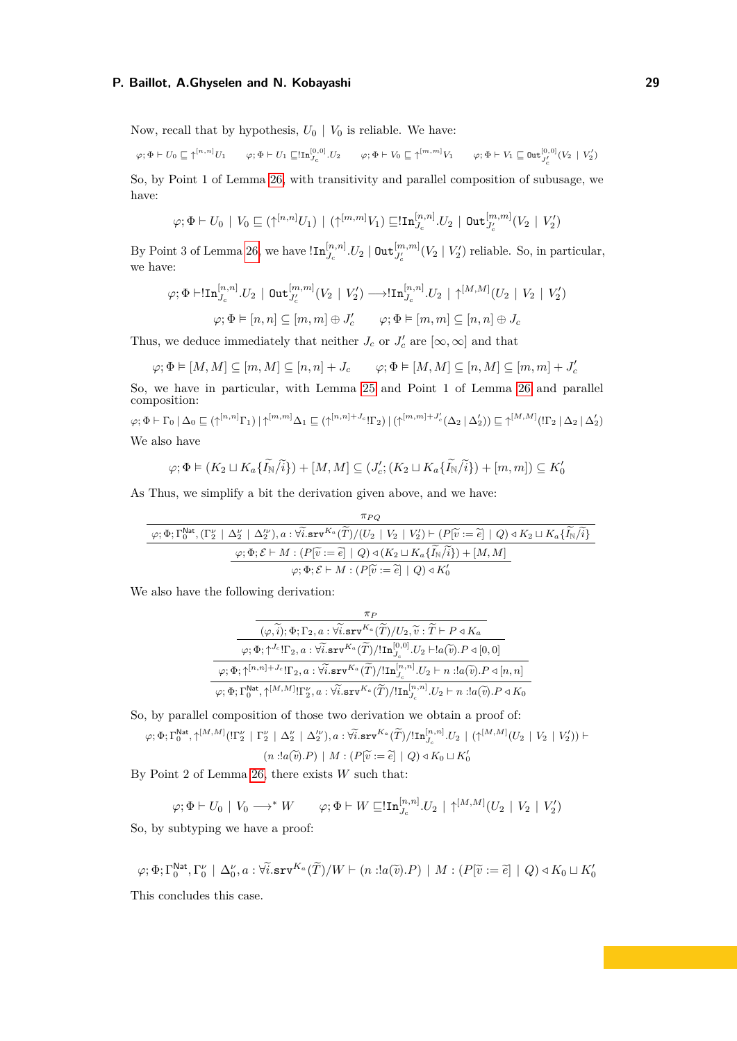Now, recall that by hypothesis,  $U_0 | V_0$  is reliable. We have:

 $\varphi ; \Phi \vdash U_0 \sqsubseteq \uparrow^{[n,n]}U_1 \qquad \varphi ; \Phi \vdash U_1 \sqsubseteq !\texttt{In}_{J_{\mathcal{C}}}^{[0,0]} .U_2 \qquad \varphi ; \Phi \vdash V_0 \sqsubseteq \uparrow^{[m,m]}V_1 \qquad \varphi ; \Phi \vdash V_1 \sqsubseteq \texttt{Out}_{J_{\mathcal{C}}^{'}}^{[0,0]}(V_2 \mid V_2')$ 

So, by Point 1 of Lemma [26,](#page-18-0) with transitivity and parallel composition of subusage, we have:

$$
\varphi; \Phi \vdash U_0 \mid V_0 \sqsubseteq (\uparrow^{[n,n]} U_1) \mid (\uparrow^{[m,m]} V_1) \sqsubseteq !\text{In}_{J_c}^{[n,n]} . U_2 \mid \text{Out}_{J_c'}^{[m,m]} (V_2 \mid V_2')
$$

By Point 3 of Lemma [26,](#page-18-0) we have  $\text{In}_{J_c}^{[n,n]}U_2 \mid \text{Out}_{J_c'}^{[m,m]}(V_2 \mid V_2')$  reliable. So, in particular, we have:

$$
\varphi; \Phi \vdash !\text{In}_{J_c}^{[n,n]} .U_2 \mid \text{Out}_{J_c'}^{[m,m]}(V_2 \mid V_2') \longrightarrow !\text{In}_{J_c}^{[n,n]} .U_2 \mid \uparrow^{[M,M]}(U_2 \mid V_2 \mid V_2')
$$

$$
\varphi; \Phi \vDash [n, n] \subseteq [m, m] \oplus J_c' \qquad \varphi; \Phi \vDash [m, m] \subseteq [n, n] \oplus J_c
$$

Thus, we deduce immediately that neither  $J_c$  or  $J'_c$  are  $[\infty, \infty]$  and that

$$
\varphi ; \Phi \vDash [M,M] \subseteq [m,M] \subseteq [n,n] + J_c \qquad \varphi ; \Phi \vDash [M,M] \subseteq [n,M] \subseteq [m,m] + J_c'
$$

So, we have in particular, with Lemma [25](#page-17-1) and Point 1 of Lemma [26](#page-18-0) and parallel composition:

$$
\varphi; \Phi \vdash \Gamma_0 \mid \Delta_0 \sqsubseteq (\uparrow^{[n,n]} \Gamma_1) \mid \uparrow^{[m,m]} \Delta_1 \sqsubseteq (\uparrow^{[n,n]+J_c} \Gamma_2) \mid (\uparrow^{[m,m]+J'_c} (\Delta_2 \mid \Delta'_2)) \sqsubseteq \uparrow^{[M,M]} (\Gamma_2 \mid \Delta_2 \mid \Delta'_2)
$$
  
We also have

$$
\varphi; \Phi \models (K_2 \sqcup K_a\{\widetilde{I_N}/\widetilde{i}\}) + [M, M] \subseteq (J_c'; (K_2 \sqcup K_a\{\widetilde{I_N}/\widetilde{i}\}) + [m, m]) \subseteq K_0'
$$

As Thus, we simplify a bit the derivation given above, and we have:

$$
\frac{\pi_{PQ}}{\varphi; \Phi; \Gamma_{0}^{\text{Nat}}, (\Gamma_{2}^{\nu} \mid \Delta_{2}^{\nu} \mid \Delta_{2}^{\nu}), a: \forall \widetilde{i}. \text{srv}^{K_{a}}(\widetilde{T})/(U_{2} \mid V_{2} \mid V_{2}') \vdash (P[\widetilde{v} := \widetilde{e}] \mid Q) \triangleleft K_{2} \sqcup K_{a} {\{\widetilde{I_{\mathbb{N}}}/\widetilde{i}\} \over \varphi; \Phi; \mathcal{E} \vdash M : (P[\widetilde{v} := \widetilde{e}] \mid Q) \triangleleft (K_{2} \sqcup K_{a} {\{\widetilde{I_{\mathbb{N}}}/\widetilde{i}\} \over \varphi; \Phi; \mathcal{E} \vdash M : (P[\widetilde{v} := \widetilde{e}] \mid Q) \triangleleft K_{0}' }
$$

We also have the following derivation:

| $\pi_P$                                                                                                                                                                                                                 |  |
|-------------------------------------------------------------------------------------------------------------------------------------------------------------------------------------------------------------------------|--|
| $(\varphi, \widetilde{i}); \Phi; \Gamma_2, a: \widetilde{\forall i} . \texttt{srv}^{K_a}(\widetilde{T})/U_2, \widetilde{v}: \widetilde{T} \vdash P \triangleleft K_a$                                                   |  |
| $\varphi$ ; $\Phi$ ; $\uparrow^{J_c}$ ! $\Gamma_2$ , $a$ : $\forall \widetilde{i}$ . $\texttt{srv}^{K_a}(\widetilde{T})$ /! $\texttt{In}_{J_a}^{[0,0]}$ . $U_2 \vdash !a(\widetilde{v})$ . $P \triangleleft [0,0]$      |  |
|                                                                                                                                                                                                                         |  |
| $\varphi; \Phi; \Gamma_0^{\mathsf{Nat}}, \uparrow^{[M,M]}! \Gamma_2^{\nu}, a: \forall \widetilde{i}.\texttt{srv}^{K_a}(\widetilde{T}) / !\texttt{In}_{J_a}^{[n,n]}.U_2 \vdash n: !a(\widetilde{v}).P \triangleleft K_0$ |  |

So, by parallel composition of those two derivation we obtain a proof of:

$$
\varphi; \Phi; \Gamma_0^{\mathsf{Nat}}, \uparrow^{[M,M]}(\Pi_2^{\nu} \mid \Gamma_2^{\nu} \mid \Delta_2^{\nu} \mid \Delta_2^{\nu}), a: \widetilde{\mathsf{W}}.\mathtt{srv}^{K_a}(\widetilde{T})/\mathsf{In}_{J_c}^{[n,n]} \cup_2 \mid (\uparrow^{[M,M]}(U_2 \mid V_2 \mid V_2')) \vdash
$$

 $(n \, : !a(\widetilde{v}).P) \mid M : (P[\widetilde{v} := \widetilde{e}] \mid Q) \triangleleft K_0 \sqcup K'_0$ 

By Point 2 of Lemma [26,](#page-18-0) there exists *W* such that:

$$
\varphi; \Phi \vdash U_0 \mid V_0 \longrightarrow^* W \qquad \varphi; \Phi \vdash W \sqsubseteq !\mathbf{In}_{J_c}^{[n,n]} \cup U_2 \mid \uparrow^{[M,M]} (U_2 \mid V_2 \mid V_2')
$$

So, by subtyping we have a proof:

$$
\varphi; \Phi; \Gamma_0^{\mathsf{Nat}}, \Gamma_0^{\nu} \mid \Delta_0^{\nu}, a: \forall i. \mathbf{srv}^{K_a}(\widetilde{T})/W \vdash (n : !a(\widetilde{v}).P) \mid M: (P[\widetilde{v} := \widetilde{e}] \mid Q) \triangleleft K_0 \sqcup K_0^{\prime}
$$

This concludes this case.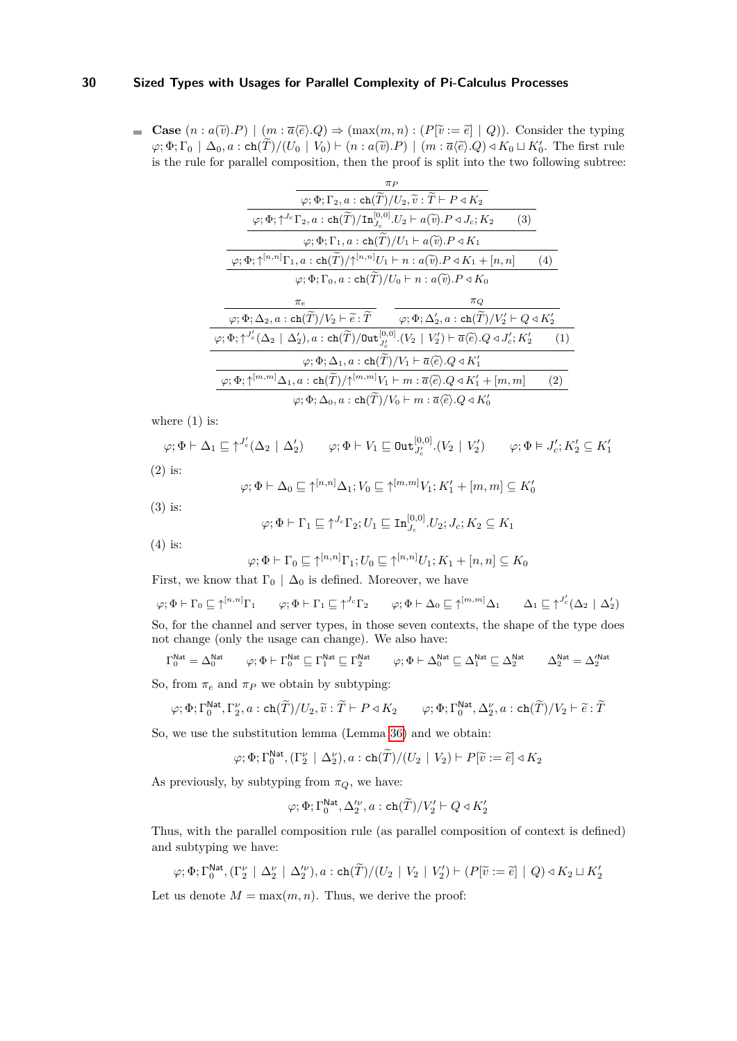■ Case  $(n : a(\tilde{v}) \cdot P) | (m : \overline{a} \langle \tilde{e} \rangle \cdot Q) \Rightarrow (max(m, n) : (P[\tilde{v} := \tilde{e}] | Q))$ . Consider the typing  $\varphi$ ;  $\Phi$ ;  $\Gamma_0 \mid \Delta_0, a : \text{ch}(\tilde{T})/(U_0 \mid V_0) \vdash (n : a(\tilde{v}).P) \mid (m : \overline{a}(\tilde{e}).Q) \triangleleft K_0 \sqcup K'_0$ . The first rule is the rule for parallel composition, then the proof is split into the two following subtree:

| $\pi_P$                                                                                                                                                                                                                       |     |
|-------------------------------------------------------------------------------------------------------------------------------------------------------------------------------------------------------------------------------|-----|
| $\varphi ; \Phi ; \Gamma_2, a : \mathrm{ch}(\widetilde{T})/U_2 , \widetilde{v} : \widetilde{T} \vdash P \triangleleft K_2$                                                                                                    |     |
| $\varphi$ ; $\Phi$ ; $\uparrow^{J_c} \Gamma_2$ , $a$ : ch $(\widetilde{T})/\text{In}_{J_c}^{[0,0]}$ . $U_2 \vdash a(\widetilde{v})$ . $P \triangleleft J_c$ ; $K_2$<br>(3)                                                    |     |
| $\varphi$ ; $\Phi$ ; $\Gamma_1$ , $a$ : ch $(\widetilde{T})/U_1 \vdash a(\widetilde{v})$ . $P \triangleleft K_1$                                                                                                              |     |
| $\varphi; \Phi; \uparrow^{[n,n]} \Gamma_1, a : \operatorname{ch}(\widetilde{T})/\uparrow^{[n,n]} U_1 \vdash n : a(\widetilde{v}).P \triangleleft K_1 + [n,n]$                                                                 | (4) |
| $\varphi$ ; $\Phi$ ; $\Gamma_0$ , $a$ : ch $(\widetilde{T})/U_0 \vdash n$ : $a(\widetilde{v})$ . $P \triangleleft K_0$                                                                                                        |     |
|                                                                                                                                                                                                                               |     |
| $\pi_Q$<br>$\pi_e$                                                                                                                                                                                                            |     |
| $\varphi; \Phi; \Delta_2, a: \mathsf{ch}(\widetilde{T})/V_2 \vdash \widetilde{e}: \widetilde{T} \qquad \varphi; \Phi; \Delta'_2, a: \mathsf{ch}(\widetilde{T})/V'_2 \vdash Q \triangleleft K'_2$                              |     |
| $\varphi$ ; $\Phi$ ; $\uparrow^{J'_c}(\Delta_2 \mid \Delta'_2)$ , $a$ : ch $(\widetilde{T})$ /0ut $_{J'}^{[0,0]}$ . $(V_2 \mid V'_2)$ $\vdash \overline{a}$ $\langle \widetilde{e} \rangle$ . $Q \triangleleft J'_c$ ; $K'_2$ | (1) |
| $\varphi$ ; $\Phi$ ; $\Delta_1$ , $a$ : ch $(\overline{T})/V_1 \vdash \overline{a} \langle \widetilde{e} \rangle$ . $Q \triangleleft K_1'$                                                                                    |     |
| $\varphi; \Phi; \uparrow^{[m,m]} \Delta_1, a : \operatorname{ch}(\widetilde{T})/\uparrow^{[m,m]} V_1 \vdash m : \overline{a} \langle \widetilde{e} \rangle . Q \triangleleft K_1' + [m, m]$                                   | (2) |

where  $(1)$  is:

$$
\varphi; \Phi \vdash \Delta_1 \sqsubseteq \uparrow^{J'_c}(\Delta_2 \mid \Delta'_2) \qquad \varphi; \Phi \vdash V_1 \sqsubseteq \text{Out}_{J'_c}^{[0,0]}.(V_2 \mid V'_2) \qquad \varphi; \Phi \vDash J'_c; K'_2 \subseteq K'_1
$$
  
(2) is:

$$
\varphi; \Phi \vdash \Delta_0 \sqsubseteq \uparrow^{[n,n]} \Delta_1; V_0 \sqsubseteq \uparrow^{[m,m]} V_1; K'_1 + [m, m] \subseteq K'_0
$$

(3) is:

$$
\varphi ; \Phi \vdash \Gamma_1 \sqsubseteq \uparrow^{J_c} \Gamma_2; U_1 \sqsubseteq \mathtt{In}_{J_c}^{[0,0]} . U_2; J_c; K_2 \subseteq K_1
$$

(4) is:

$$
\varphi; \Phi \vdash \Gamma_0 \sqsubseteq \uparrow^{[n,n]} \Gamma_1; U_0 \sqsubseteq \uparrow^{[n,n]} U_1; K_1 + [n,n] \subseteq K_0
$$

First, we know that  $\Gamma_0 \mid \Delta_0$  is defined. Moreover, we have

$$
\varphi; \Phi \vdash \Gamma_0 \sqsubseteq \uparrow^{[n,n]} \Gamma_1
$$
  $\varphi; \Phi \vdash \Gamma_1 \sqsubseteq \uparrow^{J_c} \Gamma_2$   $\varphi; \Phi \vdash \Delta_0 \sqsubseteq \uparrow^{[m,m]} \Delta_1$   $\Delta_1 \sqsubseteq \uparrow^{J'_c} (\Delta_2 \mid \Delta'_2)$   
So, for the channel and server types, in those seven contexts, the shape of the type does

So, for the channel and server types, in those seven contexts, the shape of the type does not change (only the usage can change). We also have:

$$
\Gamma_0^{\text{Nat}} = \Delta_0^{\text{Nat}} \qquad \varphi; \Phi \vdash \Gamma_0^{\text{Nat}} \sqsubseteq \Gamma_1^{\text{Nat}} \sqsubseteq \Gamma_2^{\text{Nat}} \qquad \varphi; \Phi \vdash \Delta_0^{\text{Nat}} \sqsubseteq \Delta_1^{\text{Nat}} \sqsubseteq \Delta_2^{\text{Nat}} \qquad \Delta_2^{\text{Nat}} = \Delta_2^{\text{Nat}}
$$

So, from  $\pi_e$  and  $\pi_P$  we obtain by subtyping:

$$
\varphi ; \Phi ; \Gamma_{0}^{\mathsf{Nat}}, \Gamma_{2}^{\nu}, a:\mathrm{ch}(\widetilde{T})/U_{2}, \widetilde{v}:\widetilde{T}\vdash P \triangleleft K_{2} \qquad \varphi ; \Phi ; \Gamma_{0}^{\mathsf{Nat}}, \Delta_{2}^{\nu}, a:\mathrm{ch}(\widetilde{T})/V_{2}\vdash \widetilde{e}:\widetilde{T}
$$

So, we use the substitution lemma (Lemma [36\)](#page-21-0) and we obtain:

$$
\varphi; \Phi; \Gamma_0^{\mathsf{Nat}}, (\Gamma_2^{\nu} \mid \Delta_2^{\nu}), a: \operatorname{ch}(\widetilde{T})/(U_2 \mid V_2) \vdash P[\widetilde{v} := \widetilde{e}] \triangleleft K_2
$$

As previously, by subtyping from  $\pi_Q$ , we have:

$$
\varphi
$$
;  $\Phi$ ;  $\Gamma_0^{\text{Nat}}$ ,  $\Delta_2^{\prime \nu}$ ,  $a : \text{ch}(\widetilde{T})/V'_2 \vdash Q \triangleleft K'_2$ 

Thus, with the parallel composition rule (as parallel composition of context is defined) and subtyping we have:

$$
\varphi; \Phi; \Gamma_0^{\mathsf{Nat}}, (\Gamma_2^{\nu} \mid \Delta_2^{\nu} \mid \Delta_2^{\nu}), a: \operatorname{ch}(\widetilde{T})/(U_2 \mid V_2 \mid V_2') \vdash (P[\widetilde{v} := \widetilde{e}] \mid Q) \triangleleft K_2 \sqcup K_2'
$$

Let us denote  $M = \max(m, n)$ . Thus, we derive the proof: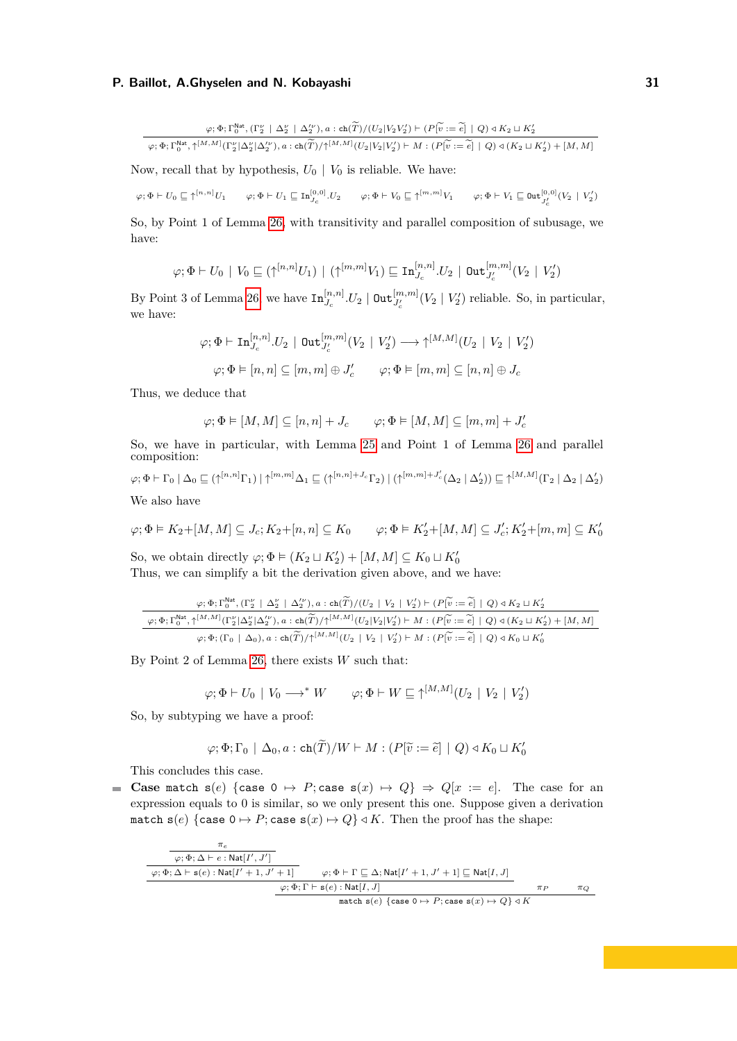$\varphi$ ; Φ; Γ<sup>Nat</sup>, (Γ<sup>ν</sup><sub>*L*</sub> | Δ'<sub>*l*</sub></sub> | Δ'<sub>*l*</sub>'), *a* : ch(*T*)/(*U*<sub>2</sub>|*V*<sub>2</sub>*V*<sub>2</sub><sup>'</sup>) + (*P*[ $\tilde{v}$  :=  $\tilde{e}$ ] | *Q*) *∢ K*<sub>2</sub> ⊔ *K*<sup>'</sup><sub>2</sub><sup>*y*</sup>.  $\varphi; \Phi; \Gamma_0^{\mathsf{Nat}}, \uparrow^{[M,M]}(\Gamma_2^{\nu}|\Delta_2^{\nu}|\Delta_2^{\nu}), a: \operatorname{ch}(\widetilde{T})/\uparrow^{[M,M]}(U_2|V_2|V_2') \vdash M: (P[\widetilde{v}:=\widetilde{e}] \mid Q) \triangleleft (K_2 \sqcup K_2') + [M,M]$ 

Now, recall that by hypothesis,  $U_0 | V_0$  is reliable. We have:

 $\varphi ; \Phi \vdash U_0 \sqsubseteq \uparrow^{[n,n]}U_1 \qquad \varphi ; \Phi \vdash U_1 \sqsubseteq \mathrm{In}_{J_{\mathcal{C}}}^{[0,0]} .U_2 \qquad \varphi ; \Phi \vdash V_0 \sqsubseteq \uparrow^{[m,m]}V_1 \qquad \varphi ; \Phi \vdash V_1 \sqsubseteq \mathsf{Out}_{J_{\mathcal{C}}^{'}}^{[0,0]}(V_2 \mid V_2^{'})$ 

So, by Point 1 of Lemma [26,](#page-18-0) with transitivity and parallel composition of subusage, we have:

$$
\varphi; \Phi \vdash U_0 \mid V_0 \sqsubseteq (\uparrow^{[n,n]} U_1) \mid (\uparrow^{[m,m]} V_1) \sqsubseteq \mathrm{In}_{J_c}^{[n,n]} . U_2 \mid \mathrm{Out}_{J_c'}^{[m,m]} (V_2 \mid V_2')
$$

By Point 3 of Lemma [26,](#page-18-0) we have  $\text{In}_{J_c}^{[n,n]}U_2 \mid \text{Out}_{J_c'}^{[m,m]}(V_2 \mid V_2')$  reliable. So, in particular, we have:

$$
\varphi; \Phi \vdash \mathrm{In}_{J_c}^{[n,n]} .U_2 \,\mid\, \mathrm{Out}_{J_c'}^{[m,m]} (V_2 \mid V_2') \longrightarrow \uparrow^{[M,M]} (U_2 \mid V_2 \mid V_2')
$$
\n
$$
\varphi; \Phi \vDash [n, n] \subseteq [m, m] \oplus J_c' \qquad \varphi; \Phi \vDash [m, m] \subseteq [n, n] \oplus J_c
$$

Thus, we deduce that

$$
\varphi ; \Phi \vDash [M,M] \subseteq [n,n] + J_c \qquad \varphi ; \Phi \vDash [M,M] \subseteq [m,m] + J'_c
$$

So, we have in particular, with Lemma [25](#page-17-1) and Point 1 of Lemma [26](#page-18-0) and parallel composition:

$$
\varphi; \Phi \vdash \Gamma_0 \mid \Delta_0 \sqsubseteq (\uparrow^{[n,n]} \Gamma_1) \mid \uparrow^{[m,m]} \Delta_1 \sqsubseteq (\uparrow^{[n,n]+J_c} \Gamma_2) \mid (\uparrow^{[m,m]+J_c'} (\Delta_2 \mid \Delta_2')) \sqsubseteq \uparrow^{[M,M]} (\Gamma_2 \mid \Delta_2 \mid \Delta_2')
$$
  
We also have

We also have

$$
\varphi ; \Phi \vDash K_2 + [M,M] \subseteq J_c; K_2 + [n,n] \subseteq K_0 \qquad \varphi ; \Phi \vDash K'_2 + [M,M] \subseteq J'_c; K'_2 + [m,m] \subseteq K'_0
$$

So, we obtain directly  $\varphi$ ;  $\Phi \models (K_2 \sqcup K'_2) + [M, M] \subseteq K_0 \sqcup K'_0$ Thus, we can simplify a bit the derivation given above, and we have:

$$
\frac{\varphi;\Phi;\Gamma_0^{\text{Nat}},(\Gamma_2^{\nu}\mid\Delta_2^{\nu}\mid\Delta_2^{\nu}),a:\text{ch}(\widetilde{T})/(U_2\mid V_2\mid V_2^{\prime})\vdash (P[\widetilde{v}:=\widetilde{e}]\mid Q)\triangleleft K_2\sqcup K_2^{\prime}}{\varphi;\Phi;\Gamma_0^{\text{Nat}},\uparrow^{[M,M]}(\Gamma_2^{\nu}|\Delta_2^{\nu}|\Delta_2^{\nu}),a:\text{ch}(\widetilde{T})/\uparrow^{[M,M]}(U_2\mid V_2\mid V_2^{\prime})\vdash M:(P[\widetilde{v}:=\widetilde{e}]\mid Q)\triangleleft (K_2\sqcup K_2^{\prime})+[M,M]}\\ \varphi;\Phi;(\Gamma_0\mid\Delta_0),a:\text{ch}(\widetilde{T})/\uparrow^{[M,M]}(U_2\mid V_2\mid V_2^{\prime})\vdash M:(P[\widetilde{v}:=\widetilde{e}]\mid Q)\triangleleft K_0\sqcup K_0^{\prime}
$$

By Point 2 of Lemma [26,](#page-18-0) there exists *W* such that:

$$
\varphi; \Phi \vdash U_0 \mid V_0 \longrightarrow^* W \qquad \varphi; \Phi \vdash W \sqsubseteq \uparrow^{[M,M]}(U_2 \mid V_2 \mid V_2')
$$

So, by subtyping we have a proof:

$$
\varphi; \Phi; \Gamma_0 \mid \Delta_0, a : \operatorname{ch}(\widetilde{T})/W \vdash M : (P[\widetilde{v} := \widetilde{e}] \mid Q) \triangleleft K_0 \sqcup K'_0
$$

This concludes this case.

**Case** match  $s(e)$  {case  $0 \rightarrow P$ ; case  $s(x) \rightarrow Q$ }  $\Rightarrow Q[x := e]$ . The case for an expression equals to 0 is similar, so we only present this one. Suppose given a derivation match  $s(e)$  {case  $0 \mapsto P$ ; case  $s(x) \mapsto Q$ } *√K*. Then the proof has the shape:

$$
\begin{array}{c}\n\overbrace{\varphi;\Phi;\Delta\vdash e:\mathrm{Nat}[I',J']\atop \varphi;\Phi;\Delta\vdash s(e):\mathrm{Nat}[I'+1,J'+1]}\n\overbrace{\varphi;\Phi\vdash\Gamma\sqsubseteq\Delta;\mathrm{Nat}[I'+1,J'+1]\sqsubseteq\mathrm{Nat}[I,J]\atop \varphi;\Phi;\Gamma\vdash s(e):\mathrm{Nat}[I,J]\n\end{array}\n\quad\n\begin{array}{c}\n\pi_P\qquad\pi_Q\qquad\qquad\\ \overbrace{\varphi;\Phi;\Gamma\vdash s(e):\mathrm{Nat}[I,J]\n\end{array}
$$